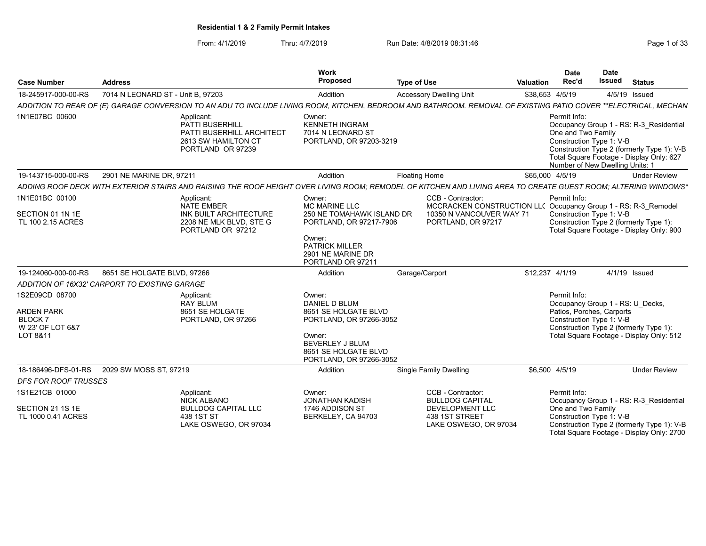From: 4/1/2019 Thru: 4/7/2019 Run Date: 4/8/2019 08:31:46 From: 4/1/2019 Page 1 of 33

| <b>Case Number</b>                                      | <b>Address</b>                                                                                                                                                  | Work<br>Proposed                                                                       | <b>Type of Use</b>                                                  | <b>Date</b><br>Rec'd<br><b>Valuation</b>                                                                   | <b>Date</b><br><b>Issued</b><br><b>Status</b>                                                                                                                        |
|---------------------------------------------------------|-----------------------------------------------------------------------------------------------------------------------------------------------------------------|----------------------------------------------------------------------------------------|---------------------------------------------------------------------|------------------------------------------------------------------------------------------------------------|----------------------------------------------------------------------------------------------------------------------------------------------------------------------|
| 18-245917-000-00-RS                                     | 7014 N LEONARD ST - Unit B, 97203                                                                                                                               | Addition                                                                               | <b>Accessory Dwelling Unit</b>                                      | \$38,653 4/5/19                                                                                            | 4/5/19 Issued                                                                                                                                                        |
|                                                         | ADDITION TO REAR OF (E) GARAGE CONVERSION TO AN ADU TO INCLUDE LIVING ROOM, KITCHEN, BEDROOM AND BATHROOM. REMOVAL OF EXISTING PATIO COVER **ELECTRICAL, MECHAN |                                                                                        |                                                                     |                                                                                                            |                                                                                                                                                                      |
| 1N1E07BC 00600                                          | Applicant:<br><b>PATTI BUSERHILL</b><br>PATTI BUSERHILL ARCHITECT<br>2613 SW HAMILTON CT<br>PORTLAND OR 97239                                                   | Owner:<br><b>KENNETH INGRAM</b><br>7014 N LEONARD ST<br>PORTLAND, OR 97203-3219        |                                                                     | Permit Info:<br>One and Two Family<br>Construction Type 1: V-B                                             | Occupancy Group 1 - RS: R-3 Residential<br>Construction Type 2 (formerly Type 1): V-B<br>Total Square Footage - Display Only: 627<br>Number of New Dwelling Units: 1 |
| 19-143715-000-00-RS                                     | 2901 NE MARINE DR. 97211                                                                                                                                        | Addition                                                                               | Floating Home                                                       | \$65,000 4/5/19                                                                                            | <b>Under Review</b>                                                                                                                                                  |
|                                                         | ADDING ROOF DECK WITH EXTERIOR STAIRS AND RAISING THE ROOF HEIGHT OVER LIVING ROOM: REMODEL OF KITCHEN AND LIVING AREA TO CREATE GUEST ROOM: ALTERING WINDOWS*  |                                                                                        |                                                                     |                                                                                                            |                                                                                                                                                                      |
| 1N1E01BC 00100<br>SECTION 01 1N 1E<br>TL 100 2.15 ACRES | Applicant:<br><b>NATE EMBER</b><br>INK BUILT ARCHITECTURE<br>2208 NE MLK BLVD, STE G                                                                            | Owner:<br><b>MC MARINE LLC</b><br>250 NE TOMAHAWK ISLAND DR<br>PORTLAND, OR 97217-7906 | CCB - Contractor:<br>10350 N VANCOUVER WAY 71<br>PORTLAND, OR 97217 | Permit Info:<br>MCCRACKEN CONSTRUCTION LL( Occupancy Group 1 - RS: R-3_Remodel<br>Construction Type 1: V-B | Construction Type 2 (formerly Type 1):                                                                                                                               |
|                                                         | PORTLAND OR 97212                                                                                                                                               | Owner:<br><b>PATRICK MILLER</b><br>2901 NE MARINE DR<br>PORTLAND OR 97211              |                                                                     |                                                                                                            | Total Square Footage - Display Only: 900                                                                                                                             |
| 19-124060-000-00-RS                                     | 8651 SE HOLGATE BLVD, 97266                                                                                                                                     | Addition                                                                               | Garage/Carport                                                      | \$12.237 4/1/19                                                                                            | 4/1/19 Issued                                                                                                                                                        |
|                                                         | ADDITION OF 16X32' CARPORT TO EXISTING GARAGE                                                                                                                   |                                                                                        |                                                                     |                                                                                                            |                                                                                                                                                                      |
| 1S2E09CD 08700                                          | Applicant:<br><b>RAY BLUM</b>                                                                                                                                   | Owner:<br>DANIEL D BLUM                                                                |                                                                     | Permit Info:                                                                                               | Occupancy Group 1 - RS: U Decks,                                                                                                                                     |
| <b>ARDEN PARK</b>                                       | 8651 SE HOLGATE                                                                                                                                                 | 8651 SE HOLGATE BLVD                                                                   |                                                                     |                                                                                                            | Patios, Porches, Carports                                                                                                                                            |
| <b>BLOCK7</b>                                           | PORTLAND, OR 97266                                                                                                                                              | PORTLAND, OR 97266-3052                                                                |                                                                     | Construction Type 1: V-B                                                                                   |                                                                                                                                                                      |
| W 23' OF LOT 6&7<br>LOT 8&11                            |                                                                                                                                                                 | Owner:<br><b>BEVERLEY J BLUM</b><br>8651 SE HOLGATE BLVD<br>PORTLAND, OR 97266-3052    |                                                                     |                                                                                                            | Construction Type 2 (formerly Type 1):<br>Total Square Footage - Display Only: 512                                                                                   |
| 18-186496-DFS-01-RS                                     | 2029 SW MOSS ST, 97219                                                                                                                                          | Addition                                                                               | <b>Single Family Dwelling</b>                                       | \$6,500 4/5/19                                                                                             | <b>Under Review</b>                                                                                                                                                  |
| <b>DFS FOR ROOF TRUSSES</b>                             |                                                                                                                                                                 |                                                                                        |                                                                     |                                                                                                            |                                                                                                                                                                      |
| 1S1E21CB 01000                                          | Applicant:<br>NICK ALBANO                                                                                                                                       | Owner:<br><b>JONATHAN KADISH</b>                                                       | CCB - Contractor:<br><b>BULLDOG CAPITAL</b>                         | Permit Info:                                                                                               | Occupancy Group 1 - RS: R-3 Residential                                                                                                                              |
| SECTION 21 1S 1E<br>TL 1000 0.41 ACRES                  | <b>BULLDOG CAPITAL LLC</b><br>438 1ST ST<br>LAKE OSWEGO, OR 97034                                                                                               | 1746 ADDISON ST<br>BERKELEY, CA 94703                                                  | <b>DEVELOPMENT LLC</b><br>438 1ST STREET<br>LAKE OSWEGO, OR 97034   | One and Two Family<br>Construction Type 1: V-B                                                             | Construction Type 2 (formerly Type 1): V-B<br>Total Square Footage - Display Only: 2700                                                                              |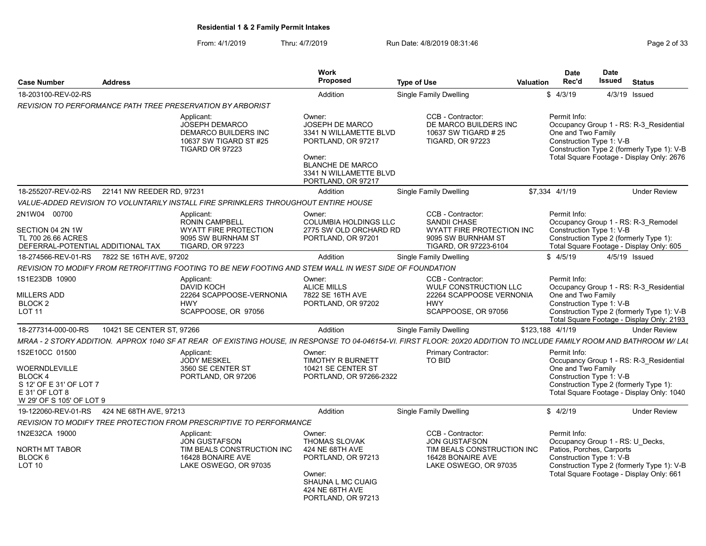From: 4/1/2019 Thru: 4/7/2019 Run Date: 4/8/2019 08:31:46 From: 4/1/2019 Page 2 of 33

| <b>Case Number</b>                                                                                                             | <b>Address</b>            |                                                                                                                      | Work<br>Proposed                                                                                                                                               | <b>Type of Use</b>                                                                                                                                                     | Date<br>Rec'd<br><b>Valuation</b>  | Date<br>Issued<br><b>Status</b>                                                                                                                                                     |                     |
|--------------------------------------------------------------------------------------------------------------------------------|---------------------------|----------------------------------------------------------------------------------------------------------------------|----------------------------------------------------------------------------------------------------------------------------------------------------------------|------------------------------------------------------------------------------------------------------------------------------------------------------------------------|------------------------------------|-------------------------------------------------------------------------------------------------------------------------------------------------------------------------------------|---------------------|
| 18-203100-REV-02-RS                                                                                                            |                           |                                                                                                                      | Addition                                                                                                                                                       | <b>Single Family Dwelling</b>                                                                                                                                          | \$4/3/19                           | 4/3/19 Issued                                                                                                                                                                       |                     |
|                                                                                                                                |                           | <b>REVISION TO PERFORMANCE PATH TREE PRESERVATION BY ARBORIST</b>                                                    |                                                                                                                                                                |                                                                                                                                                                        |                                    |                                                                                                                                                                                     |                     |
|                                                                                                                                |                           | Applicant:<br>JOSEPH DEMARCO<br><b>DEMARCO BUILDERS INC</b><br>10637 SW TIGARD ST #25<br>TIGARD OR 97223             | Owner:<br>JOSEPH DE MARCO<br>3341 N WILLAMETTE BLVD<br>PORTLAND, OR 97217<br>Owner:<br><b>BLANCHE DE MARCO</b><br>3341 N WILLAMETTE BLVD<br>PORTLAND, OR 97217 | CCB - Contractor:<br>DE MARCO BUILDERS INC<br>10637 SW TIGARD # 25<br><b>TIGARD, OR 97223</b>                                                                          | Permit Info:<br>One and Two Family | Occupancy Group 1 - RS: R-3 Residential<br>Construction Type 1: V-B<br>Construction Type 2 (formerly Type 1): V-B<br>Total Square Footage - Display Only: 2676                      |                     |
| 18-255207-REV-02-RS 22141 NW REEDER RD, 97231                                                                                  |                           |                                                                                                                      | Addition                                                                                                                                                       | <b>Single Family Dwelling</b>                                                                                                                                          | \$7,334 4/1/19                     |                                                                                                                                                                                     | <b>Under Review</b> |
|                                                                                                                                |                           | VALUE-ADDED REVISION TO VOLUNTARILY INSTALL FIRE SPRINKLERS THROUGHOUT ENTIRE HOUSE                                  |                                                                                                                                                                |                                                                                                                                                                        |                                    |                                                                                                                                                                                     |                     |
| 2N1W04 00700<br>SECTION 04 2N 1W<br>TL 700 26.66 ACRES<br>DEFERRAL-POTENTIAL ADDITIONAL TAX                                    |                           | Applicant:<br><b>RONIN CAMPBELL</b><br><b>WYATT FIRE PROTECTION</b><br>9095 SW BURNHAM ST<br><b>TIGARD, OR 97223</b> | Owner:<br><b>COLUMBIA HOLDINGS LLC</b><br>2775 SW OLD ORCHARD RD<br>PORTLAND, OR 97201                                                                         | CCB - Contractor:<br><b>SANDII CHASE</b><br>WYATT FIRE PROTECTION INC<br>9095 SW BURNHAM ST<br>TIGARD, OR 97223-6104                                                   | Permit Info:                       | Occupancy Group 1 - RS: R-3 Remodel<br>Construction Type 1: V-B<br>Construction Type 2 (formerly Type 1):<br>Total Square Footage - Display Only: 605                               |                     |
| 18-274566-REV-01-RS 7822 SE 16TH AVE, 97202                                                                                    |                           |                                                                                                                      | Addition                                                                                                                                                       | <b>Single Family Dwelling</b>                                                                                                                                          | \$4/5/19                           | 4/5/19 Issued                                                                                                                                                                       |                     |
|                                                                                                                                |                           | REVISION TO MODIFY FROM RETROFITTING FOOTING TO BE NEW FOOTING AND STEM WALL IN WEST SIDE OF FOUNDATION              |                                                                                                                                                                |                                                                                                                                                                        |                                    |                                                                                                                                                                                     |                     |
| 1S1E23DB 10900<br><b>MILLERS ADD</b><br><b>BLOCK2</b><br><b>LOT 11</b>                                                         |                           | Applicant:<br>DAVID KOCH<br>22264 SCAPPOOSE-VERNONIA<br><b>HWY</b><br>SCAPPOOSE, OR 97056                            | Owner:<br><b>ALICE MILLS</b><br>7822 SE 16TH AVE<br>PORTLAND, OR 97202                                                                                         | CCB - Contractor:<br>WULF CONSTRUCTION LLC<br>22264 SCAPPOOSE VERNONIA<br><b>HWY</b><br>SCAPPOOSE, OR 97056                                                            | Permit Info:<br>One and Two Family | Occupancy Group 1 - RS: R-3 Residential<br>Construction Type 1: V-B<br>Construction Type 2 (formerly Type 1): V-B<br>Total Square Footage - Display Only: 2193                      |                     |
| 18-277314-000-00-RS                                                                                                            | 10421 SE CENTER ST, 97266 |                                                                                                                      | Addition                                                                                                                                                       | <b>Single Family Dwelling</b>                                                                                                                                          | \$123,188 4/1/19                   |                                                                                                                                                                                     | <b>Under Review</b> |
|                                                                                                                                |                           |                                                                                                                      |                                                                                                                                                                | MRAA - 2 STORY ADDITION. APPROX 1040 SF AT REAR OF EXISTING HOUSE, IN RESPONSE TO 04-046154-VI. FIRST FLOOR: 20X20 ADDITION TO INCLUDE FAMILY ROOM AND BATHROOM W/ LAI |                                    |                                                                                                                                                                                     |                     |
| 1S2E10CC 01500<br>WOERNDLEVILLE<br>BLOCK <sub>4</sub><br>S 12' OF E 31' OF LOT 7<br>E 31' OF LOT 8<br>W 29' OF S 105' OF LOT 9 |                           | Applicant:<br><b>JODY MESKEL</b><br>3560 SE CENTER ST<br>PORTLAND, OR 97206                                          | Owner:<br>TIMOTHY R BURNETT<br>10421 SE CENTER ST<br>PORTLAND, OR 97266-2322                                                                                   | <b>Primary Contractor:</b><br>TO BID                                                                                                                                   | Permit Info:<br>One and Two Family | Occupancy Group 1 - RS: R-3 Residential<br>Construction Type 1: V-B<br>Construction Type 2 (formerly Type 1):<br>Total Square Footage - Display Only: 1040                          |                     |
| 19-122060-REV-01-RS  424 NE 68TH AVE, 97213                                                                                    |                           |                                                                                                                      | Addition                                                                                                                                                       | <b>Single Family Dwelling</b>                                                                                                                                          | \$4/2/19                           |                                                                                                                                                                                     | <b>Under Review</b> |
|                                                                                                                                |                           | REVISION TO MODIFY TREE PROTECTION FROM PRESCRIPTIVE TO PERFORMANCE                                                  |                                                                                                                                                                |                                                                                                                                                                        |                                    |                                                                                                                                                                                     |                     |
| 1N2E32CA 19000<br>NORTH MT TABOR<br>BLOCK <sub>6</sub><br><b>LOT 10</b>                                                        |                           | Applicant:<br>JON GUSTAFSON<br>TIM BEALS CONSTRUCTION INC<br>16428 BONAIRE AVE<br>LAKE OSWEGO, OR 97035              | Owner:<br>THOMAS SLOVAK<br>424 NE 68TH AVE<br>PORTLAND, OR 97213<br>Owner:<br>SHAUNA L MC CUAIG<br>424 NE 68TH AVE                                             | CCB - Contractor:<br>JON GUSTAFSON<br>TIM BEALS CONSTRUCTION INC<br>16428 BONAIRE AVE<br>LAKE OSWEGO, OR 97035                                                         | Permit Info:                       | Occupancy Group 1 - RS: U Decks,<br>Patios, Porches, Carports<br>Construction Type 1: V-B<br>Construction Type 2 (formerly Type 1): V-B<br>Total Square Footage - Display Only: 661 |                     |

PORTLAND, OR 97213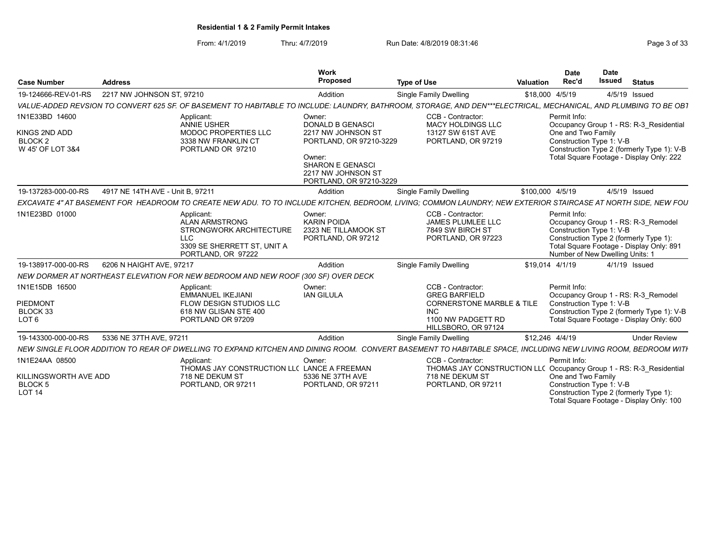From: 4/1/2019 Thru: 4/7/2019 Run Date: 4/8/2019 08:31:46 From: 4/1/2019 Page 3 of 33

| <b>Case Number</b>                                               | <b>Address</b>                   |                                                                                                                                                                  | Work<br><b>Proposed</b>                                                            | <b>Type of Use</b>                                                                       | Valuation                                | <b>Date</b><br>Rec'd                                                                         | <b>Date</b><br><b>Issued</b>                                | <b>Status</b>                                                                                                             |  |  |
|------------------------------------------------------------------|----------------------------------|------------------------------------------------------------------------------------------------------------------------------------------------------------------|------------------------------------------------------------------------------------|------------------------------------------------------------------------------------------|------------------------------------------|----------------------------------------------------------------------------------------------|-------------------------------------------------------------|---------------------------------------------------------------------------------------------------------------------------|--|--|
| 19-124666-REV-01-RS                                              | 2217 NW JOHNSON ST, 97210        |                                                                                                                                                                  | Addition                                                                           | Single Family Dwelling                                                                   |                                          | \$18,000 4/5/19                                                                              |                                                             | 4/5/19 Issued                                                                                                             |  |  |
|                                                                  |                                  | VALUE-ADDED REVSION TO CONVERT 625 SF. OF BASEMENT TO HABITABLE TO INCLUDE: LAUNDRY, BATHROOM, STORAGE, AND DEN***ELECTRICAL, MECHANICAL, AND PLUMBING TO BE OB1 |                                                                                    |                                                                                          |                                          |                                                                                              |                                                             |                                                                                                                           |  |  |
| 1N1E33BD 14600                                                   |                                  | Applicant:<br><b>ANNIE USHER</b>                                                                                                                                 | Owner:<br><b>DONALD B GENASCI</b>                                                  | CCB - Contractor:<br><b>MACY HOLDINGS LLC</b>                                            |                                          | Permit Info:                                                                                 |                                                             | Occupancy Group 1 - RS: R-3 Residential                                                                                   |  |  |
| KINGS 2ND ADD<br>BLOCK <sub>2</sub><br>W 45' OF LOT 3&4          |                                  | MODOC PROPERTIES LLC<br>3338 NW FRANKLIN CT<br>PORTLAND OR 97210                                                                                                 | 2217 NW JOHNSON ST<br>PORTLAND, OR 97210-3229                                      | 13127 SW 61ST AVE<br>PORTLAND, OR 97219                                                  |                                          | One and Two Family<br>Construction Type 1: V-B<br>Construction Type 2 (formerly Type 1): V-B |                                                             |                                                                                                                           |  |  |
|                                                                  |                                  |                                                                                                                                                                  | Owner:<br><b>SHARON E GENASCI</b><br>2217 NW JOHNSON ST<br>PORTLAND, OR 97210-3229 |                                                                                          | Total Square Footage - Display Only: 222 |                                                                                              |                                                             |                                                                                                                           |  |  |
| 19-137283-000-00-RS                                              | 4917 NE 14TH AVE - Unit B, 97211 |                                                                                                                                                                  | Addition                                                                           | Single Family Dwelling                                                                   |                                          | \$100,000 4/5/19                                                                             |                                                             | 4/5/19 Issued                                                                                                             |  |  |
|                                                                  |                                  | EXCAVATE 4" AT BASEMENT FOR HEADROOM TO CREATE NEW ADU. TO TO INCLUDE KITCHEN, BEDROOM, LIVING; COMMON LAUNDRY; NEW EXTERIOR STAIRCASE AT NORTH SIDE, NEW FOU    |                                                                                    |                                                                                          |                                          |                                                                                              |                                                             |                                                                                                                           |  |  |
| 1N1E23BD 01000                                                   |                                  | Applicant:<br><b>ALAN ARMSTRONG</b><br>STRONGWORK ARCHITECTURE<br>LLC<br>3309 SE SHERRETT ST. UNIT A<br>PORTLAND, OR 97222                                       | Owner:<br><b>KARIN POIDA</b><br>2323 NE TILLAMOOK ST<br>PORTLAND, OR 97212         | CCB - Contractor:<br>JAMES PLUMLEE LLC<br>7849 SW BIRCH ST<br>PORTLAND, OR 97223         |                                          | Permit Info:                                                                                 | Construction Type 1: V-B<br>Number of New Dwelling Units: 1 | Occupancy Group 1 - RS: R-3 Remodel<br>Construction Type 2 (formerly Type 1):<br>Total Square Footage - Display Only: 891 |  |  |
| 19-138917-000-00-RS                                              | 6206 N HAIGHT AVE, 97217         |                                                                                                                                                                  | Addition                                                                           | <b>Single Family Dwelling</b>                                                            |                                          | \$19,014 4/1/19                                                                              |                                                             | 4/1/19 Issued                                                                                                             |  |  |
|                                                                  |                                  | NEW DORMER AT NORTHEAST ELEVATION FOR NEW BEDROOM AND NEW ROOF (300 SF) OVER DECK                                                                                |                                                                                    |                                                                                          |                                          |                                                                                              |                                                             |                                                                                                                           |  |  |
| 1N1E15DB 16500<br>PIEDMONT                                       |                                  | Applicant:<br><b>EMMANUEL IKEJIANI</b><br>FLOW DESIGN STUDIOS LLC                                                                                                | Owner:<br><b>IAN GILULA</b>                                                        | CCB - Contractor:<br><b>GREG BARFIELD</b><br><b>CORNERSTONE MARBLE &amp; TILE</b>        |                                          | Permit Info:                                                                                 | Construction Type 1: V-B                                    | Occupancy Group 1 - RS: R-3 Remodel                                                                                       |  |  |
| BLOCK 33<br>LOT <sub>6</sub>                                     |                                  | 618 NW GLISAN STE 400<br>PORTLAND OR 97209                                                                                                                       |                                                                                    | <b>INC</b><br>1100 NW PADGETT RD<br>HILLSBORO, OR 97124                                  |                                          |                                                                                              |                                                             | Construction Type 2 (formerly Type 1): V-B<br>Total Square Footage - Display Only: 600                                    |  |  |
| 19-143300-000-00-RS                                              | 5336 NE 37TH AVE, 97211          |                                                                                                                                                                  | Addition                                                                           | Single Family Dwelling                                                                   |                                          | \$12,246 4/4/19                                                                              |                                                             | <b>Under Review</b>                                                                                                       |  |  |
|                                                                  |                                  | NEW SINGLE FLOOR ADDITION TO REAR OF DWELLING TO EXPAND KITCHEN AND DINING ROOM. CONVERT BASEMENT TO HABITABLE SPACE, INCLUDING NEW LIVING ROOM, BEDROOM WITH    |                                                                                    |                                                                                          |                                          |                                                                                              |                                                             |                                                                                                                           |  |  |
| 1N1E24AA 08500                                                   |                                  | Applicant:<br>THOMAS JAY CONSTRUCTION LLC LANCE A FREEMAN                                                                                                        | Owner:                                                                             | CCB - Contractor:<br>THOMAS JAY CONSTRUCTION LL( Occupancy Group 1 - RS: R-3_Residential |                                          | Permit Info:                                                                                 |                                                             |                                                                                                                           |  |  |
| KILLINGSWORTH AVE ADD<br>BLOCK <sub>5</sub><br>LOT <sub>14</sub> |                                  | 718 NE DEKUM ST<br>PORTLAND, OR 97211                                                                                                                            | 5336 NE 37TH AVE<br>PORTLAND, OR 97211                                             | 718 NE DEKUM ST<br>PORTLAND, OR 97211                                                    |                                          | One and Two Family                                                                           | Construction Type 1: V-B                                    | Construction Type 2 (formerly Type 1):<br>Total Square Footage - Display Only: 100                                        |  |  |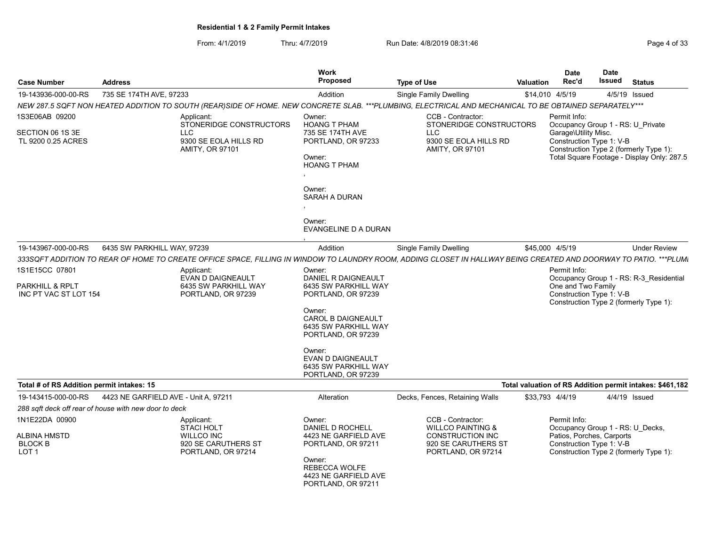From: 4/1/2019 Thru: 4/7/2019 Run Date: 4/8/2019 08:31:46 From: 4/1/2019 Page 4 of 33

| <b>Case Number</b>                                                    | <b>Address</b>                                                                                                                                                    | Work<br><b>Proposed</b>                                                               | <b>Type of Use</b>                                                                           | <b>Valuation</b> | <b>Date</b><br>Rec'd                                                  | Date<br><b>Issued</b>                                                                | <b>Status</b>                                                                     |
|-----------------------------------------------------------------------|-------------------------------------------------------------------------------------------------------------------------------------------------------------------|---------------------------------------------------------------------------------------|----------------------------------------------------------------------------------------------|------------------|-----------------------------------------------------------------------|--------------------------------------------------------------------------------------|-----------------------------------------------------------------------------------|
| 19-143936-000-00-RS                                                   | 735 SE 174TH AVE, 97233                                                                                                                                           | Addition                                                                              | <b>Single Family Dwelling</b>                                                                |                  | \$14,010 4/5/19                                                       |                                                                                      | 4/5/19 Issued                                                                     |
|                                                                       | NEW 287.5 SQFT NON HEATED ADDITION TO SOUTH (REAR)SIDE OF HOME. NEW CONCRETE SLAB. ***PLUMBING, ELECTRICAL AND MECHANICAL TO BE OBTAINED SEPARATELY***            |                                                                                       |                                                                                              |                  |                                                                       |                                                                                      |                                                                                   |
| 1S3E06AB 09200                                                        | Applicant:<br>STONERIDGE CONSTRUCTORS                                                                                                                             | Owner:<br><b>HOANG T PHAM</b>                                                         | CCB - Contractor:<br>STONERIDGE CONSTRUCTORS                                                 |                  | Permit Info:                                                          | Occupancy Group 1 - RS: U Private                                                    |                                                                                   |
| SECTION 06 1S 3E<br>TL 9200 0.25 ACRES                                | <b>LLC</b><br>9300 SE EOLA HILLS RD<br>AMITY, OR 97101                                                                                                            | 735 SE 174TH AVE<br>PORTLAND, OR 97233<br>Owner:<br><b>HOANG T PHAM</b>               | LLC<br>9300 SE EOLA HILLS RD<br>AMITY, OR 97101                                              |                  | Garage\Utility Misc.<br>Construction Type 1: V-B                      | Construction Type 2 (formerly Type 1):<br>Total Square Footage - Display Only: 287.5 |                                                                                   |
|                                                                       |                                                                                                                                                                   |                                                                                       |                                                                                              |                  |                                                                       |                                                                                      |                                                                                   |
|                                                                       |                                                                                                                                                                   | Owner:<br><b>SARAH A DURAN</b>                                                        |                                                                                              |                  |                                                                       |                                                                                      |                                                                                   |
|                                                                       |                                                                                                                                                                   | Owner:<br>EVANGELINE D A DURAN                                                        |                                                                                              |                  |                                                                       |                                                                                      |                                                                                   |
| 19-143967-000-00-RS                                                   | 6435 SW PARKHILL WAY, 97239                                                                                                                                       | Addition                                                                              | Single Family Dwelling                                                                       |                  | \$45,000 4/5/19                                                       |                                                                                      | <b>Under Review</b>                                                               |
|                                                                       | 333SQFT ADDITION TO REAR OF HOME TO CREATE OFFICE SPACE, FILLING IN WINDOW TO LAUNDRY ROOM, ADDING CLOSET IN HALLWAY BEING CREATED AND DOORWAY TO PATIO. ***PLUMI |                                                                                       |                                                                                              |                  |                                                                       |                                                                                      |                                                                                   |
| 1S1E15CC 07801<br><b>PARKHILL &amp; RPLT</b><br>INC PT VAC ST LOT 154 | Applicant:<br><b>EVAN D DAIGNEAULT</b><br>6435 SW PARKHILL WAY<br>PORTLAND, OR 97239                                                                              | Owner:<br>DANIEL R DAIGNEAULT<br>6435 SW PARKHILL WAY<br>PORTLAND, OR 97239<br>Owner: |                                                                                              |                  | Permit Info:<br>One and Two Family<br>Construction Type 1: V-B        |                                                                                      | Occupancy Group 1 - RS: R-3_Residential<br>Construction Type 2 (formerly Type 1): |
|                                                                       |                                                                                                                                                                   | <b>CAROL B DAIGNEAULT</b><br>6435 SW PARKHILL WAY<br>PORTLAND, OR 97239               |                                                                                              |                  |                                                                       |                                                                                      |                                                                                   |
|                                                                       |                                                                                                                                                                   | Owner:<br>EVAN D DAIGNEAULT<br>6435 SW PARKHILL WAY<br>PORTLAND, OR 97239             |                                                                                              |                  |                                                                       |                                                                                      |                                                                                   |
| Total # of RS Addition permit intakes: 15                             |                                                                                                                                                                   |                                                                                       |                                                                                              |                  |                                                                       |                                                                                      | Total valuation of RS Addition permit intakes: \$461,182                          |
| 19-143415-000-00-RS                                                   | 4423 NE GARFIELD AVE - Unit A. 97211                                                                                                                              | Alteration                                                                            | Decks, Fences, Retaining Walls                                                               |                  | \$33.793 4/4/19                                                       |                                                                                      | 4/4/19 Issued                                                                     |
|                                                                       | 288 sqft deck off rear of house with new door to deck                                                                                                             |                                                                                       |                                                                                              |                  |                                                                       |                                                                                      |                                                                                   |
| 1N1E22DA 00900<br><b>ALBINA HMSTD</b><br><b>BLOCK B</b>               | Applicant:<br><b>STACI HOLT</b><br><b>WILLCO INC</b><br>920 SE CARUTHERS ST                                                                                       | Owner:<br>DANIEL D ROCHELL<br>4423 NE GARFIELD AVE<br>PORTLAND, OR 97211              | CCB - Contractor:<br><b>WILLCO PAINTING &amp;</b><br>CONSTRUCTION INC<br>920 SE CARUTHERS ST |                  | Permit Info:<br>Patios, Porches, Carports<br>Construction Type 1: V-B |                                                                                      | Occupancy Group 1 - RS: U Decks,                                                  |
| LOT <sub>1</sub>                                                      | PORTLAND, OR 97214                                                                                                                                                | Owner:<br>REBECCA WOLFE<br>4423 NE GARFIELD AVE<br>PORTLAND, OR 97211                 | PORTLAND, OR 97214                                                                           |                  |                                                                       |                                                                                      | Construction Type 2 (formerly Type 1):                                            |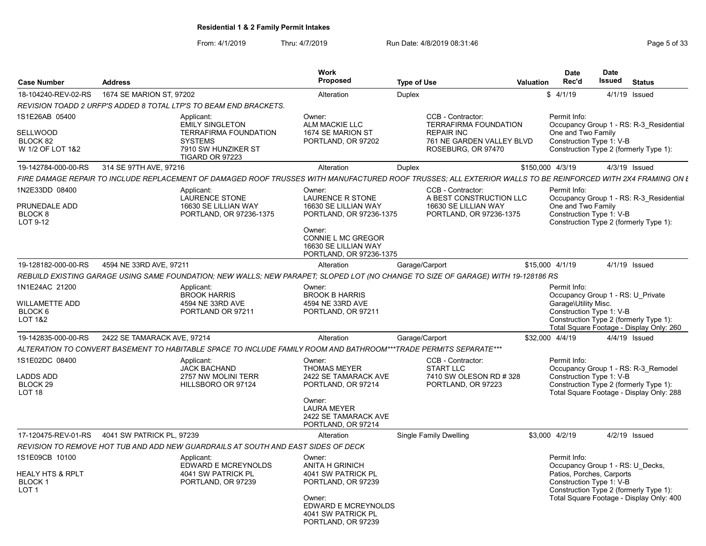From: 4/1/2019 Thru: 4/7/2019 Run Date: 4/8/2019 08:31:46 From: 4/1/2019 Page 5 of 33

| <b>Case Number</b>                                                                  | <b>Address</b>                                                                                                                                              | <b>Work</b><br><b>Proposed</b>                                                                                                                            | <b>Type of Use</b>                                                                                                        | <b>Date</b><br>Rec'd<br><b>Valuation</b> | <b>Date</b><br><b>Issued</b><br><b>Status</b>                                                                                                                                   |
|-------------------------------------------------------------------------------------|-------------------------------------------------------------------------------------------------------------------------------------------------------------|-----------------------------------------------------------------------------------------------------------------------------------------------------------|---------------------------------------------------------------------------------------------------------------------------|------------------------------------------|---------------------------------------------------------------------------------------------------------------------------------------------------------------------------------|
| 18-104240-REV-02-RS                                                                 | 1674 SE MARION ST, 97202                                                                                                                                    | Alteration                                                                                                                                                | Duplex                                                                                                                    | \$4/1/19                                 | 4/1/19 Issued                                                                                                                                                                   |
|                                                                                     | REVISION TOADD 2 URFP'S ADDED 8 TOTAL LTP'S TO BEAM END BRACKETS.                                                                                           |                                                                                                                                                           |                                                                                                                           |                                          |                                                                                                                                                                                 |
| 1S1E26AB 05400<br><b>SELLWOOD</b><br>BLOCK 82<br>W 1/2 OF LOT 1&2                   | Applicant:<br><b>EMILY SINGLETON</b><br><b>TERRAFIRMA FOUNDATION</b><br><b>SYSTEMS</b><br>7910 SW HUNZIKER ST<br><b>TIGARD OR 97223</b>                     | Owner:<br>ALM MACKIE LLC<br>1674 SE MARION ST<br>PORTLAND, OR 97202                                                                                       | CCB - Contractor:<br><b>TERRAFIRMA FOUNDATION</b><br><b>REPAIR INC</b><br>761 NE GARDEN VALLEY BLVD<br>ROSEBURG, OR 97470 | Permit Info:<br>One and Two Family       | Occupancy Group 1 - RS: R-3 Residential<br>Construction Type 1: V-B<br>Construction Type 2 (formerly Type 1):                                                                   |
| 19-142784-000-00-RS                                                                 | 314 SE 97TH AVE, 97216                                                                                                                                      | Alteration                                                                                                                                                | <b>Duplex</b>                                                                                                             | \$150,000 4/3/19                         | 4/3/19 Issued                                                                                                                                                                   |
|                                                                                     | FIRE DAMAGE REPAIR TO INCLUDE REPLACEMENT OF DAMAGED ROOF TRUSSES WITH MANUFACTURED ROOF TRUSSES: ALL EXTERIOR WALLS TO BE REINFORCED WITH 2X4 FRAMING ON L |                                                                                                                                                           |                                                                                                                           |                                          |                                                                                                                                                                                 |
| 1N2E33DD 08400<br>PRUNEDALE ADD<br>BLOCK <sub>8</sub><br>LOT 9-12                   | Applicant:<br>LAURENCE STONE<br>16630 SE LILLIAN WAY<br>PORTLAND, OR 97236-1375                                                                             | Owner:<br>LAURENCE R STONE<br>16630 SE LILLIAN WAY<br>PORTLAND, OR 97236-1375<br>Owner:<br>CONNIE L MC GREGOR                                             | CCB - Contractor:<br>A BEST CONSTRUCTION LLC<br>16630 SE LILLIAN WAY<br>PORTLAND, OR 97236-1375                           | Permit Info:<br>One and Two Family       | Occupancy Group 1 - RS: R-3 Residential<br>Construction Type 1: V-B<br>Construction Type 2 (formerly Type 1):                                                                   |
|                                                                                     |                                                                                                                                                             | 16630 SE LILLIAN WAY<br>PORTLAND, OR 97236-1375                                                                                                           |                                                                                                                           |                                          |                                                                                                                                                                                 |
| 19-128182-000-00-RS                                                                 | 4594 NE 33RD AVE, 97211                                                                                                                                     | Alteration                                                                                                                                                | Garage/Carport                                                                                                            | \$15,000 4/1/19                          | 4/1/19 Issued                                                                                                                                                                   |
|                                                                                     | REBUILD EXISTING GARAGE USING SAME FOUNDATION; NEW WALLS; NEW PARAPET; SLOPED LOT (NO CHANGE TO SIZE OF GARAGE) WITH 19-128186 RS                           |                                                                                                                                                           |                                                                                                                           |                                          |                                                                                                                                                                                 |
| 1N1E24AC 21200<br><b>WILLAMETTE ADD</b><br>BLOCK <sub>6</sub><br><b>LOT 1&amp;2</b> | Applicant:<br><b>BROOK HARRIS</b><br>4594 NE 33RD AVE<br>PORTLAND OR 97211                                                                                  | Owner:<br><b>BROOK B HARRIS</b><br>4594 NE 33RD AVE<br>PORTLAND, OR 97211                                                                                 |                                                                                                                           | Permit Info:<br>Garage\Utility Misc.     | Occupancy Group 1 - RS: U_Private<br>Construction Type 1: V-B<br>Construction Type 2 (formerly Type 1):<br>Total Square Footage - Display Only: 260                             |
| 19-142835-000-00-RS                                                                 | 2422 SE TAMARACK AVE, 97214                                                                                                                                 | Alteration                                                                                                                                                | Garage/Carport                                                                                                            | \$32,000 4/4/19                          | 4/4/19 Issued                                                                                                                                                                   |
|                                                                                     | ALTERATION TO CONVERT BASEMENT TO HABITABLE SPACE TO INCLUDE FAMILY ROOM AND BATHROOM***TRADE PERMITS SEPARATE***                                           |                                                                                                                                                           |                                                                                                                           |                                          |                                                                                                                                                                                 |
| 1S1E02DC 08400<br>LADDS ADD<br>BLOCK <sub>29</sub><br>LOT <sub>18</sub>             | Applicant:<br><b>JACK BACHAND</b><br>2757 NW MOLINI TERR<br>HILLSBORO OR 97124                                                                              | Owner:<br><b>THOMAS MEYER</b><br>2422 SE TAMARACK AVE<br>PORTLAND, OR 97214<br>Owner:                                                                     | CCB - Contractor:<br><b>START LLC</b><br>7410 SW OLESON RD # 328<br>PORTLAND, OR 97223                                    | Permit Info:                             | Occupancy Group 1 - RS: R-3 Remodel<br>Construction Type 1: V-B<br>Construction Type 2 (formerly Type 1):<br>Total Square Footage - Display Only: 288                           |
|                                                                                     |                                                                                                                                                             | <b>LAURA MEYER</b><br>2422 SE TAMARACK AVE<br>PORTLAND, OR 97214                                                                                          |                                                                                                                           |                                          |                                                                                                                                                                                 |
| 17-120475-REV-01-RS                                                                 | 4041 SW PATRICK PL, 97239                                                                                                                                   | Alteration                                                                                                                                                | Single Family Dwelling                                                                                                    | \$3,000 4/2/19                           | 4/2/19 Issued                                                                                                                                                                   |
|                                                                                     | REVISION TO REMOVE HOT TUB AND ADD NEW GUARDRAILS AT SOUTH AND EAST SIDES OF DECK                                                                           |                                                                                                                                                           |                                                                                                                           |                                          |                                                                                                                                                                                 |
| 1S1E09CB 10100<br><b>HEALY HTS &amp; RPLT</b><br>BLOCK 1<br>LOT <sub>1</sub>        | Applicant:<br><b>EDWARD E MCREYNOLDS</b><br>4041 SW PATRICK PL<br>PORTLAND, OR 97239                                                                        | Owner:<br><b>ANITA H GRINICH</b><br>4041 SW PATRICK PL<br>PORTLAND, OR 97239<br>Owner:<br>EDWARD E MCREYNOLDS<br>4041 SW PATRICK PL<br>PORTLAND, OR 97239 |                                                                                                                           | Permit Info:                             | Occupancy Group 1 - RS: U Decks,<br>Patios, Porches, Carports<br>Construction Type 1: V-B<br>Construction Type 2 (formerly Type 1):<br>Total Square Footage - Display Only: 400 |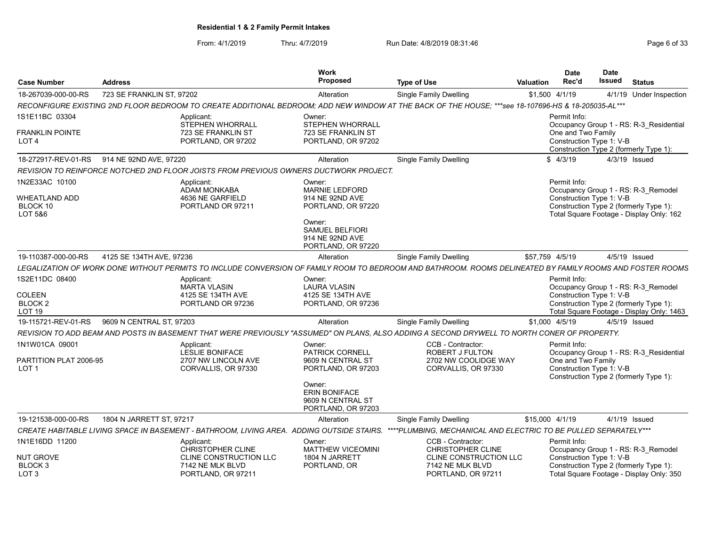From: 4/1/2019 Thru: 4/7/2019 Run Date: 4/8/2019 08:31:46 From: 4/1/2019 08:31:46

| <b>Case Number</b>                                     | <b>Address</b>            |                                                                                           | Work<br>Proposed                                                                                                                                      | <b>Type of Use</b>                                                                                                                                        | <b>Valuation</b> | <b>Date</b><br>Rec'd               | <b>Date</b><br>Issued    | <b>Status</b>                                                                                                             |
|--------------------------------------------------------|---------------------------|-------------------------------------------------------------------------------------------|-------------------------------------------------------------------------------------------------------------------------------------------------------|-----------------------------------------------------------------------------------------------------------------------------------------------------------|------------------|------------------------------------|--------------------------|---------------------------------------------------------------------------------------------------------------------------|
| 18-267039-000-00-RS                                    | 723 SE FRANKLIN ST, 97202 |                                                                                           | Alteration                                                                                                                                            | <b>Single Family Dwelling</b>                                                                                                                             | \$1,500 4/1/19   |                                    |                          | 4/1/19 Under Inspection                                                                                                   |
|                                                        |                           |                                                                                           |                                                                                                                                                       | RECONFIGURE EXISTING 2ND FLOOR BEDROOM TO CREATE ADDITIONAL BEDROOM; ADD NEW WINDOW AT THE BACK OF THE HOUSE; ***see 18-107696-HS & 18-205035-AL***       |                  |                                    |                          |                                                                                                                           |
| 1S1E11BC 03304                                         |                           | Applicant:<br><b>STEPHEN WHORRALL</b>                                                     | Owner:<br><b>STEPHEN WHORRALL</b>                                                                                                                     |                                                                                                                                                           |                  | Permit Info:                       |                          | Occupancy Group 1 - RS: R-3 Residential                                                                                   |
| <b>FRANKLIN POINTE</b><br>LOT <sub>4</sub>             |                           | 723 SE FRANKLIN ST<br>PORTLAND, OR 97202                                                  | 723 SE FRANKLIN ST<br>PORTLAND, OR 97202                                                                                                              |                                                                                                                                                           |                  | One and Two Family                 | Construction Type 1: V-B | Construction Type 2 (formerly Type 1):                                                                                    |
| 18-272917-REV-01-RS                                    | 914 NE 92ND AVE, 97220    |                                                                                           | Alteration                                                                                                                                            | Single Family Dwelling                                                                                                                                    |                  | \$4/3/19                           |                          | 4/3/19 Issued                                                                                                             |
|                                                        |                           | REVISION TO REINFORCE NOTCHED 2ND FLOOR JOISTS FROM PREVIOUS OWNERS DUCTWORK PROJECT.     |                                                                                                                                                       |                                                                                                                                                           |                  |                                    |                          |                                                                                                                           |
| 1N2E33AC 10100<br>WHEATLAND ADD<br>BLOCK 10<br>LOT 5&6 |                           | Applicant:<br><b>ADAM MONKABA</b><br>4636 NE GARFIELD<br>PORTLAND OR 97211                | Owner:<br><b>MARNIE LEDFORD</b><br>914 NE 92ND AVE<br>PORTLAND, OR 97220<br>Owner:<br><b>SAMUEL BELFIORI</b><br>914 NE 92ND AVE<br>PORTLAND, OR 97220 |                                                                                                                                                           |                  | Permit Info:                       | Construction Type 1: V-B | Occupancy Group 1 - RS: R-3 Remodel<br>Construction Type 2 (formerly Type 1):<br>Total Square Footage - Display Only: 162 |
| 19-110387-000-00-RS                                    | 4125 SE 134TH AVE, 97236  |                                                                                           | Alteration                                                                                                                                            | Single Family Dwelling                                                                                                                                    | \$57,759 4/5/19  |                                    |                          | 4/5/19 Issued                                                                                                             |
|                                                        |                           |                                                                                           |                                                                                                                                                       | LEGALIZATION OF WORK DONE WITHOUT PERMITS TO INCLUDE CONVERSION OF FAMILY ROOM TO BEDROOM AND BATHROOM. ROOMS DELINEATED BY FAMILY ROOMS AND FOSTER ROOMS |                  |                                    |                          |                                                                                                                           |
| 1S2E11DC 08400                                         |                           | Applicant:<br><b>MARTA VLASIN</b>                                                         | Owner:<br><b>LAURA VLASIN</b>                                                                                                                         |                                                                                                                                                           |                  | Permit Info:                       |                          | Occupancy Group 1 - RS: R-3 Remodel                                                                                       |
| <b>COLEEN</b><br>BLOCK 2<br><b>LOT 19</b>              |                           | 4125 SE 134TH AVE<br>PORTLAND OR 97236                                                    | 4125 SE 134TH AVE<br>PORTLAND, OR 97236                                                                                                               |                                                                                                                                                           |                  |                                    | Construction Type 1: V-B | Construction Type 2 (formerly Type 1):<br>Total Square Footage - Display Only: 1463                                       |
| 19-115721-REV-01-RS                                    | 9609 N CENTRAL ST, 97203  |                                                                                           | Alteration                                                                                                                                            | <b>Single Family Dwelling</b>                                                                                                                             | \$1,000 4/5/19   |                                    |                          | 4/5/19 Issued                                                                                                             |
|                                                        |                           |                                                                                           |                                                                                                                                                       | REVISION TO ADD BEAM AND POSTS IN BASEMENT THAT WERE PREVIOUSLY "ASSUMED" ON PLANS, ALSO ADDING A SECOND DRYWELL TO NORTH CONER OF PROPERTY.              |                  |                                    |                          |                                                                                                                           |
| 1N1W01CA 09001<br>PARTITION PLAT 2006-95               |                           | Applicant:<br><b>LESLIE BONIFACE</b><br>2707 NW LINCOLN AVE                               | Owner:<br><b>PATRICK CORNELL</b><br>9609 N CENTRAL ST                                                                                                 | CCB - Contractor:<br><b>ROBERT J FULTON</b><br>2702 NW COOLIDGE WAY                                                                                       |                  | Permit Info:<br>One and Two Family |                          | Occupancy Group 1 - RS: R-3 Residential                                                                                   |
| LOT <sub>1</sub>                                       |                           | CORVALLIS, OR 97330                                                                       | PORTLAND, OR 97203<br>Owner:<br><b>ERIN BONIFACE</b><br>9609 N CENTRAL ST<br>PORTLAND, OR 97203                                                       | CORVALLIS, OR 97330                                                                                                                                       |                  |                                    | Construction Type 1: V-B | Construction Type 2 (formerly Type 1):                                                                                    |
| 19-121538-000-00-RS                                    | 1804 N JARRETT ST, 97217  |                                                                                           | Alteration                                                                                                                                            | Single Family Dwelling                                                                                                                                    | \$15,000 4/1/19  |                                    |                          | 4/1/19 Issued                                                                                                             |
|                                                        |                           | CREATE HABITABLE LIVING SPACE IN BASEMENT - BATHROOM, LIVING AREA. ADDING OUTSIDE STAIRS. |                                                                                                                                                       | ****PLUMBING. MECHANICAL AND ELECTRIC TO BE PULLED SEPARATELY***                                                                                          |                  |                                    |                          |                                                                                                                           |
| 1N1E16DD 11200                                         |                           | Applicant:<br><b>CHRISTOPHER CLINE</b>                                                    | Owner:<br><b>MATTHEW VICEOMINI</b>                                                                                                                    | CCB - Contractor:<br><b>CHRISTOPHER CLINE</b>                                                                                                             |                  | Permit Info:                       |                          | Occupancy Group 1 - RS: R-3 Remodel                                                                                       |
| NUT GROVE<br>BLOCK 3<br>LOT <sub>3</sub>               |                           | CLINE CONSTRUCTION LLC<br>7142 NE MLK BLVD<br>PORTLAND, OR 97211                          | 1804 N JARRETT<br>PORTLAND, OR                                                                                                                        | CLINE CONSTRUCTION LLC<br>7142 NE MLK BLVD<br>PORTLAND, OR 97211                                                                                          |                  |                                    | Construction Type 1: V-B | Construction Type 2 (formerly Type 1):<br>Total Square Footage - Display Only: 350                                        |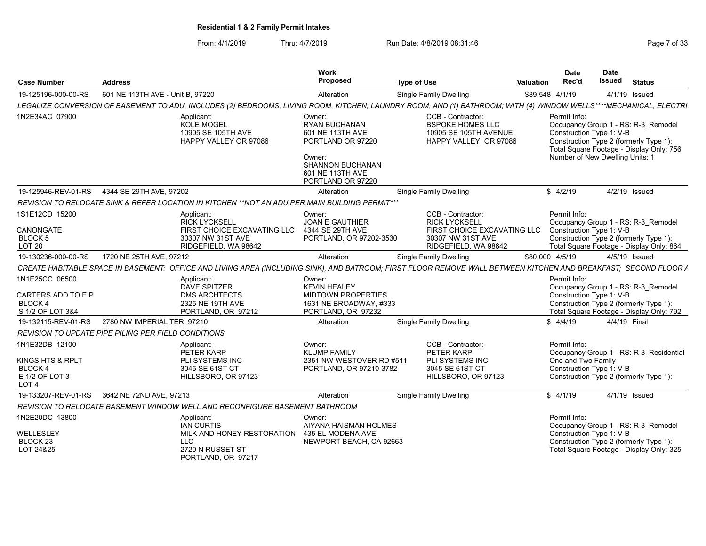From: 4/1/2019 Thru: 4/7/2019 Run Date: 4/8/2019 08:31:46 From: 4/1/2019 Page 7 of 33

| <b>Case Number</b>                                                                             | <b>Address</b>                               |                                                                                                                                                                   | Work<br>Proposed                                                                                                                                      | <b>Type of Use</b>                                                                                                    | Valuation | <b>Date</b><br>Rec'd                                                        | <b>Date</b><br><b>Issued</b> | <b>Status</b>                                                                                                             |
|------------------------------------------------------------------------------------------------|----------------------------------------------|-------------------------------------------------------------------------------------------------------------------------------------------------------------------|-------------------------------------------------------------------------------------------------------------------------------------------------------|-----------------------------------------------------------------------------------------------------------------------|-----------|-----------------------------------------------------------------------------|------------------------------|---------------------------------------------------------------------------------------------------------------------------|
| 19-125196-000-00-RS                                                                            | 601 NE 113TH AVE - Unit B. 97220             |                                                                                                                                                                   | Alteration                                                                                                                                            | <b>Single Family Dwelling</b>                                                                                         |           | \$89,548 4/1/19                                                             |                              | 4/1/19 Issued                                                                                                             |
|                                                                                                |                                              | LEGALIZE CONVERSION OF BASEMENT TO ADU, INCLUDES (2) BEDROOMS, LIVING ROOM, KITCHEN, LAUNDRY ROOM, AND (1) BATHROOM; WITH (4) WINDOW WELLS****MECHANICAL, ELECTRI |                                                                                                                                                       |                                                                                                                       |           |                                                                             |                              |                                                                                                                           |
| 1N2E34AC 07900                                                                                 |                                              | Applicant:<br><b>KOLE MOGEL</b><br>10905 SE 105TH AVE<br>HAPPY VALLEY OR 97086                                                                                    | Owner:<br><b>RYAN BUCHANAN</b><br>601 NE 113TH AVE<br>PORTLAND OR 97220<br>Owner:<br><b>SHANNON BUCHANAN</b><br>601 NE 113TH AVE<br>PORTLAND OR 97220 | CCB - Contractor:<br><b>BSPOKE HOMES LLC</b><br>10905 SE 105TH AVENUE<br>HAPPY VALLEY, OR 97086                       |           | Permit Info:<br>Construction Type 1: V-B<br>Number of New Dwelling Units: 1 |                              | Occupancy Group 1 - RS: R-3 Remodel<br>Construction Type 2 (formerly Type 1):<br>Total Square Footage - Display Only: 756 |
|                                                                                                | 19-125946-REV-01-RS  4344 SE 29TH AVE, 97202 |                                                                                                                                                                   | Alteration                                                                                                                                            | <b>Single Family Dwelling</b>                                                                                         |           | \$4/2/19                                                                    |                              | 4/2/19 Issued                                                                                                             |
|                                                                                                |                                              | REVISION TO RELOCATE SINK & REFER LOCATION IN KITCHEN **NOT AN ADU PER MAIN BUILDING PERMIT***                                                                    |                                                                                                                                                       |                                                                                                                       |           |                                                                             |                              |                                                                                                                           |
| 1S1E12CD 15200<br>CANONGATE<br><b>BLOCK5</b><br>LOT <sub>20</sub>                              |                                              | Applicant:<br><b>RICK LYCKSELL</b><br>FIRST CHOICE EXCAVATING LLC<br>30307 NW 31ST AVE<br>RIDGEFIELD, WA 98642                                                    | Owner:<br><b>JOAN E GAUTHIER</b><br>4344 SE 29TH AVE<br>PORTLAND, OR 97202-3530                                                                       | CCB - Contractor:<br><b>RICK LYCKSELL</b><br>FIRST CHOICE EXCAVATING LLC<br>30307 NW 31ST AVE<br>RIDGEFIELD, WA 98642 |           | Permit Info:<br>Construction Type 1: V-B                                    |                              | Occupancy Group 1 - RS: R-3 Remodel<br>Construction Type 2 (formerly Type 1):<br>Total Square Footage - Display Only: 864 |
| 19-130236-000-00-RS                                                                            | 1720 NE 25TH AVE, 97212                      |                                                                                                                                                                   | Alteration                                                                                                                                            | Single Family Dwelling                                                                                                |           | \$80,000 4/5/19                                                             |                              | 4/5/19 Issued                                                                                                             |
|                                                                                                |                                              | CREATE HABITABLE SPACE IN BASEMENT: OFFICE AND LIVING AREA (INCLUDING SINK), AND BATROOM; FIRST FLOOR REMOVE WALL BETWEEN KITCHEN AND BREAKFAST; SECOND FLOOR A   |                                                                                                                                                       |                                                                                                                       |           |                                                                             |                              |                                                                                                                           |
| 1N1E25CC 06500<br>CARTERS ADD TO E P<br><b>BLOCK4</b><br>S 1/2 OF LOT 3&4                      |                                              | Applicant:<br><b>DAVE SPITZER</b><br><b>DMS ARCHTECTS</b><br>2325 NE 19TH AVE<br>PORTLAND, OR 97212                                                               | Owner:<br><b>KEVIN HEALEY</b><br><b>MIDTOWN PROPERTIES</b><br>1631 NE BROADWAY, #333<br>PORTLAND, OR 97232                                            |                                                                                                                       |           | Permit Info:<br>Construction Type 1: V-B                                    |                              | Occupancy Group 1 - RS: R-3 Remodel<br>Construction Type 2 (formerly Type 1):<br>Total Square Footage - Display Only: 792 |
| 19-132115-REV-01-RS                                                                            | 2780 NW IMPERIAL TER, 97210                  |                                                                                                                                                                   | Alteration                                                                                                                                            | <b>Single Family Dwelling</b>                                                                                         |           | \$4/4/19                                                                    | 4/4/19 Final                 |                                                                                                                           |
| <b>REVISION TO UPDATE PIPE PILING PER FIELD CONDITIONS</b>                                     |                                              |                                                                                                                                                                   |                                                                                                                                                       |                                                                                                                       |           |                                                                             |                              |                                                                                                                           |
| 1N1E32DB 12100<br>KINGS HTS & RPLT<br>BLOCK <sub>4</sub><br>E 1/2 OF LOT 3<br>LOT <sub>4</sub> |                                              | Applicant:<br>PETER KARP<br>PLI SYSTEMS INC<br>3045 SE 61ST CT<br>HILLSBORO, OR 97123                                                                             | Owner:<br><b>KLUMP FAMILY</b><br>2351 NW WESTOVER RD #511<br>PORTLAND, OR 97210-3782                                                                  | CCB - Contractor:<br>PETER KARP<br>PLI SYSTEMS INC<br>3045 SE 61ST CT<br>HILLSBORO, OR 97123                          |           | Permit Info:<br>One and Two Family<br>Construction Type 1: V-B              |                              | Occupancy Group 1 - RS: R-3 Residential<br>Construction Type 2 (formerly Type 1):                                         |
| 19-133207-REV-01-RS                                                                            | 3642 NE 72ND AVE, 97213                      |                                                                                                                                                                   | Alteration                                                                                                                                            | <b>Single Family Dwelling</b>                                                                                         |           | \$4/1/19                                                                    |                              | 4/1/19 Issued                                                                                                             |
|                                                                                                |                                              | REVISION TO RELOCATE BASEMENT WINDOW WELL AND RECONFIGURE BASEMENT BATHROOM                                                                                       |                                                                                                                                                       |                                                                                                                       |           |                                                                             |                              |                                                                                                                           |
| 1N2E20DC 13800<br>WELLESLEY<br>BLOCK <sub>23</sub><br>LOT 24&25                                |                                              | Applicant:<br><b>IAN CURTIS</b><br>MILK AND HONEY RESTORATION<br><b>LLC</b><br>2720 N RUSSET ST<br>PORTLAND, OR 97217                                             | Owner:<br>AIYANA HAISMAN HOLMES<br>435 EL MODENA AVE<br>NEWPORT BEACH, CA 92663                                                                       |                                                                                                                       |           | Permit Info:<br>Construction Type 1: V-B                                    |                              | Occupancy Group 1 - RS: R-3 Remodel<br>Construction Type 2 (formerly Type 1):<br>Total Square Footage - Display Only: 325 |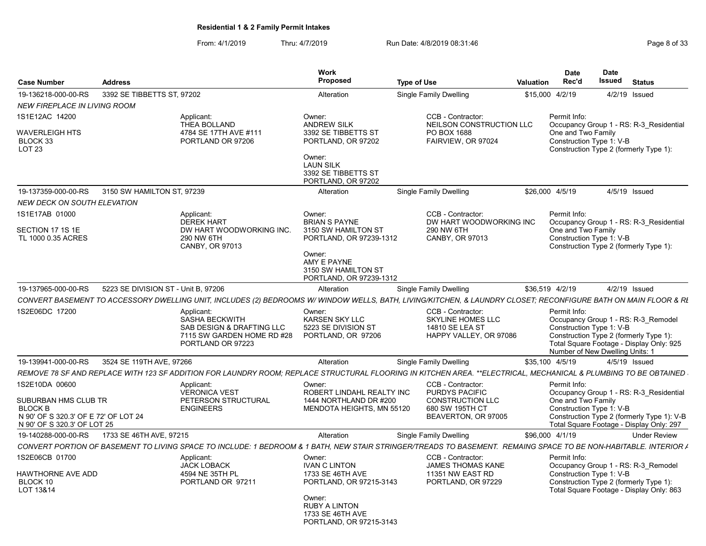From: 4/1/2019 Thru: 4/7/2019 Run Date: 4/8/2019 08:31:46 From: 4/1/2019 08:31:46

|                                                                                                  |                                                                                                                                                                                                      | Work                                                                                                                 |                                                                                                                 | <b>Date</b>                                                    | Date                                                                                                                                                         |
|--------------------------------------------------------------------------------------------------|------------------------------------------------------------------------------------------------------------------------------------------------------------------------------------------------------|----------------------------------------------------------------------------------------------------------------------|-----------------------------------------------------------------------------------------------------------------|----------------------------------------------------------------|--------------------------------------------------------------------------------------------------------------------------------------------------------------|
| <b>Address</b><br>Case Number                                                                    |                                                                                                                                                                                                      | Proposed                                                                                                             | <b>Type of Use</b>                                                                                              | Rec'd<br>Valuation                                             | Issued<br>Status                                                                                                                                             |
| 19-136218-000-00-RS<br>3392 SE TIBBETTS ST, 97202                                                |                                                                                                                                                                                                      | Alteration                                                                                                           | <b>Single Family Dwelling</b>                                                                                   | \$15,000 4/2/19                                                | 4/2/19 Issued                                                                                                                                                |
| <b>NEW FIREPLACE IN LIVING ROOM</b>                                                              |                                                                                                                                                                                                      |                                                                                                                      |                                                                                                                 |                                                                |                                                                                                                                                              |
| S1E12AC 14200                                                                                    | Applicant:<br>THEA BOLLAND                                                                                                                                                                           | Owner:<br><b>ANDREW SILK</b>                                                                                         | CCB - Contractor:<br>NEILSON CONSTRUCTION LLC                                                                   | Permit Info:                                                   | Occupancy Group 1 - RS: R-3 Residential                                                                                                                      |
| <b>WAVERLEIGH HTS</b><br>BLOCK 33<br>LOT 23                                                      | 4784 SE 17TH AVE #111<br>PORTLAND OR 97206                                                                                                                                                           | 3392 SE TIBBETTS ST<br>PORTLAND, OR 97202<br>Owner:<br><b>LAUN SILK</b><br>3392 SE TIBBETTS ST<br>PORTLAND, OR 97202 | PO BOX 1688<br>FAIRVIEW, OR 97024                                                                               | One and Two Family<br>Construction Type 1: V-B                 | Construction Type 2 (formerly Type 1):                                                                                                                       |
| 19-137359-000-00-RS 3150 SW HAMILTON ST, 97239                                                   |                                                                                                                                                                                                      | Alteration                                                                                                           | Single Family Dwelling                                                                                          | \$26,000 4/5/19                                                | 4/5/19 Issued                                                                                                                                                |
| NEW DECK ON SOUTH ELEVATION                                                                      |                                                                                                                                                                                                      |                                                                                                                      |                                                                                                                 |                                                                |                                                                                                                                                              |
| S1E17AB 01000<br>SECTION 17 1S 1E<br>TL 1000 0.35 ACRES                                          | Applicant:<br><b>DEREK HART</b><br>DW HART WOODWORKING INC.<br>290 NW 6TH<br>CANBY, OR 97013                                                                                                         | Owner:<br><b>BRIAN S PAYNE</b><br>3150 SW HAMILTON ST<br>PORTLAND, OR 97239-1312<br>Owner:                           | CCB - Contractor:<br>DW HART WOODWORKING INC<br>290 NW 6TH<br>CANBY, OR 97013                                   | Permit Info:<br>One and Two Family<br>Construction Type 1: V-B | Occupancy Group 1 - RS: R-3 Residential<br>Construction Type 2 (formerly Type 1):                                                                            |
|                                                                                                  |                                                                                                                                                                                                      | AMY E PAYNE<br>3150 SW HAMILTON ST<br>PORTLAND, OR 97239-1312                                                        |                                                                                                                 |                                                                |                                                                                                                                                              |
| 19-137965-000-00-RS                                                                              | 5223 SE DIVISION ST - Unit B, 97206                                                                                                                                                                  | Alteration                                                                                                           | Single Family Dwelling                                                                                          | \$36,519 4/2/19                                                | 4/2/19 Issued                                                                                                                                                |
|                                                                                                  | CONVERT BASEMENT TO ACCESSORY DWELLING UNIT, INCLUDES (2) BEDROOMS W/ WINDOW WELLS, BATH, LIVING/KITCHEN, & LAUNDRY CLOSET; RECONFIGURE BATH ON MAIN FLOOR & RI                                      |                                                                                                                      |                                                                                                                 |                                                                |                                                                                                                                                              |
| S2E06DC 17200                                                                                    | Applicant:<br>SASHA BECKWITH<br>SAB DESIGN & DRAFTING LLC<br>7115 SW GARDEN HOME RD #28<br>PORTLAND OR 97223                                                                                         | Owner:<br>KARSEN SKY LLC<br>5223 SE DIVISION ST<br>PORTLAND, OR 97206                                                | CCB - Contractor:<br><b>SKYLINE HOMES LLC</b><br>14810 SE LEA ST<br>HAPPY VALLEY, OR 97086                      | Permit Info:<br>Construction Type 1: V-B                       | Occupancy Group 1 - RS: R-3_Remodel<br>Construction Type 2 (formerly Type 1):<br>Total Square Footage - Display Only: 925<br>Number of New Dwelling Units: 1 |
| 19-139941-000-00-RS 3524 SE 119TH AVE, 97266                                                     |                                                                                                                                                                                                      | Alteration                                                                                                           | Single Family Dwelling                                                                                          | \$35,100 4/5/19                                                | 4/5/19 Issued                                                                                                                                                |
|                                                                                                  | REMOVE 78 SF AND REPLACE WITH 123 SF ADDITION FOR LAUNDRY ROOM; REPLACE STRUCTURAL FLOORING IN KITCHEN AREA. **ELECTRICAL, MECHANICAL & PLUMBING TO BE OBTAINED                                      |                                                                                                                      |                                                                                                                 |                                                                |                                                                                                                                                              |
| 1S2E10DA 00600<br>SUBURBAN HMS CLUB TR<br><b>BLOCK B</b><br>N 90' OF S 320.3' OF E 72' OF LOT 24 | Applicant:<br><b>VERONICA VEST</b><br>PETERSON STRUCTURAL<br><b>ENGINEERS</b>                                                                                                                        | Owner:<br>ROBERT LINDAHL REALTY INC<br>1444 NORTHLAND DR #200<br>MENDOTA HEIGHTS, MN 55120                           | CCB - Contractor:<br><b>PURDYS PACIFIC</b><br><b>CONSTRUCTION LLC</b><br>680 SW 195TH CT<br>BEAVERTON, OR 97005 | Permit Info:<br>One and Two Family                             | Occupancy Group 1 - RS: R-3_Residential<br>Construction Type 1: V-B<br>Construction Type 2 (formerly Type 1): V-B                                            |
|                                                                                                  |                                                                                                                                                                                                      |                                                                                                                      |                                                                                                                 |                                                                | Total Square Footage - Display Only: 297                                                                                                                     |
| N 90' OF S 320.3' OF LOT 25                                                                      |                                                                                                                                                                                                      |                                                                                                                      |                                                                                                                 |                                                                |                                                                                                                                                              |
|                                                                                                  |                                                                                                                                                                                                      | Alteration                                                                                                           | <b>Single Family Dwelling</b>                                                                                   | \$96,000 4/1/19                                                | <b>Under Review</b>                                                                                                                                          |
| S2E06CB 01700                                                                                    | CONVERT PORTION OF BASEMENT TO LIVING SPACE TO INCLUDE: 1 BEDROOM & 1 BATH, NEW STAIR STRINGER/TREADS TO BASEMENT. REMAING SPACE TO BE NON-HABITABLE. INTERIOR A<br>Applicant:<br><b>JACK LOBACK</b> | Owner:<br><b>IVAN C LINTON</b>                                                                                       | CCB - Contractor:<br><b>JAMES THOMAS KANE</b>                                                                   | Permit Info:                                                   | Occupancy Group 1 - RS: R-3_Remodel                                                                                                                          |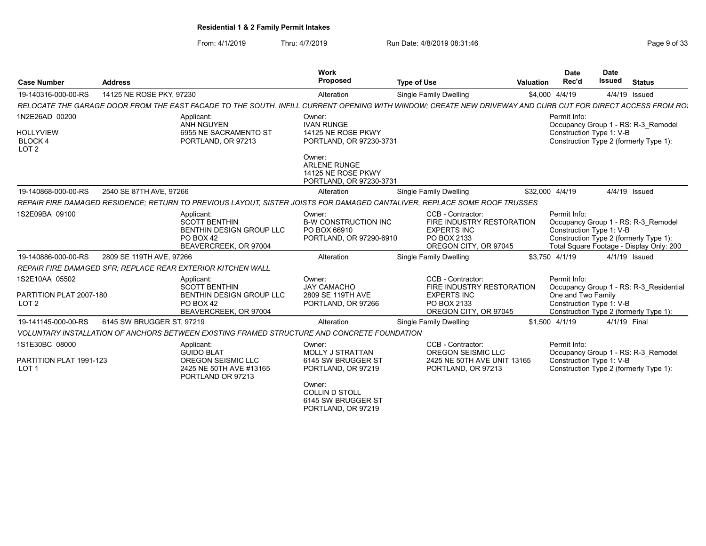From: 4/1/2019 Thru: 4/7/2019 Run Date: 4/8/2019 08:31:46 From: 4/1/2019 Page 9 of 33

| <b>Case Number</b>                                            | <b>Address</b>                                                                                                                                              | <b>Work</b><br>Proposed                                                        | <b>Type of Use</b>                                                                                                                                                     | <b>Valuation</b> | <b>Date</b><br>Rec'd                                           | <b>Date</b><br><b>Issued</b> | <b>Status</b>                                                                                                             |
|---------------------------------------------------------------|-------------------------------------------------------------------------------------------------------------------------------------------------------------|--------------------------------------------------------------------------------|------------------------------------------------------------------------------------------------------------------------------------------------------------------------|------------------|----------------------------------------------------------------|------------------------------|---------------------------------------------------------------------------------------------------------------------------|
| 19-140316-000-00-RS                                           | 14125 NE ROSE PKY, 97230                                                                                                                                    | Alteration                                                                     | Single Family Dwelling                                                                                                                                                 |                  | \$4,000 4/4/19                                                 |                              | 4/4/19 Issued                                                                                                             |
|                                                               | RELOCATE THE GARAGE DOOR FROM THE EAST FACADE TO THE SOUTH. INFILL CURRENT OPENING WITH WINDOW: CREATE NEW DRIVEWAY AND CURB CUT FOR DIRECT ACCESS FROM RO. |                                                                                |                                                                                                                                                                        |                  |                                                                |                              |                                                                                                                           |
| 1N2E26AD 00200                                                | Applicant:<br>ANH NGUYEN                                                                                                                                    | Owner:<br><b>IVAN RUNGE</b>                                                    |                                                                                                                                                                        |                  | Permit Info:                                                   |                              | Occupancy Group 1 - RS: R-3 Remodel                                                                                       |
| <b>HOLLYVIEW</b><br><b>BLOCK4</b><br>LOT <sub>2</sub>         | 6955 NE SACRAMENTO ST<br>PORTLAND, OR 97213                                                                                                                 | 14125 NE ROSE PKWY<br>PORTLAND, OR 97230-3731                                  |                                                                                                                                                                        |                  | Construction Type 1: V-B                                       |                              | Construction Type 2 (formerly Type 1):                                                                                    |
|                                                               |                                                                                                                                                             | Owner:<br><b>ARLENE RUNGE</b><br>14125 NE ROSE PKWY<br>PORTLAND, OR 97230-3731 |                                                                                                                                                                        |                  |                                                                |                              |                                                                                                                           |
| 19-140868-000-00-RS                                           | 2540 SE 87TH AVE, 97266                                                                                                                                     | Alteration                                                                     | Single Family Dwelling                                                                                                                                                 |                  | \$32,000 4/4/19                                                |                              | 4/4/19 Issued                                                                                                             |
|                                                               | REPAIR FIRE DAMAGED RESIDENCE: RETURN TO PREVIOUS LAYOUT, SISTER JOISTS FOR DAMAGED CANTALIVER, REPLACE SOME ROOF TRUSSES                                   |                                                                                |                                                                                                                                                                        |                  |                                                                |                              |                                                                                                                           |
| 1S2E09BA 09100                                                | Applicant:<br><b>SCOTT BENTHIN</b><br>BENTHIN DESIGN GROUP LLC<br>PO BOX 42<br>BEAVERCREEK, OR 97004                                                        |                                                                                | CCB - Contractor:<br><b>B-W CONSTRUCTION INC</b><br>FIRE INDUSTRY RESTORATION<br><b>EXPERTS INC</b><br>PORTLAND, OR 97290-6910<br>PO BOX 2133<br>OREGON CITY, OR 97045 |                  | Permit Info:<br>Construction Type 1: V-B                       |                              | Occupancy Group 1 - RS: R-3 Remodel<br>Construction Type 2 (formerly Type 1):<br>Total Square Footage - Display Only: 200 |
| 19-140886-000-00-RS                                           | 2809 SE 119TH AVE, 97266                                                                                                                                    | Alteration                                                                     | Single Family Dwelling                                                                                                                                                 |                  | \$3,750 4/1/19                                                 |                              | 4/1/19 Issued                                                                                                             |
|                                                               | REPAIR FIRE DAMAGED SFR; REPLACE REAR EXTERIOR KITCHEN WALL                                                                                                 |                                                                                |                                                                                                                                                                        |                  |                                                                |                              |                                                                                                                           |
| 1S2E10AA 05502<br>PARTITION PLAT 2007-180<br>LOT <sub>2</sub> | Applicant:<br><b>SCOTT BENTHIN</b><br><b>BENTHIN DESIGN GROUP LLC</b><br>PO BOX 42<br>BEAVERCREEK, OR 97004                                                 | Owner:<br><b>JAY CAMACHO</b><br>2809 SE 119TH AVE<br>PORTLAND, OR 97266        | CCB - Contractor:<br>FIRE INDUSTRY RESTORATION<br><b>EXPERTS INC</b><br>PO BOX 2133<br>OREGON CITY, OR 97045                                                           |                  | Permit Info:<br>One and Two Family<br>Construction Type 1: V-B |                              | Occupancy Group 1 - RS: R-3 Residential<br>Construction Type 2 (formerly Type 1):                                         |
| 19-141145-000-00-RS                                           | 6145 SW BRUGGER ST, 97219                                                                                                                                   | Alteration                                                                     | Single Family Dwelling                                                                                                                                                 |                  | \$1,500 4/1/19                                                 |                              | 4/1/19 Final                                                                                                              |
|                                                               | VOLUNTARY INSTALLATION OF ANCHORS BETWEEN EXISTING FRAMED STRUCTURE AND CONCRETE FOUNDATION                                                                 |                                                                                |                                                                                                                                                                        |                  |                                                                |                              |                                                                                                                           |
| 1S1E30BC 08000<br>PARTITION PLAT 1991-123<br>LOT <sub>1</sub> | Applicant:<br><b>GUIDO BLAT</b><br><b>OREGON SEISMIC LLC</b><br>2425 NE 50TH AVE #13165<br>PORTLAND OR 97213                                                | Owner:<br><b>MOLLY J STRATTAN</b><br>6145 SW BRUGGER ST<br>PORTLAND, OR 97219  | CCB - Contractor:<br>OREGON SEISMIC LLC<br>2425 NE 50TH AVE UNIT 13165<br>PORTLAND, OR 97213                                                                           |                  | Permit Info:<br>Construction Type 1: V-B                       |                              | Occupancy Group 1 - RS: R-3 Remodel<br>Construction Type 2 (formerly Type 1):                                             |
|                                                               |                                                                                                                                                             | Owner:<br><b>COLLIN D STOLL</b><br>6145 SW BRUGGER ST                          |                                                                                                                                                                        |                  |                                                                |                              |                                                                                                                           |

PORTLAND, OR 97219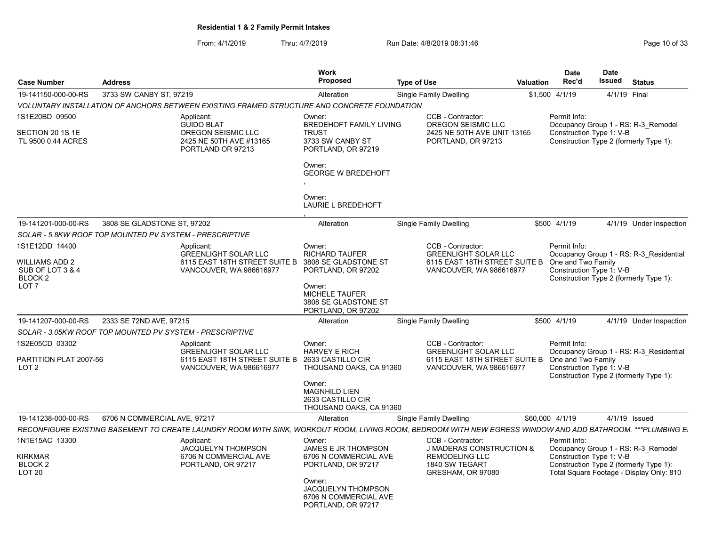From: 4/1/2019 Thru: 4/7/2019 Run Date: 4/8/2019 08:31:46 From: 4/1/2019 Page 10 of 33

| <b>Case Number</b>                                       | <b>Address</b>                                                                                                                                                         | <b>Work</b><br><b>Proposed</b>                                                                                                            | <b>Type of Use</b>                                                                                                  | Valuation | <b>Date</b><br>Rec'd                                           | <b>Date</b><br>Issued | <b>Status</b>                                                                      |
|----------------------------------------------------------|------------------------------------------------------------------------------------------------------------------------------------------------------------------------|-------------------------------------------------------------------------------------------------------------------------------------------|---------------------------------------------------------------------------------------------------------------------|-----------|----------------------------------------------------------------|-----------------------|------------------------------------------------------------------------------------|
| 19-141150-000-00-RS                                      | 3733 SW CANBY ST, 97219                                                                                                                                                | Alteration                                                                                                                                | Single Family Dwelling                                                                                              |           | \$1,500 4/1/19                                                 |                       | 4/1/19 Final                                                                       |
|                                                          | VOLUNTARY INSTALLATION OF ANCHORS BETWEEN EXISTING FRAMED STRUCTURE AND CONCRETE FOUNDATION                                                                            |                                                                                                                                           |                                                                                                                     |           |                                                                |                       |                                                                                    |
| 1S1E20BD 09500<br>SECTION 20 1S 1E<br>TL 9500 0.44 ACRES | Applicant:<br><b>GUIDO BLAT</b><br>OREGON SEISMIC LLC<br>2425 NE 50TH AVE #13165<br>PORTLAND OR 97213                                                                  | Owner:<br><b>BREDEHOFT FAMILY LIVING</b><br><b>TRUST</b><br>3733 SW CANBY ST<br>PORTLAND, OR 97219<br>Owner:<br><b>GEORGE W BREDEHOFT</b> | CCB - Contractor:<br>OREGON SEISMIC LLC<br>2425 NE 50TH AVE UNIT 13165<br>PORTLAND, OR 97213                        |           | Permit Info:<br>Construction Type 1: V-B                       |                       | Occupancy Group 1 - RS: R-3 Remodel<br>Construction Type 2 (formerly Type 1):      |
|                                                          |                                                                                                                                                                        | Owner:<br><b>LAURIE L BREDEHOFT</b>                                                                                                       |                                                                                                                     |           |                                                                |                       |                                                                                    |
| 19-141201-000-00-RS                                      | 3808 SE GLADSTONE ST, 97202                                                                                                                                            | Alteration                                                                                                                                | Single Family Dwelling                                                                                              |           | \$500 4/1/19                                                   |                       | 4/1/19 Under Inspection                                                            |
|                                                          | SOLAR - 5.8KW ROOF TOP MOUNTED PV SYSTEM - PRESCRIPTIVE                                                                                                                |                                                                                                                                           |                                                                                                                     |           |                                                                |                       |                                                                                    |
| 1S1E12DD 14400<br>WILLIAMS ADD 2                         | Applicant:<br><b>GREENLIGHT SOLAR LLC</b><br>6115 EAST 18TH STREET SUITE B                                                                                             | Owner:<br><b>RICHARD TAUFER</b><br>3808 SE GLADSTONE ST                                                                                   | CCB - Contractor:<br><b>GREENLIGHT SOLAR LLC</b><br>6115 EAST 18TH STREET SUITE B                                   |           | Permit Info:<br>One and Two Family                             |                       | Occupancy Group 1 - RS: R-3_Residential                                            |
| SUB OF LOT 3 & 4<br>BLOCK 2                              | VANCOUVER, WA 986616977                                                                                                                                                | PORTLAND, OR 97202                                                                                                                        | <b>VANCOUVER, WA 986616977</b>                                                                                      |           | Construction Type 1: V-B                                       |                       | Construction Type 2 (formerly Type 1):                                             |
| LOT <sub>7</sub>                                         |                                                                                                                                                                        | Owner:<br><b>MICHELE TAUFER</b><br>3808 SE GLADSTONE ST<br>PORTLAND, OR 97202                                                             |                                                                                                                     |           |                                                                |                       |                                                                                    |
| 19-141207-000-00-RS                                      | 2333 SE 72ND AVE, 97215                                                                                                                                                | Alteration                                                                                                                                | <b>Single Family Dwelling</b>                                                                                       |           | \$500 4/1/19                                                   |                       | 4/1/19 Under Inspection                                                            |
|                                                          | SOLAR - 3.05KW ROOF TOP MOUNTED PV SYSTEM - PRESCRIPTIVE                                                                                                               |                                                                                                                                           |                                                                                                                     |           |                                                                |                       |                                                                                    |
| 1S2E05CD 03302<br>PARTITION PLAT 2007-56<br>LOT 2        | Applicant:<br><b>GREENLIGHT SOLAR LLC</b><br>6115 EAST 18TH STREET SUITE B 2633 CASTILLO CIR<br>VANCOUVER, WA 986616977                                                | Owner:<br><b>HARVEY E RICH</b><br>THOUSAND OAKS, CA 91360                                                                                 | CCB - Contractor:<br><b>GREENLIGHT SOLAR LLC</b><br>6115 EAST 18TH STREET SUITE B<br><b>VANCOUVER, WA 986616977</b> |           | Permit Info:<br>One and Two Family<br>Construction Type 1: V-B |                       | Occupancy Group 1 - RS: R-3 Residential<br>Construction Type 2 (formerly Type 1):  |
|                                                          |                                                                                                                                                                        | Owner:<br><b>MAGNHILD LIEN</b><br>2633 CASTILLO CIR<br>THOUSAND OAKS, CA 91360                                                            |                                                                                                                     |           |                                                                |                       |                                                                                    |
| 19-141238-000-00-RS                                      | 6706 N COMMERCIAL AVE, 97217                                                                                                                                           | Alteration                                                                                                                                | Single Family Dwelling                                                                                              |           | \$60,000 4/1/19                                                |                       | 4/1/19 Issued                                                                      |
|                                                          | RECONFIGURE EXISTING BASEMENT TO CREATE LAUNDRY ROOM WITH SINK, WORKOUT ROOM, LIVING ROOM, BEDROOM WITH NEW EGRESS WINDOW AND ADD BATHROOM. ***PLUMBING E <sub>'</sub> |                                                                                                                                           |                                                                                                                     |           |                                                                |                       |                                                                                    |
| 1N1E15AC 13300                                           | Applicant:<br>JACQUELYN THOMPSON                                                                                                                                       | Owner:<br><b>JAMES E JR THOMPSON</b>                                                                                                      | CCB - Contractor:<br><b>J MADERAS CONSTRUCTION &amp;</b>                                                            |           | Permit Info:                                                   |                       | Occupancy Group 1 - RS: R-3_Remodel                                                |
| KIRKMAR<br>BLOCK <sub>2</sub><br>LOT <sub>20</sub>       | 6706 N COMMERCIAL AVE<br>PORTLAND, OR 97217                                                                                                                            | 6706 N COMMERCIAL AVE<br>PORTLAND, OR 97217                                                                                               | <b>REMODELING LLC</b><br>1840 SW TEGART<br>GRESHAM, OR 97080                                                        |           | Construction Type 1: V-B                                       |                       | Construction Type 2 (formerly Type 1):<br>Total Square Footage - Display Only: 810 |
|                                                          |                                                                                                                                                                        | Owner:<br><b>JACQUELYN THOMPSON</b><br>6706 N COMMERCIAL AVE<br>PORTLAND, OR 97217                                                        |                                                                                                                     |           |                                                                |                       |                                                                                    |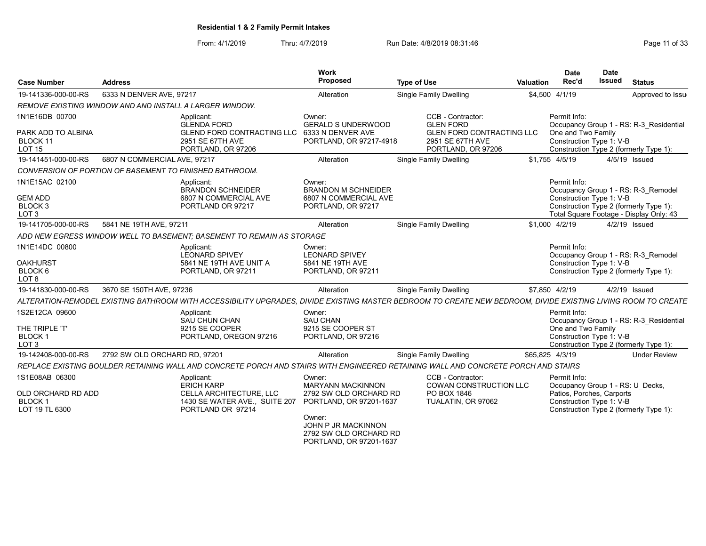From: 4/1/2019 Thru: 4/7/2019 Run Date: 4/8/2019 08:31:46 From: 4/1/2019 Page 11 of 33

| Case Number                                                                | <b>Address</b>                                          |                                                                                                                                                               | Work<br>Proposed                                                                        | <b>Type of Use</b>                                                  | <b>Valuation</b> | <b>Date</b><br>Rec'd                                                                      | <b>Date</b><br><b>Issued</b> | <b>Status</b>                                                                                                            |
|----------------------------------------------------------------------------|---------------------------------------------------------|---------------------------------------------------------------------------------------------------------------------------------------------------------------|-----------------------------------------------------------------------------------------|---------------------------------------------------------------------|------------------|-------------------------------------------------------------------------------------------|------------------------------|--------------------------------------------------------------------------------------------------------------------------|
| 19-141336-000-00-RS                                                        | 6333 N DENVER AVE, 97217                                |                                                                                                                                                               | Alteration                                                                              | Single Family Dwelling                                              |                  | \$4,500 4/1/19                                                                            |                              | Approved to Issue                                                                                                        |
|                                                                            | REMOVE EXISTING WINDOW AND AND INSTALL A LARGER WINDOW. |                                                                                                                                                               |                                                                                         |                                                                     |                  |                                                                                           |                              |                                                                                                                          |
| 1N1E16DB 00700                                                             |                                                         | Applicant:<br><b>GLENDA FORD</b>                                                                                                                              | Owner:<br><b>GERALD S UNDERWOOD</b>                                                     | CCB - Contractor:<br><b>GLEN FORD</b>                               |                  | Permit Info:                                                                              |                              | Occupancy Group 1 - RS: R-3 Residential                                                                                  |
| PARK ADD TO ALBINA<br>BLOCK 11<br><b>LOT 15</b>                            |                                                         | <b>GLEND FORD CONTRACTING LLC</b><br>2951 SE 67TH AVE<br>PORTLAND, OR 97206                                                                                   | 6333 N DENVER AVE<br>PORTLAND, OR 97217-4918                                            | GLEN FORD CONTRACTING LLC<br>2951 SE 67TH AVE<br>PORTLAND, OR 97206 |                  | One and Two Family<br>Construction Type 1: V-B                                            |                              | Construction Type 2 (formerly Type 1):                                                                                   |
| 19-141451-000-00-RS                                                        | 6807 N COMMERCIAL AVE, 97217                            |                                                                                                                                                               | Alteration                                                                              | Single Family Dwelling                                              |                  | \$1.755 4/5/19                                                                            |                              | 4/5/19 Issued                                                                                                            |
|                                                                            | CONVERSION OF PORTION OF BASEMENT TO FINISHED BATHROOM. |                                                                                                                                                               |                                                                                         |                                                                     |                  |                                                                                           |                              |                                                                                                                          |
| 1N1E15AC 02100<br><b>GEM ADD</b><br>BLOCK <sub>3</sub><br>LOT <sub>3</sub> |                                                         | Applicant:<br><b>BRANDON SCHNEIDER</b><br>6807 N COMMERCIAL AVE<br>PORTLAND OR 97217                                                                          | Owner:<br><b>BRANDON M SCHNEIDER</b><br>6807 N COMMERCIAL AVE<br>PORTLAND, OR 97217     |                                                                     |                  | Permit Info:<br>Construction Type 1: V-B                                                  |                              | Occupancy Group 1 - RS: R-3 Remodel<br>Construction Type 2 (formerly Type 1):<br>Total Square Footage - Display Only: 43 |
| 19-141705-000-00-RS                                                        | 5841 NE 19TH AVE, 97211                                 |                                                                                                                                                               | Alteration                                                                              | Single Family Dwelling                                              |                  | \$1,000 4/2/19                                                                            |                              | 4/2/19 Issued                                                                                                            |
|                                                                            |                                                         | ADD NEW EGRESS WINDOW WELL TO BASEMENT: BASEMENT TO REMAIN AS STORAGE                                                                                         |                                                                                         |                                                                     |                  |                                                                                           |                              |                                                                                                                          |
| 1N1E14DC 00800                                                             |                                                         | Applicant:<br><b>LEONARD SPIVEY</b>                                                                                                                           | Owner:<br><b>LEONARD SPIVEY</b>                                                         |                                                                     |                  | Permit Info:                                                                              |                              | Occupancy Group 1 - RS: R-3 Remodel                                                                                      |
| <b>OAKHURST</b><br>BLOCK 6<br>LOT <sub>8</sub>                             |                                                         | 5841 NE 19TH AVE UNIT A<br>PORTLAND, OR 97211                                                                                                                 | 5841 NE 19TH AVE<br>PORTLAND, OR 97211                                                  |                                                                     |                  | Construction Type 1: V-B                                                                  |                              | Construction Type 2 (formerly Type 1):                                                                                   |
| 19-141830-000-00-RS                                                        | 3670 SE 150TH AVE, 97236                                |                                                                                                                                                               | Alteration                                                                              | <b>Single Family Dwelling</b>                                       |                  | \$7,850 4/2/19                                                                            |                              | 4/2/19 Issued                                                                                                            |
|                                                                            |                                                         | ALTERATION-REMODEL EXISTING BATHROOM WITH ACCESSIBILITY UPGRADES, DIVIDE EXISTING MASTER BEDROOM TO CREATE NEW BEDROOM, DIVIDE EXISTING LIVING ROOM TO CREATE |                                                                                         |                                                                     |                  |                                                                                           |                              |                                                                                                                          |
| 1S2E12CA 09600<br>THE TRIPLE 'T'<br><b>BLOCK1</b><br>LOT <sub>3</sub>      |                                                         | Applicant:<br><b>SAU CHUN CHAN</b><br>9215 SE COOPER<br>PORTLAND, OREGON 97216                                                                                | Owner:<br><b>SAU CHAN</b><br>9215 SE COOPER ST<br>PORTLAND, OR 97216                    |                                                                     |                  | Permit Info:<br>One and Two Family<br>Construction Type 1: V-B                            |                              | Occupancy Group 1 - RS: R-3 Residential<br>Construction Type 2 (formerly Type 1):                                        |
| 19-142408-000-00-RS                                                        | 2792 SW OLD ORCHARD RD, 97201                           |                                                                                                                                                               | Alteration                                                                              | Single Family Dwelling                                              |                  | \$65,825 4/3/19                                                                           |                              | <b>Under Review</b>                                                                                                      |
|                                                                            |                                                         | REPLACE EXISTING BOULDER RETAINING WALL AND CONCRETE PORCH AND STAIRS WITH ENGINEERED RETAINING WALL AND CONCRETE PORCH AND STAIRS                            |                                                                                         |                                                                     |                  |                                                                                           |                              |                                                                                                                          |
| 1S1E08AB 06300                                                             |                                                         | Applicant:                                                                                                                                                    | Owner:                                                                                  | CCB - Contractor:                                                   |                  | Permit Info:                                                                              |                              |                                                                                                                          |
| OLD ORCHARD RD ADD<br><b>BLOCK1</b><br>LOT 19 TL 6300                      |                                                         | <b>ERICH KARP</b><br>CELLA ARCHITECTURE, LLC<br>1430 SE WATER AVE., SUITE 207<br>PORTLAND OR 97214                                                            | <b>MARYANN MACKINNON</b><br>2792 SW OLD ORCHARD RD<br>PORTLAND, OR 97201-1637<br>Owner: | <b>COWAN CONSTRUCTION LLC</b><br>PO BOX 1846<br>TUALATIN, OR 97062  |                  | Occupancy Group 1 - RS: U Decks,<br>Patios, Porches, Carports<br>Construction Type 1: V-B |                              | Construction Type 2 (formerly Type 1):                                                                                   |
|                                                                            |                                                         |                                                                                                                                                               | JOHN P JR MACKINNON<br>2792 SW OLD ORCHARD RD<br>PORTLAND, OR 97201-1637                |                                                                     |                  |                                                                                           |                              |                                                                                                                          |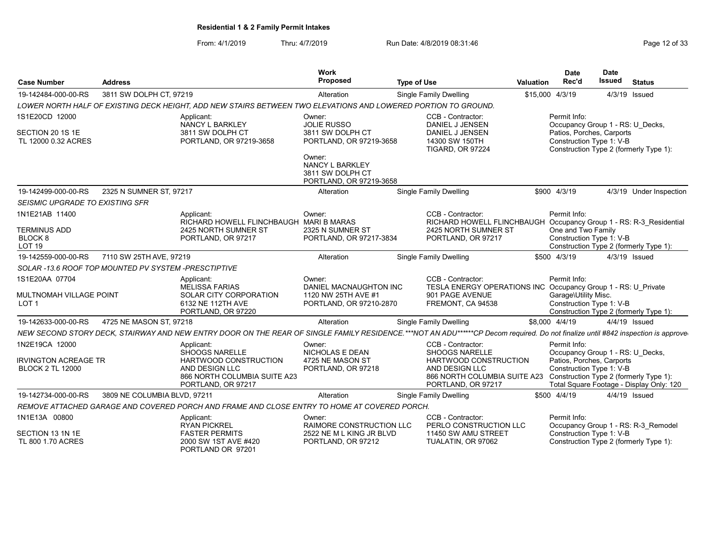From: 4/1/2019 Thru: 4/7/2019 Run Date: 4/8/2019 08:31:46 From: 4/1/2019 Page 12 of 33

| <b>Case Number</b>                                     | <b>Address</b>               |                                                                                                                                                                                  | <b>Work</b><br>Proposed                                                         | <b>Type of Use</b>            |                                                                                                                        | <b>Valuation</b> | <b>Date</b><br>Rec'd                                                                      | <b>Date</b><br><b>Issued</b> | <b>Status</b>                                                                      |  |  |
|--------------------------------------------------------|------------------------------|----------------------------------------------------------------------------------------------------------------------------------------------------------------------------------|---------------------------------------------------------------------------------|-------------------------------|------------------------------------------------------------------------------------------------------------------------|------------------|-------------------------------------------------------------------------------------------|------------------------------|------------------------------------------------------------------------------------|--|--|
| 19-142484-000-00-RS                                    | 3811 SW DOLPH CT, 97219      |                                                                                                                                                                                  | Single Family Dwelling<br>Alteration                                            |                               |                                                                                                                        | \$15,000 4/3/19  | 4/3/19 Issued                                                                             |                              |                                                                                    |  |  |
|                                                        |                              | LOWER NORTH HALF OF EXISTING DECK HEIGHT. ADD NEW STAIRS BETWEEN TWO ELEVATIONS AND LOWERED PORTION TO GROUND.                                                                   |                                                                                 |                               |                                                                                                                        |                  |                                                                                           |                              |                                                                                    |  |  |
| 1S1E20CD 12000                                         |                              | CCB - Contractor:<br>Owner:<br><b>JOLIE RUSSO</b><br>DANIEL J JENSEN                                                                                                             |                                                                                 |                               | Permit Info:<br>Occupancy Group 1 - RS: U Decks,                                                                       |                  |                                                                                           |                              |                                                                                    |  |  |
| SECTION 20 1S 1E<br>TL 12000 0.32 ACRES                |                              | <b>NANCY L BARKLEY</b><br>3811 SW DOLPH CT<br>PORTLAND, OR 97219-3658                                                                                                            | 3811 SW DOLPH CT<br>PORTLAND, OR 97219-3658                                     |                               | DANIEL J JENSEN<br>14300 SW 150TH<br><b>TIGARD, OR 97224</b>                                                           |                  | Patios, Porches, Carports<br>Construction Type 1: V-B                                     |                              | Construction Type 2 (formerly Type 1):                                             |  |  |
|                                                        |                              |                                                                                                                                                                                  | Owner:<br><b>NANCY L BARKLEY</b><br>3811 SW DOLPH CT<br>PORTLAND, OR 97219-3658 |                               |                                                                                                                        |                  |                                                                                           |                              |                                                                                    |  |  |
| 19-142499-000-00-RS                                    | 2325 N SUMNER ST, 97217      |                                                                                                                                                                                  | Alteration                                                                      | <b>Single Family Dwelling</b> |                                                                                                                        |                  | \$900 4/3/19                                                                              |                              | 4/3/19 Under Inspection                                                            |  |  |
| <b>SEISMIC UPGRADE TO EXISTING SFR</b>                 |                              |                                                                                                                                                                                  |                                                                                 |                               |                                                                                                                        |                  |                                                                                           |                              |                                                                                    |  |  |
| 1N1E21AB 11400                                         |                              | Applicant:<br>RICHARD HOWELL FLINCHBAUGH                                                                                                                                         | Owner:<br><b>MARI B MARAS</b>                                                   |                               | CCB - Contractor:<br>RICHARD HOWELL FLINCHBAUGH                                                                        |                  | Permit Info:                                                                              |                              | Occupancy Group 1 - RS: R-3 Residential                                            |  |  |
| <b>TERMINUS ADD</b><br>BLOCK 8<br>LOT <sub>19</sub>    |                              | 2425 NORTH SUMNER ST<br>PORTLAND, OR 97217                                                                                                                                       | 2325 N SUMNER ST<br>PORTLAND, OR 97217-3834                                     |                               | 2425 NORTH SUMNER ST<br>PORTLAND, OR 97217                                                                             |                  | One and Two Family<br>Construction Type 1: V-B                                            |                              | Construction Type 2 (formerly Type 1):                                             |  |  |
| 19-142559-000-00-RS                                    | 7110 SW 25TH AVE, 97219      |                                                                                                                                                                                  | Alteration                                                                      | <b>Single Family Dwelling</b> |                                                                                                                        |                  | \$500 4/3/19                                                                              |                              | 4/3/19 Issued                                                                      |  |  |
| SOLAR -13.6 ROOF TOP MOUNTED PV SYSTEM -PRESCTIPTIVE   |                              |                                                                                                                                                                                  |                                                                                 |                               |                                                                                                                        |                  |                                                                                           |                              |                                                                                    |  |  |
| 1S1E20AA 07704                                         |                              | Applicant:<br><b>MELISSA FARIAS</b>                                                                                                                                              | Owner:<br>DANIEL MACNAUGHTON INC                                                |                               | CCB - Contractor:<br>TESLA ENERGY OPERATIONS INC Occupancy Group 1 - RS: U Private                                     |                  | Permit Info:                                                                              |                              |                                                                                    |  |  |
| MULTNOMAH VILLAGE POINT<br>LOT <sub>1</sub>            |                              | SOLAR CITY CORPORATION<br>6132 NE 112TH AVE<br>PORTLAND, OR 97220                                                                                                                | 1120 NW 25TH AVE #1<br>PORTLAND, OR 97210-2870                                  |                               | 901 PAGE AVENUE<br>FREMONT, CA 94538                                                                                   |                  | Garage\Utility Misc.<br>Construction Type 1: V-B                                          |                              | Construction Type 2 (formerly Type 1):                                             |  |  |
| 19-142633-000-00-RS                                    | 4725 NE MASON ST, 97218      |                                                                                                                                                                                  | Alteration                                                                      | Single Family Dwelling        |                                                                                                                        | \$8,000 4/4/19   |                                                                                           |                              | 4/4/19 Issued                                                                      |  |  |
|                                                        |                              | NEW SECOND STORY DECK, STAIRWAY AND NEW ENTRY DOOR ON THE REAR OF SINGLE FAMILY RESIDENCE.***NOT AN ADU******CP Decom required. Do not finalize until #842 inspection is approve |                                                                                 |                               |                                                                                                                        |                  |                                                                                           |                              |                                                                                    |  |  |
| 1N2E19CA 12000                                         |                              | Applicant:                                                                                                                                                                       | Owner:                                                                          |                               | CCB - Contractor:                                                                                                      |                  | Permit Info:                                                                              |                              |                                                                                    |  |  |
| <b>IRVINGTON ACREAGE TR</b><br><b>BLOCK 2 TL 12000</b> |                              | <b>SHOOGS NARELLE</b><br>HARTWOOD CONSTRUCTION<br>AND DESIGN LLC<br>866 NORTH COLUMBIA SUITE A23<br>PORTLAND, OR 97217                                                           | NICHOLAS E DEAN<br>4725 NE MASON ST<br>PORTLAND, OR 97218                       |                               | <b>SHOOGS NARELLE</b><br>HARTWOOD CONSTRUCTION<br>AND DESIGN LLC<br>866 NORTH COLUMBIA SUITE A23<br>PORTLAND, OR 97217 |                  | Occupancy Group 1 - RS: U Decks,<br>Patios, Porches, Carports<br>Construction Type 1: V-B |                              | Construction Type 2 (formerly Type 1):<br>Total Square Footage - Display Only: 120 |  |  |
| 19-142734-000-00-RS                                    | 3809 NE COLUMBIA BLVD, 97211 |                                                                                                                                                                                  | Alteration                                                                      | <b>Single Family Dwelling</b> |                                                                                                                        |                  | \$500 4/4/19                                                                              |                              | 4/4/19 Issued                                                                      |  |  |
|                                                        |                              | REMOVE ATTACHED GARAGE AND COVERED PORCH AND FRAME AND CLOSE ENTRY TO HOME AT COVERED PORCH.                                                                                     |                                                                                 |                               |                                                                                                                        |                  |                                                                                           |                              |                                                                                    |  |  |
| 1N1E13A 00800                                          |                              | Applicant:<br><b>RYAN PICKREL</b>                                                                                                                                                | Owner:<br><b>RAIMORE CONSTRUCTION LLC</b>                                       |                               | CCB - Contractor:<br>PERLO CONSTRUCTION LLC                                                                            |                  | Permit Info:                                                                              |                              | Occupancy Group 1 - RS: R-3 Remodel                                                |  |  |
| SECTION 13 1N 1E<br>TL 800 1.70 ACRES                  |                              | <b>FASTER PERMITS</b><br>2000 SW 1ST AVE #420<br>PORTLAND OR 97201                                                                                                               | 2522 NE M L KING JR BLVD<br>PORTLAND, OR 97212                                  |                               | 11450 SW AMU STREET<br>TUALATIN, OR 97062                                                                              |                  | Construction Type 1: V-B                                                                  |                              | Construction Type 2 (formerly Type 1):                                             |  |  |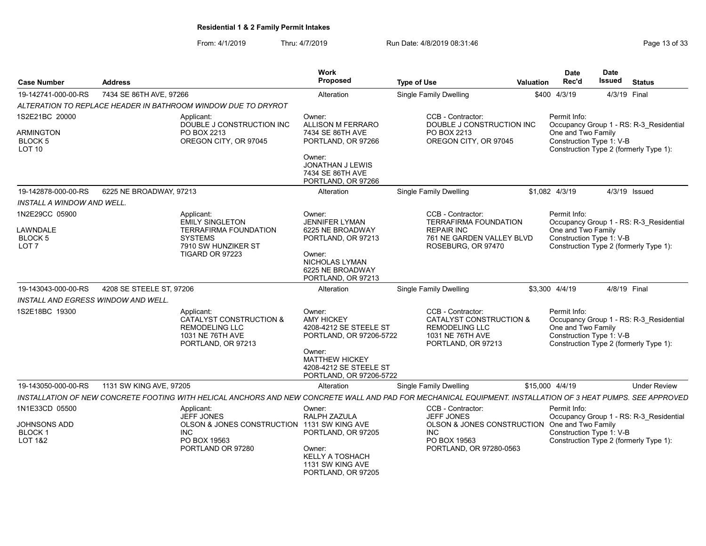From: 4/1/2019 Thru: 4/7/2019 Run Date: 4/8/2019 08:31:46 From: 4/1/2019 Page 13 of 33

| <b>Case Number</b>                                                    | <b>Address</b>                                                |                                                                                                         | Work<br><b>Proposed</b>                                                                                                                                                  | <b>Type of Use</b>                                                                                                                                           | <b>Valuation</b> | <b>Date</b><br>Rec'd                                           | <b>Date</b><br>Issued | <b>Status</b>                                                                     |
|-----------------------------------------------------------------------|---------------------------------------------------------------|---------------------------------------------------------------------------------------------------------|--------------------------------------------------------------------------------------------------------------------------------------------------------------------------|--------------------------------------------------------------------------------------------------------------------------------------------------------------|------------------|----------------------------------------------------------------|-----------------------|-----------------------------------------------------------------------------------|
| 19-142741-000-00-RS                                                   | 7434 SE 86TH AVE, 97266                                       |                                                                                                         | Alteration                                                                                                                                                               | Single Family Dwelling                                                                                                                                       |                  | \$400 4/3/19                                                   | 4/3/19 Final          |                                                                                   |
|                                                                       | ALTERATION TO REPLACE HEADER IN BATHROOM WINDOW DUE TO DRYROT |                                                                                                         |                                                                                                                                                                          |                                                                                                                                                              |                  |                                                                |                       |                                                                                   |
| 1S2E21BC 20000                                                        | Applicant:                                                    | DOUBLE J CONSTRUCTION INC                                                                               | Owner:<br><b>ALLISON M FERRARO</b>                                                                                                                                       | CCB - Contractor:<br>DOUBLE J CONSTRUCTION INC                                                                                                               |                  | Permit Info:                                                   |                       | Occupancy Group 1 - RS: R-3 Residential                                           |
| ARMINGTON<br>BLOCK 5<br>LOT <sub>10</sub>                             |                                                               | PO BOX 2213<br>OREGON CITY, OR 97045                                                                    | 7434 SE 86TH AVE<br>PORTLAND, OR 97266<br>Owner:<br>JONATHAN J LEWIS                                                                                                     | PO BOX 2213<br>OREGON CITY, OR 97045                                                                                                                         |                  | One and Two Family<br>Construction Type 1: V-B                 |                       | Construction Type 2 (formerly Type 1):                                            |
|                                                                       |                                                               |                                                                                                         | 7434 SE 86TH AVE<br>PORTLAND, OR 97266                                                                                                                                   |                                                                                                                                                              |                  |                                                                |                       |                                                                                   |
| 19-142878-000-00-RS                                                   | 6225 NE BROADWAY, 97213                                       |                                                                                                         | Alteration                                                                                                                                                               | <b>Single Family Dwelling</b>                                                                                                                                |                  | \$1,082 4/3/19                                                 |                       | 4/3/19 Issued                                                                     |
| INSTALL A WINDOW AND WELL.                                            |                                                               |                                                                                                         |                                                                                                                                                                          |                                                                                                                                                              |                  |                                                                |                       |                                                                                   |
| 1N2E29CC 05900<br>LAWNDALE<br>BLOCK 5<br>LOT <sub>7</sub>             | Applicant:<br><b>SYSTEMS</b>                                  | <b>EMILY SINGLETON</b><br><b>TERRAFIRMA FOUNDATION</b><br>7910 SW HUNZIKER ST<br><b>TIGARD OR 97223</b> | Owner:<br><b>JENNIFER LYMAN</b><br>6225 NE BROADWAY<br>PORTLAND, OR 97213<br>Owner:<br>NICHOLAS LYMAN<br>6225 NE BROADWAY<br>PORTLAND, OR 97213                          | CCB - Contractor:<br><b>TERRAFIRMA FOUNDATION</b><br><b>REPAIR INC</b><br>761 NE GARDEN VALLEY BLVD<br>ROSEBURG, OR 97470                                    |                  | Permit Info:<br>One and Two Family<br>Construction Type 1: V-B |                       | Occupancy Group 1 - RS: R-3 Residential<br>Construction Type 2 (formerly Type 1): |
| 19-143043-000-00-RS                                                   | 4208 SE STEELE ST, 97206                                      |                                                                                                         | Alteration                                                                                                                                                               | <b>Single Family Dwelling</b>                                                                                                                                |                  | \$3,300 4/4/19                                                 | 4/8/19 Final          |                                                                                   |
| INSTALL AND EGRESS WINDOW AND WELL.                                   |                                                               |                                                                                                         |                                                                                                                                                                          |                                                                                                                                                              |                  |                                                                |                       |                                                                                   |
| 1S2E18BC 19300                                                        | Applicant:                                                    | CATALYST CONSTRUCTION &<br><b>REMODELING LLC</b><br>1031 NE 76TH AVE<br>PORTLAND, OR 97213              | Owner:<br><b>AMY HICKEY</b><br>4208-4212 SE STEELE ST<br>PORTLAND, OR 97206-5722<br>Owner:<br><b>MATTHEW HICKEY</b><br>4208-4212 SE STEELE ST<br>PORTLAND, OR 97206-5722 | CCB - Contractor:<br>CATALYST CONSTRUCTION &<br><b>REMODELING LLC</b><br>1031 NE 76TH AVE<br>PORTLAND, OR 97213                                              |                  | Permit Info:<br>One and Two Family<br>Construction Type 1: V-B |                       | Occupancy Group 1 - RS: R-3 Residential<br>Construction Type 2 (formerly Type 1): |
| 19-143050-000-00-RS                                                   | 1131 SW KING AVE, 97205                                       |                                                                                                         | Alteration                                                                                                                                                               | <b>Single Family Dwelling</b>                                                                                                                                |                  | \$15,000 4/4/19                                                |                       | <b>Under Review</b>                                                               |
|                                                                       |                                                               |                                                                                                         |                                                                                                                                                                          | INSTALLATION OF NEW CONCRETE FOOTING WITH HELICAL ANCHORS AND NEW CONCRETE WALL AND PAD FOR MECHANICAL EQUIPMENT. INSTALLATION OF 3 HEAT PUMPS. SEE APPROVED |                  |                                                                |                       |                                                                                   |
| 1N1E33CD 05500<br>JOHNSONS ADD<br><b>BLOCK1</b><br><b>LOT 1&amp;2</b> | Applicant:<br><b>INC</b>                                      | <b>JEFF JONES</b><br>OLSON & JONES CONSTRUCTION 1131 SW KING AVE<br>PO BOX 19563<br>PORTLAND OR 97280   | Owner:<br><b>RALPH ZAZULA</b><br>PORTLAND, OR 97205<br>Owner:<br><b>KELLY A TOSHACH</b><br>1131 SW KING AVE<br>PORTLAND, OR 97205                                        | CCB - Contractor:<br><b>JEFF JONES</b><br>OLSON & JONES CONSTRUCTION One and Two Family<br><b>INC</b><br>PO BOX 19563<br>PORTLAND, OR 97280-0563             |                  | Permit Info:<br>Construction Type 1: V-B                       |                       | Occupancy Group 1 - RS: R-3 Residential<br>Construction Type 2 (formerly Type 1): |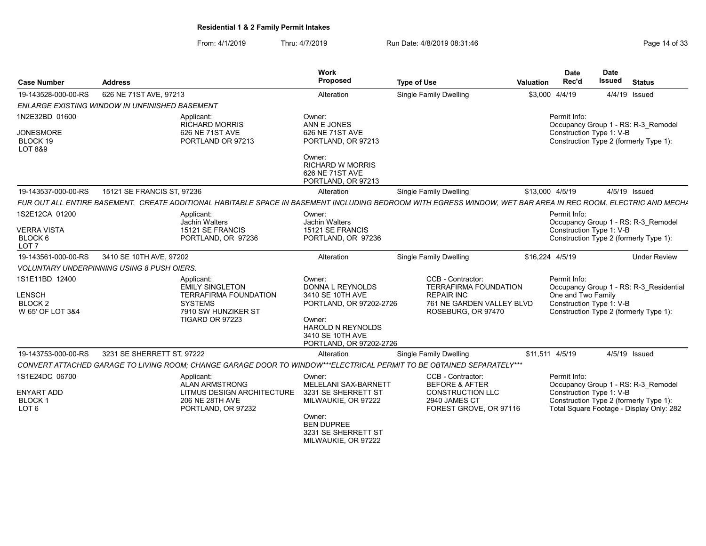From: 4/1/2019 Thru: 4/7/2019 Run Date: 4/8/2019 08:31:46 From: 4/1/2019 Page 14 of 33

| <b>Case Number</b>                                                 | <b>Address</b>                                                                                                                                                | Work<br><b>Proposed</b>                                                                                                                                        | <b>Type of Use</b>                                                                                                        | Valuation       | <b>Date</b><br>Rec'd                                           | Date<br><b>Issued</b> | <b>Status</b>                                                                                                             |
|--------------------------------------------------------------------|---------------------------------------------------------------------------------------------------------------------------------------------------------------|----------------------------------------------------------------------------------------------------------------------------------------------------------------|---------------------------------------------------------------------------------------------------------------------------|-----------------|----------------------------------------------------------------|-----------------------|---------------------------------------------------------------------------------------------------------------------------|
| 19-143528-000-00-RS                                                | 626 NE 71ST AVE, 97213                                                                                                                                        | Alteration                                                                                                                                                     | <b>Single Family Dwelling</b>                                                                                             | \$3,000 4/4/19  |                                                                |                       | 4/4/19 Issued                                                                                                             |
|                                                                    | <b>ENLARGE EXISTING WINDOW IN UNFINISHED BASEMENT</b>                                                                                                         |                                                                                                                                                                |                                                                                                                           |                 |                                                                |                       |                                                                                                                           |
| 1N2E32BD 01600<br><b>JONESMORE</b><br>BLOCK 19<br>LOT 8&9          | Applicant:<br><b>RICHARD MORRIS</b><br>626 NE 71ST AVE<br>PORTLAND OR 97213                                                                                   | Owner:<br>ANN E JONES<br>626 NE 71ST AVE<br>PORTLAND, OR 97213                                                                                                 |                                                                                                                           |                 | Permit Info:<br>Construction Type 1: V-B                       |                       | Occupancy Group 1 - RS: R-3 Remodel<br>Construction Type 2 (formerly Type 1):                                             |
|                                                                    |                                                                                                                                                               | Owner:<br><b>RICHARD W MORRIS</b><br>626 NE 71ST AVE<br>PORTLAND, OR 97213                                                                                     |                                                                                                                           |                 |                                                                |                       |                                                                                                                           |
| 19-143537-000-00-RS                                                | 15121 SE FRANCIS ST. 97236                                                                                                                                    | Alteration                                                                                                                                                     | Single Family Dwelling                                                                                                    | \$13,000 4/5/19 |                                                                |                       | 4/5/19 Issued                                                                                                             |
|                                                                    | FUR OUT ALL ENTIRE BASEMENT. CREATE ADDITIONAL HABITABLE SPACE IN BASEMENT INCLUDING BEDROOM WITH EGRESS WINDOW. WET BAR AREA IN REC ROOM. ELECTRIC AND MECHA |                                                                                                                                                                |                                                                                                                           |                 |                                                                |                       |                                                                                                                           |
| 1S2E12CA 01200<br><b>VERRA VISTA</b>                               | Applicant:<br>Jachin Walters<br>15121 SE FRANCIS                                                                                                              | Owner:<br>Jachin Walters<br>15121 SE FRANCIS                                                                                                                   |                                                                                                                           |                 | Permit Info:<br>Construction Type 1: V-B                       |                       | Occupancy Group 1 - RS: R-3 Remodel                                                                                       |
| BLOCK 6<br>LOT <sub>7</sub>                                        | PORTLAND, OR 97236                                                                                                                                            | PORTLAND, OR 97236                                                                                                                                             |                                                                                                                           |                 |                                                                |                       | Construction Type 2 (formerly Type 1):                                                                                    |
| 19-143561-000-00-RS                                                | 3410 SE 10TH AVE, 97202                                                                                                                                       | Alteration                                                                                                                                                     | <b>Single Family Dwelling</b>                                                                                             | \$16,224 4/5/19 |                                                                |                       | <b>Under Review</b>                                                                                                       |
|                                                                    | <b>VOLUNTARY UNDERPINNING USING 8 PUSH OIERS.</b>                                                                                                             |                                                                                                                                                                |                                                                                                                           |                 |                                                                |                       |                                                                                                                           |
| 1S1E11BD 12400<br>LENSCH<br>BLOCK <sub>2</sub><br>W 65' OF LOT 3&4 | Applicant:<br><b>EMILY SINGLETON</b><br><b>TERRAFIRMA FOUNDATION</b><br><b>SYSTEMS</b><br>7910 SW HUNZIKER ST<br>TIGARD OR 97223                              | Owner:<br>DONNA L REYNOLDS<br>3410 SE 10TH AVE<br>PORTLAND, OR 97202-2726<br>Owner:<br><b>HAROLD N REYNOLDS</b><br>3410 SE 10TH AVE<br>PORTLAND, OR 97202-2726 | CCB - Contractor:<br><b>TERRAFIRMA FOUNDATION</b><br><b>REPAIR INC</b><br>761 NE GARDEN VALLEY BLVD<br>ROSEBURG, OR 97470 |                 | Permit Info:<br>One and Two Family<br>Construction Type 1: V-B |                       | Occupancy Group 1 - RS: R-3 Residential<br>Construction Type 2 (formerly Type 1):                                         |
| 19-143753-000-00-RS                                                | 3231 SE SHERRETT ST. 97222                                                                                                                                    | Alteration                                                                                                                                                     | Single Family Dwelling                                                                                                    | \$11.511 4/5/19 |                                                                |                       | 4/5/19 Issued                                                                                                             |
|                                                                    | CONVERT ATTACHED GARAGE TO LIVING ROOM; CHANGE GARAGE DOOR TO WINDOW***ELECTRICAL PERMIT TO BE OBTAINED SEPARATELY***                                         |                                                                                                                                                                |                                                                                                                           |                 |                                                                |                       |                                                                                                                           |
| 1S1E24DC 06700<br>ENYART ADD<br><b>BLOCK1</b><br>LOT <sub>6</sub>  | Applicant:<br>ALAN ARMSTRONG<br>LITMUS DESIGN ARCHITECTURE<br>206 NE 28TH AVE<br>PORTLAND, OR 97232                                                           | Owner:<br>MELELANI SAX-BARNETT<br>3231 SE SHERRETT ST<br>MILWAUKIE, OR 97222                                                                                   | CCB - Contractor:<br><b>BEFORE &amp; AFTER</b><br><b>CONSTRUCTION LLC</b><br>2940 JAMES CT<br>FOREST GROVE, OR 97116      |                 | Permit Info:<br>Construction Type 1: V-B                       |                       | Occupancy Group 1 - RS: R-3 Remodel<br>Construction Type 2 (formerly Type 1):<br>Total Square Footage - Display Only: 282 |
|                                                                    |                                                                                                                                                               | Owner:<br><b>BEN DUPREE</b><br>3231 SE SHERRETT ST<br>MILWAUKIE, OR 97222                                                                                      |                                                                                                                           |                 |                                                                |                       |                                                                                                                           |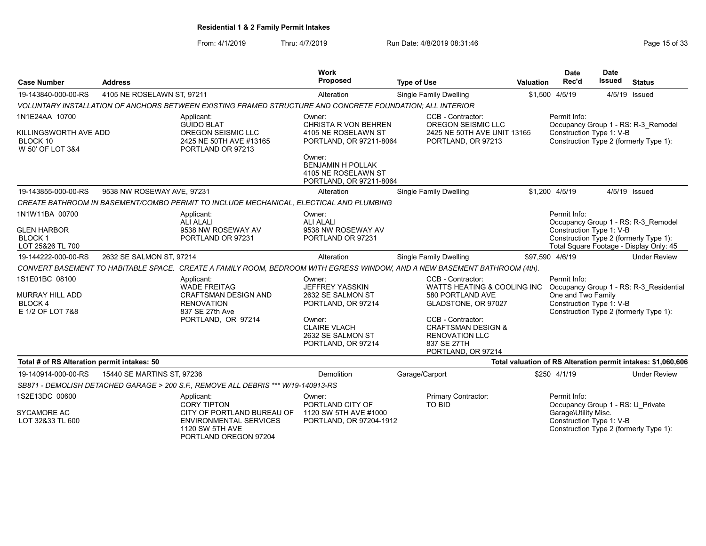From: 4/1/2019 Thru: 4/7/2019 Run Date: 4/8/2019 08:31:46 From: 4/1/2019 Page 15 of 33

| <b>Case Number</b>                                                        | <b>Address</b>             |                                                                                                                                | Work<br>Proposed                                                                                                                                        | <b>Type of Use</b>                                                                                                                                                                                                         | <b>Valuation</b> | <b>Date</b><br>Rec'd                                                                                     | <b>Date</b><br><b>Issued</b> | <b>Status</b>                                                                  |
|---------------------------------------------------------------------------|----------------------------|--------------------------------------------------------------------------------------------------------------------------------|---------------------------------------------------------------------------------------------------------------------------------------------------------|----------------------------------------------------------------------------------------------------------------------------------------------------------------------------------------------------------------------------|------------------|----------------------------------------------------------------------------------------------------------|------------------------------|--------------------------------------------------------------------------------|
| 19-143840-000-00-RS                                                       | 4105 NE ROSELAWN ST, 97211 |                                                                                                                                | Alteration                                                                                                                                              | <b>Single Family Dwelling</b>                                                                                                                                                                                              |                  | \$1,500 4/5/19                                                                                           |                              | 4/5/19 Issued                                                                  |
|                                                                           |                            | VOLUNTARY INSTALLATION OF ANCHORS BETWEEN EXISTING FRAMED STRUCTURE AND CONCRETE FOUNDATION; ALL INTERIOR                      |                                                                                                                                                         |                                                                                                                                                                                                                            |                  |                                                                                                          |                              |                                                                                |
| 1N1E24AA 10700<br>KILLINGSWORTH AVE ADD<br>BLOCK 10<br>W 50' OF LOT 3&4   |                            | Applicant:<br><b>GUIDO BLAT</b><br>OREGON SEISMIC LLC<br>2425 NE 50TH AVE #13165<br>PORTLAND OR 97213                          | Owner:<br>CHRISTA R VON BEHREN<br>4105 NE ROSELAWN ST<br>PORTLAND, OR 97211-8064                                                                        | CCB - Contractor:<br>OREGON SEISMIC LLC<br>2425 NE 50TH AVE UNIT 13165<br>PORTLAND, OR 97213                                                                                                                               |                  | Permit Info:<br>Construction Type 1: V-B<br>Construction Type 2 (formerly Type 1):                       |                              | Occupancy Group 1 - RS: R-3 Remodel                                            |
|                                                                           |                            |                                                                                                                                | Owner:<br><b>BENJAMIN H POLLAK</b><br>4105 NE ROSELAWN ST<br>PORTLAND, OR 97211-8064                                                                    |                                                                                                                                                                                                                            |                  |                                                                                                          |                              |                                                                                |
| 19-143855-000-00-RS                                                       | 9538 NW ROSEWAY AVE, 97231 |                                                                                                                                | Alteration                                                                                                                                              | <b>Single Family Dwelling</b>                                                                                                                                                                                              |                  | \$1,200 4/5/19                                                                                           |                              | 4/5/19 Issued                                                                  |
|                                                                           |                            | CREATE BATHROOM IN BASEMENT/COMBO PERMIT TO INCLUDE MECHANICAL, ELECTICAL AND PLUMBING                                         |                                                                                                                                                         |                                                                                                                                                                                                                            |                  |                                                                                                          |                              |                                                                                |
| 1N1W11BA 00700<br><b>GLEN HARBOR</b><br><b>BLOCK1</b><br>LOT 25&26 TL 700 |                            | Applicant:<br><b>ALI ALALI</b><br>9538 NW ROSEWAY AV<br>PORTLAND OR 97231                                                      | Owner:<br><b>ALI ALALI</b><br>9538 NW ROSEWAY AV<br>PORTLAND OR 97231                                                                                   |                                                                                                                                                                                                                            |                  | Permit Info:<br>Construction Type 1: V-B<br>Construction Type 2 (formerly Type 1):                       |                              | Occupancy Group 1 - RS: R-3 Remodel<br>Total Square Footage - Display Only: 45 |
| 19-144222-000-00-RS                                                       | 2632 SE SALMON ST, 97214   |                                                                                                                                | Alteration                                                                                                                                              | <b>Single Family Dwelling</b>                                                                                                                                                                                              |                  | \$97,590 4/6/19                                                                                          |                              | <b>Under Review</b>                                                            |
|                                                                           |                            | CONVERT BASEMENT TO HABITABLE SPACE. CREATE A FAMILY ROOM, BEDROOM WITH EGRESS WINDOW, AND A NEW BASEMENT BATHROOM (4th).      |                                                                                                                                                         |                                                                                                                                                                                                                            |                  |                                                                                                          |                              |                                                                                |
| 1S1E01BC 08100<br>MURRAY HILL ADD<br>BLOCK 4<br>E 1/2 OF LOT 7&8          |                            | Applicant:<br><b>WADE FREITAG</b><br><b>CRAFTSMAN DESIGN AND</b><br><b>RENOVATION</b><br>837 SE 27th Ave<br>PORTLAND, OR 97214 | Owner:<br><b>JEFFREY YASSKIN</b><br>2632 SE SALMON ST<br>PORTLAND, OR 97214<br>Owner:<br><b>CLAIRE VLACH</b><br>2632 SE SALMON ST<br>PORTLAND, OR 97214 | CCB - Contractor:<br><b>WATTS HEATING &amp; COOLING INC</b><br>580 PORTLAND AVE<br>GLADSTONE, OR 97027<br>CCB - Contractor:<br><b>CRAFTSMAN DESIGN &amp;</b><br><b>RENOVATION LLC</b><br>837 SE 27TH<br>PORTLAND, OR 97214 |                  | Permit Info:<br>One and Two Family<br>Construction Type 1: V-B<br>Construction Type 2 (formerly Type 1): |                              | Occupancy Group 1 - RS: R-3 Residential                                        |
| Total # of RS Alteration permit intakes: 50                               |                            |                                                                                                                                |                                                                                                                                                         |                                                                                                                                                                                                                            |                  |                                                                                                          |                              | Total valuation of RS Alteration permit intakes: \$1,060,606                   |
| 19-140914-000-00-RS                                                       | 15440 SE MARTINS ST, 97236 |                                                                                                                                | Demolition                                                                                                                                              | Garage/Carport                                                                                                                                                                                                             |                  | \$250 4/1/19                                                                                             |                              | <b>Under Review</b>                                                            |
|                                                                           |                            | SB871 - DEMOLISH DETACHED GARAGE > 200 S.F., REMOVE ALL DEBRIS *** W/19-140913-RS                                              |                                                                                                                                                         |                                                                                                                                                                                                                            |                  |                                                                                                          |                              |                                                                                |
| 1S2E13DC 00600<br><b>SYCAMORE AC</b>                                      |                            | Applicant:<br><b>CORY TIPTON</b><br>CITY OF PORTLAND BUREAU OF                                                                 | Owner:<br>PORTLAND CITY OF<br>1120 SW 5TH AVE #1000                                                                                                     | Primary Contractor:<br>TO BID                                                                                                                                                                                              |                  | Permit Info:<br>Occupancy Group 1 - RS: U Private<br>Garage\Utility Misc.                                |                              |                                                                                |
| LOT 32&33 TL 600                                                          |                            | <b>ENVIRONMENTAL SERVICES</b><br>1120 SW 5TH AVE<br>PORTLAND OREGON 97204                                                      | PORTLAND, OR 97204-1912                                                                                                                                 |                                                                                                                                                                                                                            |                  | Construction Type 1: V-B<br>Construction Type 2 (formerly Type 1):                                       |                              |                                                                                |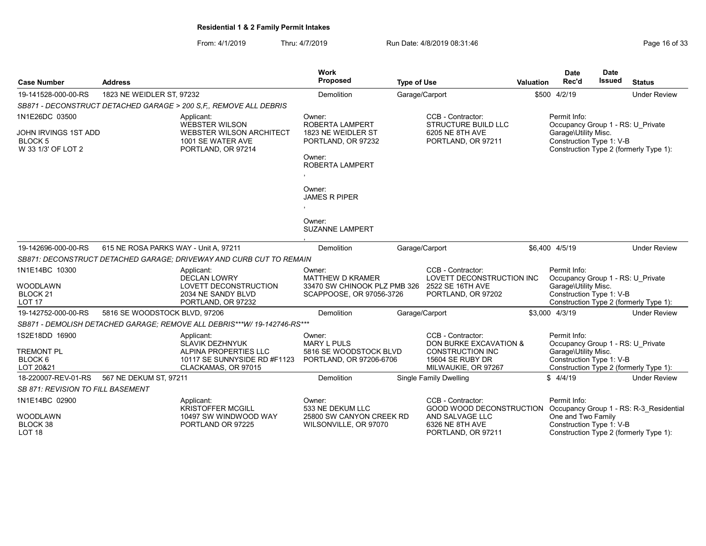From: 4/1/2019 Thru: 4/7/2019 Run Date: 4/8/2019 08:31:46 From: 4/1/2019 Page 16 of 33

| <b>Case Number</b>                                                            | <b>Address</b>                                                                                                       | Work<br><b>Proposed</b>                                                                                                                                                                           | <b>Type of Use</b>                                                                                                | Valuation | <b>Date</b><br>Rec'd                                                                                  | <b>Date</b><br><b>Issued</b> | <b>Status</b>                           |
|-------------------------------------------------------------------------------|----------------------------------------------------------------------------------------------------------------------|---------------------------------------------------------------------------------------------------------------------------------------------------------------------------------------------------|-------------------------------------------------------------------------------------------------------------------|-----------|-------------------------------------------------------------------------------------------------------|------------------------------|-----------------------------------------|
| 19-141528-000-00-RS                                                           | 1823 NE WEIDLER ST, 97232                                                                                            | Demolition                                                                                                                                                                                        | Garage/Carport                                                                                                    |           | \$500 4/2/19                                                                                          |                              | <b>Under Review</b>                     |
|                                                                               | SB871 - DECONSTRUCT DETACHED GARAGE > 200 S.F., REMOVE ALL DEBRIS                                                    |                                                                                                                                                                                                   |                                                                                                                   |           |                                                                                                       |                              |                                         |
| 1N1E26DC 03500<br>JOHN IRVINGS 1ST ADD<br><b>BLOCK5</b><br>W 33 1/3' OF LOT 2 | Applicant:<br>WEBSTER WILSON<br><b>WEBSTER WILSON ARCHITECT</b><br>1001 SE WATER AVE<br>PORTLAND, OR 97214           | Owner:<br><b>ROBERTA LAMPERT</b><br>1823 NE WEIDLER ST<br>PORTLAND, OR 97232<br>Owner:<br>ROBERTA LAMPERT<br>Owner:<br><b>JAMES R PIPER</b><br>$\overline{ }$<br>Owner:<br><b>SUZANNE LAMPERT</b> | CCB - Contractor:<br><b>STRUCTURE BUILD LLC</b><br>6205 NE 8TH AVE<br>PORTLAND, OR 97211                          |           | Permit Info:<br>Occupancy Group 1 - RS: U Private<br>Garage\Utility Misc.<br>Construction Type 1: V-B |                              | Construction Type 2 (formerly Type 1):  |
| 19-142696-000-00-RS                                                           | 615 NE ROSA PARKS WAY - Unit A, 97211                                                                                | Demolition                                                                                                                                                                                        | Garage/Carport                                                                                                    |           | \$6,400 4/5/19                                                                                        |                              | <b>Under Review</b>                     |
|                                                                               | SB871: DECONSTRUCT DETACHED GARAGE: DRIVEWAY AND CURB CUT TO REMAIN                                                  |                                                                                                                                                                                                   |                                                                                                                   |           |                                                                                                       |                              |                                         |
| 1N1E14BC 10300<br><b>WOODLAWN</b><br>BLOCK <sub>21</sub><br>LOT <sub>17</sub> | Applicant:<br><b>DECLAN LOWRY</b><br>LOVETT DECONSTRUCTION<br>2034 NE SANDY BLVD<br>PORTLAND, OR 97232               | Owner:<br><b>MATTHEW D KRAMER</b><br>33470 SW CHINOOK PLZ PMB 326<br>SCAPPOOSE, OR 97056-3726                                                                                                     | CCB - Contractor:<br>LOVETT DECONSTRUCTION INC<br>2522 SE 16TH AVE<br>PORTLAND, OR 97202                          |           | Permit Info:<br>Occupancy Group 1 - RS: U Private<br>Garage\Utility Misc.<br>Construction Type 1: V-B |                              | Construction Type 2 (formerly Type 1):  |
| 19-142752-000-00-RS                                                           | 5816 SE WOODSTOCK BLVD, 97206                                                                                        | Demolition                                                                                                                                                                                        | Garage/Carport                                                                                                    |           | \$3,000 4/3/19                                                                                        |                              | <b>Under Review</b>                     |
|                                                                               | SB871 - DEMOLISH DETACHED GARAGE; REMOVE ALL DEBRIS***W/ 19-142746-RS***                                             |                                                                                                                                                                                                   |                                                                                                                   |           |                                                                                                       |                              |                                         |
| 1S2E18DD 16900<br><b>TREMONT PL</b><br>BLOCK 6<br>LOT 20&21                   | Applicant:<br><b>SLAVIK DEZHNYUK</b><br>ALPINA PROPERTIES LLC<br>10117 SE SUNNYSIDE RD #F1123<br>CLACKAMAS, OR 97015 | Owner:<br><b>MARY L PULS</b><br>5816 SE WOODSTOCK BLVD<br>PORTLAND, OR 97206-6706                                                                                                                 | CCB - Contractor:<br>DON BURKE EXCAVATION &<br><b>CONSTRUCTION INC</b><br>15604 SE RUBY DR<br>MILWAUKIE, OR 97267 |           | Permit Info:<br>Occupancy Group 1 - RS: U Private<br>Garage\Utility Misc.<br>Construction Type 1: V-B |                              | Construction Type 2 (formerly Type 1):  |
| 18-220007-REV-01-RS                                                           | 567 NE DEKUM ST, 97211                                                                                               | Demolition                                                                                                                                                                                        | Single Family Dwelling                                                                                            |           | \$4/4/19                                                                                              |                              | <b>Under Review</b>                     |
| <i>SB 871: REVISION TO FILL BASEMENT</i>                                      |                                                                                                                      |                                                                                                                                                                                                   |                                                                                                                   |           |                                                                                                       |                              |                                         |
| 1N1E14BC 02900                                                                | Applicant:<br><b>KRISTOFFER MCGILL</b>                                                                               | Owner:<br>533 NE DEKUM LLC                                                                                                                                                                        | CCB - Contractor:<br>GOOD WOOD DECONSTRUCTION                                                                     |           | Permit Info:                                                                                          |                              | Occupancy Group 1 - RS: R-3 Residential |
| <b>WOODLAWN</b><br>BLOCK 38<br>LOT <sub>18</sub>                              | 10497 SW WINDWOOD WAY<br>PORTLAND OR 97225                                                                           | 25800 SW CANYON CREEK RD<br>WILSONVILLE, OR 97070                                                                                                                                                 | AND SALVAGE LLC<br>6326 NE 8TH AVE<br>PORTLAND, OR 97211                                                          |           | One and Two Family<br>Construction Type 1: V-B                                                        |                              | Construction Type 2 (formerly Type 1):  |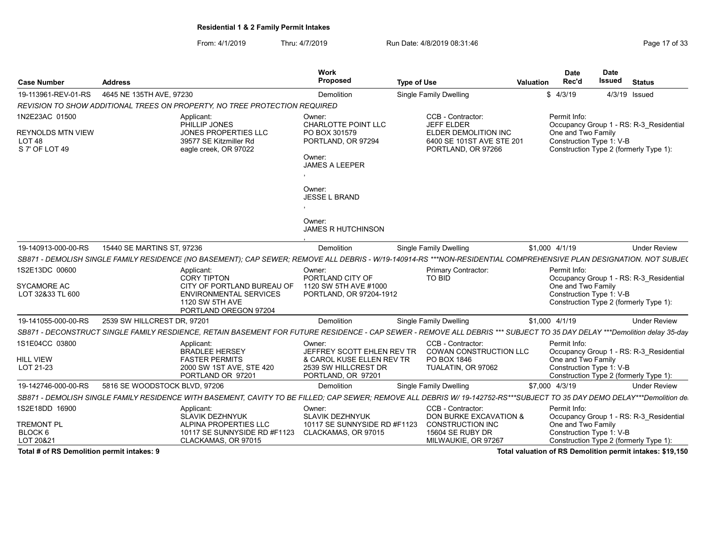From: 4/1/2019 Thru: 4/7/2019 Run Date: 4/8/2019 08:31:46 From: 4/1/2019 Page 17 of 33

| <b>Case Number</b>                                                                | <b>Address</b>                |                                                                                                                                                                          | Work<br><b>Proposed</b>                                                                                         | <b>Type of Use</b> |                                                                                                                   | <b>Valuation</b> | <b>Date</b><br>Rec'd                                           | Date<br><b>Issued</b> | <b>Status</b>                                                                     |
|-----------------------------------------------------------------------------------|-------------------------------|--------------------------------------------------------------------------------------------------------------------------------------------------------------------------|-----------------------------------------------------------------------------------------------------------------|--------------------|-------------------------------------------------------------------------------------------------------------------|------------------|----------------------------------------------------------------|-----------------------|-----------------------------------------------------------------------------------|
| 19-113961-REV-01-RS                                                               | 4645 NE 135TH AVE, 97230      |                                                                                                                                                                          | Demolition                                                                                                      |                    | Single Family Dwelling                                                                                            |                  | \$4/3/19                                                       |                       | 4/3/19 Issued                                                                     |
|                                                                                   |                               | REVISION TO SHOW ADDITIONAL TREES ON PROPERTY, NO TREE PROTECTION REQUIRED                                                                                               |                                                                                                                 |                    |                                                                                                                   |                  |                                                                |                       |                                                                                   |
| 1N2E23AC 01500<br><b>REYNOLDS MTN VIEW</b><br>LOT <sub>48</sub><br>S 7' OF LOT 49 |                               | Applicant:<br>PHILLIP JONES<br><b>JONES PROPERTIES LLC</b><br>39577 SE Kitzmiller Rd<br>eagle creek, OR 97022                                                            | Owner:<br>CHARLOTTE POINT LLC<br>PO BOX 301579<br>PORTLAND, OR 97294<br>Owner:<br><b>JAMES A LEEPER</b>         |                    | CCB - Contractor:<br><b>JEFF ELDER</b><br>ELDER DEMOLITION INC<br>6400 SE 101ST AVE STE 201<br>PORTLAND, OR 97266 |                  | Permit Info:<br>One and Two Family<br>Construction Type 1: V-B |                       | Occupancy Group 1 - RS: R-3 Residential<br>Construction Type 2 (formerly Type 1): |
|                                                                                   |                               |                                                                                                                                                                          | Owner:<br><b>JESSE L BRAND</b><br>Owner:<br><b>JAMES R HUTCHINSON</b>                                           |                    |                                                                                                                   |                  |                                                                |                       |                                                                                   |
| 19-140913-000-00-RS                                                               | 15440 SE MARTINS ST. 97236    |                                                                                                                                                                          | Demolition                                                                                                      |                    | Single Family Dwelling                                                                                            |                  | \$1,000 4/1/19                                                 |                       | <b>Under Review</b>                                                               |
|                                                                                   |                               | SB871 - DEMOLISH SINGLE FAMILY RESIDENCE (NO BASEMENT); CAP SEWER; REMOVE ALL DEBRIS - W/19-140914-RS ***NON-RESIDENTIAL COMPREHENSIVE PLAN DESIGNATION. NOT SUBJE(      |                                                                                                                 |                    |                                                                                                                   |                  |                                                                |                       |                                                                                   |
| 1S2E13DC 00600<br>SYCAMORE AC<br>LOT 32&33 TL 600                                 |                               | Applicant:<br><b>CORY TIPTON</b><br>CITY OF PORTLAND BUREAU OF<br><b>ENVIRONMENTAL SERVICES</b><br><b>1120 SW 5TH AVE</b><br>PORTLAND OREGON 97204                       | Owner:<br>PORTLAND CITY OF<br>1120 SW 5TH AVE #1000<br>PORTLAND, OR 97204-1912                                  |                    | Primary Contractor:<br><b>TO BID</b>                                                                              |                  | Permit Info:<br>One and Two Family<br>Construction Type 1: V-B |                       | Occupancy Group 1 - RS: R-3 Residential<br>Construction Type 2 (formerly Type 1): |
| 19-141055-000-00-RS                                                               | 2539 SW HILLCREST DR. 97201   |                                                                                                                                                                          | Demolition                                                                                                      |                    | Single Family Dwelling                                                                                            |                  | \$1.000 4/1/19                                                 |                       | <b>Under Review</b>                                                               |
|                                                                                   |                               | SB871 - DECONSTRUCT SINGLE FAMILY RESDIENCE, RETAIN BASEMENT FOR FUTURE RESIDENCE - CAP SEWER - REMOVE ALL DEBRIS *** SUBJECT TO 35 DAY DELAY ***Demolition delay 35-day |                                                                                                                 |                    |                                                                                                                   |                  |                                                                |                       |                                                                                   |
| 1S1E04CC 03800<br><b>HILL VIEW</b><br>LOT 21-23                                   |                               | Applicant:<br><b>BRADLEE HERSEY</b><br><b>FASTER PERMITS</b><br>2000 SW 1ST AVE, STE 420<br>PORTLAND OR 97201                                                            | Owner:<br>JEFFREY SCOTT EHLEN REV TR<br>& CAROL KUSE ELLEN REV TR<br>2539 SW HILLCREST DR<br>PORTLAND, OR 97201 |                    | CCB - Contractor:<br><b>COWAN CONSTRUCTION LLC</b><br>PO BOX 1846<br>TUALATIN, OR 97062                           |                  | Permit Info:<br>One and Two Family<br>Construction Type 1: V-B |                       | Occupancy Group 1 - RS: R-3 Residential<br>Construction Type 2 (formerly Type 1): |
| 19-142746-000-00-RS                                                               | 5816 SE WOODSTOCK BLVD, 97206 |                                                                                                                                                                          | Demolition                                                                                                      |                    | Single Family Dwelling                                                                                            |                  | \$7,000 4/3/19                                                 |                       | <b>Under Review</b>                                                               |
|                                                                                   |                               | SB871 - DEMOLISH SINGLE FAMILY RESIDENCE WITH BASEMENT, CAVITY TO BE FILLED; CAP SEWER; REMOVE ALL DEBRIS W/ 19-142752-RS***SUBJECT TO 35 DAY DEMO DELAY***Demolition de |                                                                                                                 |                    |                                                                                                                   |                  |                                                                |                       |                                                                                   |
| 1S2E18DD 16900<br><b>TREMONT PL</b>                                               |                               | Applicant:<br>SLAVIK DEZHNYUK<br>ALPINA PROPERTIES LLC                                                                                                                   | Owner:<br><b>SLAVIK DEZHNYUK</b><br>10117 SE SUNNYSIDE RD #F1123                                                |                    | CCB - Contractor:<br>DON BURKE EXCAVATION &<br><b>CONSTRUCTION INC</b>                                            |                  | Permit Info:<br>One and Two Family                             |                       | Occupancy Group 1 - RS: R-3_Residential                                           |
| BLOCK 6<br>LOT 20&21                                                              |                               | 10117 SE SUNNYSIDE RD #F1123<br>CLACKAMAS, OR 97015                                                                                                                      | CLACKAMAS, OR 97015                                                                                             |                    | 15604 SE RUBY DR<br>MILWAUKIE, OR 97267                                                                           |                  | Construction Type 1: V-B                                       |                       | Construction Type 2 (formerly Type 1):                                            |
| Total # of RS Demolition permit intakes: 9                                        |                               |                                                                                                                                                                          |                                                                                                                 |                    |                                                                                                                   |                  |                                                                |                       | Total valuation of RS Demolition permit intakes: \$19,150                         |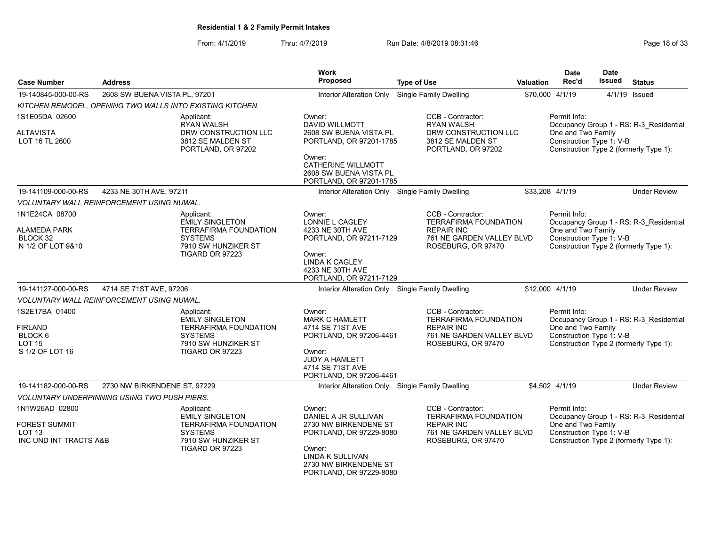From: 4/1/2019 Thru: 4/7/2019 Run Date: 4/8/2019 08:31:46 From: 4/1/2019 Page 18 of 33

| <b>Case Number</b>                                                                         | <b>Address</b>                                      |                                                                                                                                  | Work<br><b>Proposed</b>                                                                                            | <b>Type of Use</b>                                                                                                        | <b>Valuation</b> | <b>Date</b><br>Rec'd                                           | <b>Date</b><br>Issued | <b>Status</b>                                                                     |
|--------------------------------------------------------------------------------------------|-----------------------------------------------------|----------------------------------------------------------------------------------------------------------------------------------|--------------------------------------------------------------------------------------------------------------------|---------------------------------------------------------------------------------------------------------------------------|------------------|----------------------------------------------------------------|-----------------------|-----------------------------------------------------------------------------------|
| 19-140845-000-00-RS                                                                        | 2608 SW BUENA VISTA PL, 97201                       |                                                                                                                                  | Interior Alteration Only                                                                                           | Single Family Dwelling                                                                                                    |                  | \$70,000 4/1/19                                                |                       | 4/1/19 Issued                                                                     |
|                                                                                            |                                                     | KITCHEN REMODEL. OPENING TWO WALLS INTO EXISTING KITCHEN.                                                                        |                                                                                                                    |                                                                                                                           |                  |                                                                |                       |                                                                                   |
| 1S1E05DA 02600                                                                             |                                                     | Applicant:<br><b>RYAN WALSH</b>                                                                                                  | Owner:<br><b>DAVID WILLMOTT</b>                                                                                    | CCB - Contractor:<br><b>RYAN WALSH</b>                                                                                    |                  | Permit Info:                                                   |                       | Occupancy Group 1 - RS: R-3 Residential                                           |
| <b>ALTAVISTA</b><br>LOT 16 TL 2600                                                         |                                                     | DRW CONSTRUCTION LLC<br>3812 SE MALDEN ST<br>PORTLAND, OR 97202                                                                  | 2608 SW BUENA VISTA PL<br>PORTLAND, OR 97201-1785<br>Owner:<br><b>CATHERINE WILLMOTT</b><br>2608 SW BUENA VISTA PL | DRW CONSTRUCTION LLC<br>3812 SE MALDEN ST<br>PORTLAND, OR 97202                                                           |                  | One and Two Family<br>Construction Type 1: V-B                 |                       | Construction Type 2 (formerly Type 1):                                            |
|                                                                                            |                                                     |                                                                                                                                  | PORTLAND, OR 97201-1785                                                                                            |                                                                                                                           |                  |                                                                |                       |                                                                                   |
| 19-141109-000-00-RS                                                                        | 4233 NE 30TH AVE, 97211                             |                                                                                                                                  | Interior Alteration Only Single Family Dwelling                                                                    |                                                                                                                           |                  | \$33,208 4/1/19                                                |                       | <b>Under Review</b>                                                               |
|                                                                                            | VOLUNTARY WALL REINFORCEMENT USING NUWAL.           |                                                                                                                                  |                                                                                                                    |                                                                                                                           |                  |                                                                |                       |                                                                                   |
| 1N1E24CA 08700<br><b>ALAMEDA PARK</b><br>BLOCK 32<br>N 1/2 OF LOT 9&10                     |                                                     | Applicant:<br><b>EMILY SINGLETON</b><br>TERRAFIRMA FOUNDATION<br><b>SYSTEMS</b><br>7910 SW HUNZIKER ST                           | Owner:<br>LONNIE L CAGLEY<br>4233 NE 30TH AVE<br>PORTLAND, OR 97211-7129                                           | CCB - Contractor:<br><b>TERRAFIRMA FOUNDATION</b><br><b>REPAIR INC</b><br>761 NE GARDEN VALLEY BLVD<br>ROSEBURG, OR 97470 |                  | Permit Info:<br>One and Two Family<br>Construction Type 1: V-B |                       | Occupancy Group 1 - RS: R-3_Residential<br>Construction Type 2 (formerly Type 1): |
|                                                                                            |                                                     | <b>TIGARD OR 97223</b>                                                                                                           | Owner:<br><b>LINDA K CAGLEY</b><br>4233 NE 30TH AVE<br>PORTLAND, OR 97211-7129                                     |                                                                                                                           |                  |                                                                |                       |                                                                                   |
| 19-141127-000-00-RS                                                                        | 4714 SE 71ST AVE, 97206                             |                                                                                                                                  | Interior Alteration Only Single Family Dwelling                                                                    |                                                                                                                           |                  | \$12,000 4/1/19                                                |                       | <b>Under Review</b>                                                               |
|                                                                                            | <b>VOLUNTARY WALL REINFORCEMENT USING NUWAL.</b>    |                                                                                                                                  |                                                                                                                    |                                                                                                                           |                  |                                                                |                       |                                                                                   |
| 1S2E17BA 01400<br><b>FIRLAND</b><br>BLOCK <sub>6</sub><br><b>LOT 15</b><br>S 1/2 OF LOT 16 |                                                     | Applicant:<br><b>EMILY SINGLETON</b><br><b>TERRAFIRMA FOUNDATION</b><br><b>SYSTEMS</b><br>7910 SW HUNZIKER ST<br>TIGARD OR 97223 | Owner:<br><b>MARK C HAMLETT</b><br>4714 SE 71ST AVE<br>PORTLAND, OR 97206-4461<br>Owner:                           | CCB - Contractor:<br><b>TERRAFIRMA FOUNDATION</b><br><b>REPAIR INC</b><br>761 NE GARDEN VALLEY BLVD<br>ROSEBURG, OR 97470 |                  | Permit Info:<br>One and Two Family<br>Construction Type 1: V-B |                       | Occupancy Group 1 - RS: R-3_Residential<br>Construction Type 2 (formerly Type 1): |
|                                                                                            |                                                     |                                                                                                                                  | JUDY A HAMLETT<br>4714 SE 71ST AVE<br>PORTLAND, OR 97206-4461                                                      |                                                                                                                           |                  |                                                                |                       |                                                                                   |
| 19-141182-000-00-RS                                                                        | 2730 NW BIRKENDENE ST, 97229                        |                                                                                                                                  |                                                                                                                    | Interior Alteration Only Single Family Dwelling                                                                           |                  | \$4,502 4/1/19                                                 |                       | <b>Under Review</b>                                                               |
|                                                                                            | <b>VOLUNTARY UNDERPINNING USING TWO PUSH PIERS.</b> |                                                                                                                                  |                                                                                                                    |                                                                                                                           |                  |                                                                |                       |                                                                                   |
| 1N1W26AD 02800<br><b>FOREST SUMMIT</b>                                                     |                                                     | Applicant:<br><b>EMILY SINGLETON</b><br><b>TERRAFIRMA FOUNDATION</b>                                                             | Owner:<br>DANIEL A JR SULLIVAN<br>2730 NW BIRKENDENE ST                                                            | CCB - Contractor:<br><b>TERRAFIRMA FOUNDATION</b><br><b>REPAIR INC</b>                                                    |                  | Permit Info:<br>One and Two Family                             |                       | Occupancy Group 1 - RS: R-3 Residential                                           |
| <b>LOT 13</b><br>INC UND INT TRACTS A&B                                                    |                                                     | <b>SYSTEMS</b><br>7910 SW HUNZIKER ST<br><b>TIGARD OR 97223</b>                                                                  | PORTLAND, OR 97229-8080<br>Owner:<br>LINDA K SULLIVAN<br>2730 NW BIRKENDENE ST<br>PORTLAND, OR 97229-8080          | 761 NE GARDEN VALLEY BLVD<br>ROSEBURG, OR 97470                                                                           |                  | Construction Type 1: V-B                                       |                       | Construction Type 2 (formerly Type 1):                                            |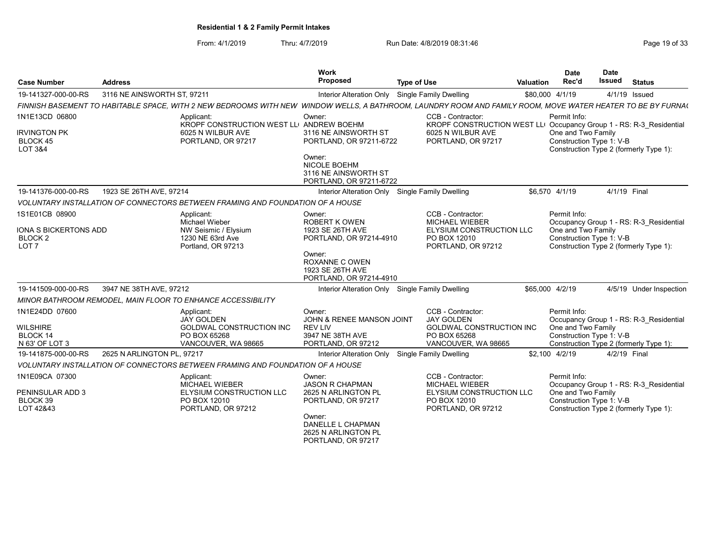From: 4/1/2019 Thru: 4/7/2019 Run Date: 4/8/2019 08:31:46 From: 4/1/2019 Page 19 of 33

| <b>Case Number</b>                                                                | <b>Address</b>              |                                                                                                                                                             | Work<br><b>Proposed</b>                                                                                                                                   | <b>Type of Use</b>                                                                                                                  | <b>Valuation</b> | <b>Date</b><br>Rec'd                                                                                     | <b>Date</b><br><b>Issued</b> | <b>Status</b>                                                                     |
|-----------------------------------------------------------------------------------|-----------------------------|-------------------------------------------------------------------------------------------------------------------------------------------------------------|-----------------------------------------------------------------------------------------------------------------------------------------------------------|-------------------------------------------------------------------------------------------------------------------------------------|------------------|----------------------------------------------------------------------------------------------------------|------------------------------|-----------------------------------------------------------------------------------|
| 19-141327-000-00-RS                                                               | 3116 NE AINSWORTH ST, 97211 |                                                                                                                                                             | Interior Alteration Only                                                                                                                                  | Single Family Dwelling                                                                                                              |                  | \$80,000 4/1/19                                                                                          |                              | 4/1/19 Issued                                                                     |
|                                                                                   |                             | FINNISH BASEMENT TO HABITABLE SPACE, WITH 2 NEW BEDROOMS WITH NEW WINDOW WELLS, A BATHROOM, LAUNDRY ROOM AND FAMILY ROOM, MOVE WATER HEATER TO BE BY FURNA( |                                                                                                                                                           |                                                                                                                                     |                  |                                                                                                          |                              |                                                                                   |
| 1N1E13CD 06800<br><b>IRVINGTON PK</b><br>BLOCK 45<br>LOT 3&4                      |                             | Applicant:<br>KROPF CONSTRUCTION WEST LLI ANDREW BOEHM<br>6025 N WILBUR AVE<br>PORTLAND, OR 97217                                                           | Owner:<br>3116 NE AINSWORTH ST<br>PORTLAND, OR 97211-6722<br>Owner:                                                                                       | CCB - Contractor:<br>KROPF CONSTRUCTION WEST LLI Occupancy Group 1 - RS: R-3 Residential<br>6025 N WILBUR AVE<br>PORTLAND, OR 97217 |                  | Permit Info:<br>One and Two Family<br>Construction Type 1: V-B                                           |                              | Construction Type 2 (formerly Type 1):                                            |
|                                                                                   |                             |                                                                                                                                                             | <b>NICOLE BOEHM</b><br>3116 NE AINSWORTH ST<br>PORTLAND, OR 97211-6722                                                                                    |                                                                                                                                     |                  |                                                                                                          |                              |                                                                                   |
| 19-141376-000-00-RS                                                               | 1923 SE 26TH AVE, 97214     |                                                                                                                                                             | Interior Alteration Only Single Family Dwelling                                                                                                           |                                                                                                                                     |                  | \$6,570 4/1/19                                                                                           | 4/1/19 Final                 |                                                                                   |
|                                                                                   |                             | VOLUNTARY INSTALLATION OF CONNECTORS BETWEEN FRAMING AND FOUNDATION OF A HOUSE                                                                              |                                                                                                                                                           |                                                                                                                                     |                  |                                                                                                          |                              |                                                                                   |
| 1S1E01CB 08900<br>IONA S BICKERTONS ADD<br>BLOCK <sub>2</sub><br>LOT <sub>7</sub> |                             | Applicant:<br><b>Michael Wieber</b><br>NW Seismic / Elysium<br>1230 NE 63rd Ave<br>Portland, OR 97213                                                       | Owner:<br><b>ROBERT K OWEN</b><br>1923 SE 26TH AVE<br>PORTLAND, OR 97214-4910<br>Owner:<br><b>ROXANNE C OWEN</b>                                          | CCB - Contractor:<br><b>MICHAEL WIEBER</b><br>ELYSIUM CONSTRUCTION LLC<br>PO BOX 12010<br>PORTLAND, OR 97212                        |                  | Permit Info:<br>One and Two Family<br>Construction Type 1: V-B                                           |                              | Occupancy Group 1 - RS: R-3 Residential<br>Construction Type 2 (formerly Type 1): |
| 19-141509-000-00-RS                                                               | 3947 NE 38TH AVE, 97212     |                                                                                                                                                             | 1923 SE 26TH AVE<br>PORTLAND, OR 97214-4910<br>Interior Alteration Only Single Family Dwelling                                                            |                                                                                                                                     |                  | \$65,000 4/2/19                                                                                          |                              | 4/5/19 Under Inspection                                                           |
|                                                                                   |                             | MINOR BATHROOM REMODEL, MAIN FLOOR TO ENHANCE ACCESSIBILITY                                                                                                 |                                                                                                                                                           |                                                                                                                                     |                  |                                                                                                          |                              |                                                                                   |
| 1N1E24DD 07600<br>WILSHIRE<br><b>BLOCK 14</b><br>N 63' OF LOT 3                   |                             | Applicant:<br><b>JAY GOLDEN</b><br>GOLDWAL CONSTRUCTION INC<br>PO BOX 65268<br>VANCOUVER, WA 98665                                                          | Owner:<br>JOHN & RENEE MANSON JOINT<br><b>REV LIV</b><br>3947 NE 38TH AVE<br>PORTLAND, OR 97212                                                           | CCB - Contractor:<br><b>JAY GOLDEN</b><br><b>GOLDWAL CONSTRUCTION INC</b><br>PO BOX 65268<br>VANCOUVER, WA 98665                    |                  | Permit Info:<br>One and Two Family<br>Construction Type 1: V-B<br>Construction Type 2 (formerly Type 1): |                              | Occupancy Group 1 - RS: R-3 Residential                                           |
| 19-141875-000-00-RS                                                               | 2625 N ARLINGTON PL. 97217  |                                                                                                                                                             | Interior Alteration Only                                                                                                                                  | Single Family Dwelling                                                                                                              |                  | \$2.100 4/2/19                                                                                           | 4/2/19 Final                 |                                                                                   |
|                                                                                   |                             | VOLUNTARY INSTALLATION OF CONNECTORS BETWEEN FRAMING AND FOUNDATION OF A HOUSE                                                                              |                                                                                                                                                           |                                                                                                                                     |                  |                                                                                                          |                              |                                                                                   |
| 1N1E09CA 07300<br>PENINSULAR ADD 3<br>BLOCK 39<br>LOT 42&43                       |                             | Applicant:<br><b>MICHAEL WIEBER</b><br>ELYSIUM CONSTRUCTION LLC<br>PO BOX 12010<br>PORTLAND, OR 97212                                                       | Owner:<br><b>JASON R CHAPMAN</b><br>2625 N ARLINGTON PL<br>PORTLAND, OR 97217<br>Owner:<br>DANELLE L CHAPMAN<br>2625 N ARLINGTON PL<br>PORTLAND, OR 97217 | CCB - Contractor:<br><b>MICHAEL WIEBER</b><br>ELYSIUM CONSTRUCTION LLC<br>PO BOX 12010<br>PORTLAND, OR 97212                        |                  | Permit Info:<br>One and Two Family<br>Construction Type 1: V-B                                           |                              | Occupancy Group 1 - RS: R-3 Residential<br>Construction Type 2 (formerly Type 1): |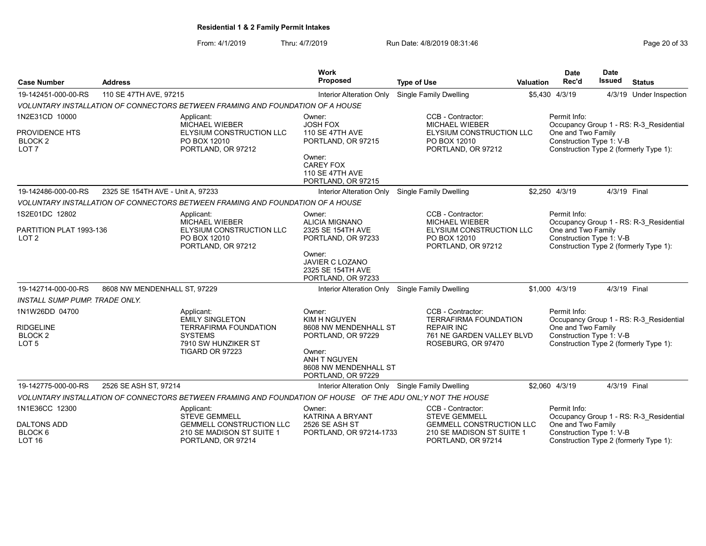From: 4/1/2019 Thru: 4/7/2019 Run Date: 4/8/2019 08:31:46

| Page 20 of 33 |  |  |  |  |
|---------------|--|--|--|--|
|---------------|--|--|--|--|

| <b>Case Number</b>                                                           | <b>Address</b>                    |                                                                                                                                  | <b>Work</b><br>Proposed                                                                                                                        | <b>Type of Use</b>                                                                                                        | Valuation | <b>Date</b><br>Rec'd                                           | <b>Date</b><br><b>Issued</b> | <b>Status</b>                                                                     |
|------------------------------------------------------------------------------|-----------------------------------|----------------------------------------------------------------------------------------------------------------------------------|------------------------------------------------------------------------------------------------------------------------------------------------|---------------------------------------------------------------------------------------------------------------------------|-----------|----------------------------------------------------------------|------------------------------|-----------------------------------------------------------------------------------|
| 19-142451-000-00-RS                                                          | 110 SE 47TH AVE, 97215            |                                                                                                                                  | <b>Interior Alteration Only</b>                                                                                                                | Single Family Dwelling                                                                                                    |           | \$5,430 4/3/19                                                 |                              | 4/3/19 Under Inspection                                                           |
|                                                                              |                                   | VOLUNTARY INSTALLATION OF CONNECTORS BETWEEN FRAMING AND FOUNDATION OF A HOUSE                                                   |                                                                                                                                                |                                                                                                                           |           |                                                                |                              |                                                                                   |
| 1N2E31CD 10000<br>PROVIDENCE HTS<br>BLOCK <sub>2</sub><br>LOT <sub>7</sub>   |                                   | Applicant:<br><b>MICHAEL WIEBER</b><br>ELYSIUM CONSTRUCTION LLC<br>PO BOX 12010<br>PORTLAND, OR 97212                            | Owner:<br><b>JOSH FOX</b><br><b>110 SE 47TH AVE</b><br>PORTLAND, OR 97215                                                                      | CCB - Contractor:<br><b>MICHAEL WIEBER</b><br>ELYSIUM CONSTRUCTION LLC<br>PO BOX 12010<br>PORTLAND, OR 97212              |           | Permit Info:<br>One and Two Family<br>Construction Type 1: V-B |                              | Occupancy Group 1 - RS: R-3 Residential<br>Construction Type 2 (formerly Type 1): |
|                                                                              |                                   |                                                                                                                                  | Owner:<br><b>CAREY FOX</b><br><b>110 SE 47TH AVE</b><br>PORTLAND, OR 97215                                                                     |                                                                                                                           |           |                                                                |                              |                                                                                   |
| 19-142486-000-00-RS                                                          | 2325 SE 154TH AVE - Unit A, 97233 |                                                                                                                                  | Interior Alteration Only                                                                                                                       | Single Family Dwelling                                                                                                    |           | \$2,250 4/3/19                                                 | 4/3/19 Final                 |                                                                                   |
|                                                                              |                                   | VOLUNTARY INSTALLATION OF CONNECTORS BETWEEN FRAMING AND FOUNDATION OF A HOUSE                                                   |                                                                                                                                                |                                                                                                                           |           |                                                                |                              |                                                                                   |
| 1S2E01DC 12802<br>PARTITION PLAT 1993-136<br>LOT <sub>2</sub>                |                                   | Applicant:<br><b>MICHAEL WIEBER</b><br>ELYSIUM CONSTRUCTION LLC<br>PO BOX 12010<br>PORTLAND, OR 97212                            | Owner:<br>ALICIA MIGNANO<br>2325 SE 154TH AVE<br>PORTLAND, OR 97233                                                                            | CCB - Contractor:<br>MICHAEL WIEBER<br>ELYSIUM CONSTRUCTION LLC<br>PO BOX 12010<br>PORTLAND, OR 97212                     |           | Permit Info:<br>One and Two Family<br>Construction Type 1: V-B |                              | Occupancy Group 1 - RS: R-3 Residential<br>Construction Type 2 (formerly Type 1): |
|                                                                              |                                   |                                                                                                                                  | Owner:<br>JAVIER C LOZANO<br>2325 SE 154TH AVE<br>PORTLAND, OR 97233                                                                           |                                                                                                                           |           |                                                                |                              |                                                                                   |
| 19-142714-000-00-RS                                                          | 8608 NW MENDENHALL ST, 97229      |                                                                                                                                  | Interior Alteration Only                                                                                                                       | <b>Single Family Dwelling</b>                                                                                             |           | \$1,000 4/3/19                                                 | 4/3/19 Final                 |                                                                                   |
| <b>INSTALL SUMP PUMP. TRADE ONLY.</b>                                        |                                   |                                                                                                                                  |                                                                                                                                                |                                                                                                                           |           |                                                                |                              |                                                                                   |
| 1N1W26DD 04700<br><b>RIDGELINE</b><br>BLOCK <sub>2</sub><br>LOT <sub>5</sub> |                                   | Applicant:<br><b>EMILY SINGLETON</b><br><b>TERRAFIRMA FOUNDATION</b><br><b>SYSTEMS</b><br>7910 SW HUNZIKER ST<br>TIGARD OR 97223 | Owner:<br>KIM H NGUYEN<br>8608 NW MENDENHALL ST<br>PORTLAND, OR 97229<br>Owner:<br>ANH T NGUYEN<br>8608 NW MENDENHALL ST<br>PORTLAND, OR 97229 | CCB - Contractor:<br><b>TERRAFIRMA FOUNDATION</b><br><b>REPAIR INC</b><br>761 NE GARDEN VALLEY BLVD<br>ROSEBURG, OR 97470 |           | Permit Info:<br>One and Two Family<br>Construction Type 1: V-B |                              | Occupancy Group 1 - RS: R-3 Residential<br>Construction Type 2 (formerly Type 1): |
| 19-142775-000-00-RS                                                          | 2526 SE ASH ST, 97214             |                                                                                                                                  |                                                                                                                                                | Interior Alteration Only Single Family Dwelling                                                                           |           | \$2.060 4/3/19                                                 | 4/3/19 Final                 |                                                                                   |
|                                                                              |                                   | VOLUNTARY INSTALLATION OF CONNECTORS BETWEEN FRAMING AND FOUNDATION OF HOUSE OF THE ADU ONL;Y NOT THE HOUSE                      |                                                                                                                                                |                                                                                                                           |           |                                                                |                              |                                                                                   |
| 1N1E36CC 12300<br><b>DALTONS ADD</b><br>BLOCK <sub>6</sub>                   |                                   | Applicant:<br><b>STEVE GEMMELL</b><br><b>GEMMELL CONSTRUCTION LLC</b><br>210 SE MADISON ST SUITE 1                               | Owner:<br>KATRINA A BRYANT<br>2526 SE ASH ST<br>PORTLAND, OR 97214-1733                                                                        | CCB - Contractor:<br><b>STEVE GEMMELL</b><br><b>GEMMELL CONSTRUCTION LLC</b><br>210 SE MADISON ST SUITE 1                 |           | Permit Info:<br>One and Two Family<br>Construction Type 1: V-B |                              | Occupancy Group 1 - RS: R-3 Residential                                           |
| <b>LOT 16</b>                                                                |                                   | PORTLAND, OR 97214                                                                                                               |                                                                                                                                                | PORTLAND, OR 97214                                                                                                        |           |                                                                |                              | Construction Type 2 (formerly Type 1):                                            |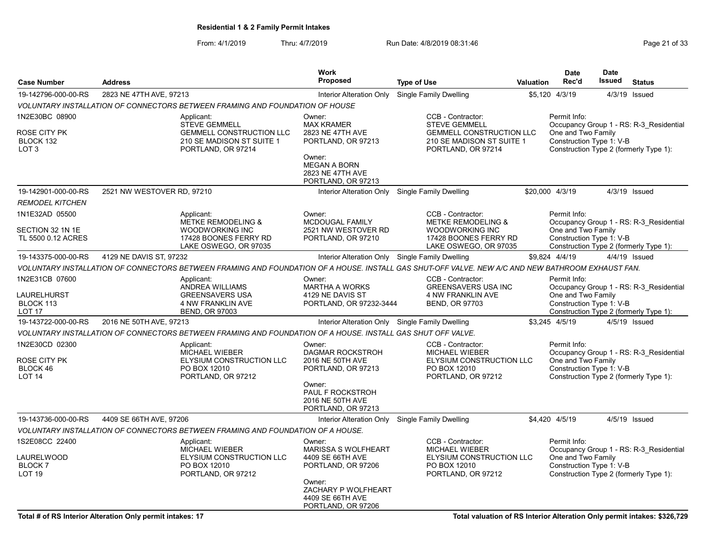From: 4/1/2019 Thru: 4/7/2019 Run Date: 4/8/2019 08:31:46 From: 4/1/2019 Page 21 of 33

|                                                                 |                            |                                                                                                                                                   | <b>Work</b>                                                                                                                                      |                                                                                                                                 |                  | <b>Date</b>                                                    | <b>Date</b>   |                                                                                   |
|-----------------------------------------------------------------|----------------------------|---------------------------------------------------------------------------------------------------------------------------------------------------|--------------------------------------------------------------------------------------------------------------------------------------------------|---------------------------------------------------------------------------------------------------------------------------------|------------------|----------------------------------------------------------------|---------------|-----------------------------------------------------------------------------------|
| <b>Case Number</b>                                              | <b>Address</b>             |                                                                                                                                                   | <b>Proposed</b>                                                                                                                                  | <b>Type of Use</b>                                                                                                              | <b>Valuation</b> | Rec'd                                                          | <b>Issued</b> | <b>Status</b>                                                                     |
| 19-142796-000-00-RS                                             | 2823 NE 47TH AVE, 97213    |                                                                                                                                                   | Interior Alteration Only                                                                                                                         | Single Family Dwelling                                                                                                          |                  | \$5,120 4/3/19                                                 |               | 4/3/19 Issued                                                                     |
|                                                                 |                            | VOLUNTARY INSTALLATION OF CONNECTORS BETWEEN FRAMING AND FOUNDATION OF HOUSE                                                                      |                                                                                                                                                  |                                                                                                                                 |                  |                                                                |               |                                                                                   |
| 1N2E30BC 08900<br>ROSE CITY PK<br>BLOCK 132<br>LOT 3            |                            | Applicant:<br><b>STEVE GEMMELL</b><br><b>GEMMELL CONSTRUCTION LLC</b><br>210 SE MADISON ST SUITE 1<br>PORTLAND, OR 97214                          | Owner:<br><b>MAX KRAMER</b><br>2823 NE 47TH AVE<br>PORTLAND, OR 97213<br>Owner:<br><b>MEGAN A BORN</b><br>2823 NE 47TH AVE<br>PORTLAND, OR 97213 | CCB - Contractor:<br><b>STEVE GEMMELL</b><br><b>GEMMELL CONSTRUCTION LLC</b><br>210 SE MADISON ST SUITE 1<br>PORTLAND, OR 97214 |                  | Permit Info:<br>One and Two Family<br>Construction Type 1: V-B |               | Occupancy Group 1 - RS: R-3 Residential<br>Construction Type 2 (formerly Type 1): |
| 19-142901-000-00-RS                                             | 2521 NW WESTOVER RD, 97210 |                                                                                                                                                   | Interior Alteration Only Single Family Dwelling                                                                                                  |                                                                                                                                 |                  | \$20,000 4/3/19                                                |               | 4/3/19 Issued                                                                     |
| <b>REMODEL KITCHEN</b>                                          |                            |                                                                                                                                                   |                                                                                                                                                  |                                                                                                                                 |                  |                                                                |               |                                                                                   |
| 1N1E32AD 05500<br>SECTION 32 1N 1E<br>TL 5500 0.12 ACRES        |                            | Applicant:<br>METKE REMODELING &<br><b>WOODWORKING INC</b><br>17428 BOONES FERRY RD<br>LAKE OSWEGO, OR 97035                                      | Owner:<br><b>MCDOUGAL FAMILY</b><br>2521 NW WESTOVER RD<br>PORTLAND, OR 97210                                                                    | CCB - Contractor:<br><b>METKE REMODELING &amp;</b><br><b>WOODWORKING INC</b><br>17428 BOONES FERRY RD<br>LAKE OSWEGO, OR 97035  |                  | Permit Info:<br>One and Two Family<br>Construction Type 1: V-B |               | Occupancy Group 1 - RS: R-3 Residential<br>Construction Type 2 (formerly Type 1): |
| 19-143375-000-00-RS                                             | 4129 NE DAVIS ST, 97232    |                                                                                                                                                   | Interior Alteration Only Single Family Dwelling                                                                                                  |                                                                                                                                 |                  | \$9,824 4/4/19                                                 |               | 4/4/19 Issued                                                                     |
|                                                                 |                            | VOLUNTARY INSTALLATION OF CONNECTORS BETWEEN FRAMING AND FOUNDATION OF A HOUSE. INSTALL GAS SHUT-OFF VALVE. NEW A/C AND NEW BATHROOM EXHAUST FAN. |                                                                                                                                                  |                                                                                                                                 |                  |                                                                |               |                                                                                   |
| 1N2E31CB 07600<br>LAURELHURST<br>BLOCK 113<br><b>LOT 17</b>     |                            | Applicant:<br>ANDREA WILLIAMS<br><b>GREENSAVERS USA</b><br>4 NW FRANKLIN AVE<br><b>BEND, OR 97003</b>                                             | Owner:<br><b>MARTHA A WORKS</b><br>4129 NE DAVIS ST<br>PORTLAND, OR 97232-3444                                                                   | CCB - Contractor:<br><b>GREENSAVERS USA INC</b><br>4 NW FRANKLIN AVE<br><b>BEND, OR 97703</b>                                   |                  | Permit Info:<br>One and Two Family<br>Construction Type 1: V-B |               | Occupancy Group 1 - RS: R-3 Residential<br>Construction Type 2 (formerly Type 1): |
| 19-143722-000-00-RS                                             | 2016 NE 50TH AVE, 97213    |                                                                                                                                                   | Interior Alteration Only Single Family Dwelling                                                                                                  |                                                                                                                                 |                  | \$3,245 4/5/19                                                 |               | 4/5/19 Issued                                                                     |
|                                                                 |                            | VOLUNTARY INSTALLATION OF CONNECTORS BETWEEN FRAMING AND FOUNDATION OF A HOUSE. INSTALL GAS SHUT OFF VALVE.                                       |                                                                                                                                                  |                                                                                                                                 |                  |                                                                |               |                                                                                   |
| 1N2E30CD 02300<br>ROSE CITY PK<br>BLOCK 46<br>LOT <sub>14</sub> |                            | Applicant:<br>MICHAEL WIEBER<br>ELYSIUM CONSTRUCTION LLC<br>PO BOX 12010<br>PORTLAND, OR 97212                                                    | Owner:<br><b>DAGMAR ROCKSTROH</b><br>2016 NE 50TH AVE<br>PORTLAND, OR 97213<br>Owner:<br>PAUL F ROCKSTROH<br>2016 NE 50TH AVE                    | CCB - Contractor:<br>MICHAEL WIEBER<br>ELYSIUM CONSTRUCTION LLC<br>PO BOX 12010<br>PORTLAND, OR 97212                           |                  | Permit Info:<br>One and Two Family<br>Construction Type 1: V-B |               | Occupancy Group 1 - RS: R-3 Residential<br>Construction Type 2 (formerly Type 1): |
| 19-143736-000-00-RS                                             | 4409 SE 66TH AVE, 97206    |                                                                                                                                                   | PORTLAND, OR 97213<br>Interior Alteration Only Single Family Dwelling                                                                            |                                                                                                                                 |                  | \$4.420 4/5/19                                                 |               | 4/5/19 Issued                                                                     |
|                                                                 |                            | VOLUNTARY INSTALLATION OF CONNECTORS BETWEEN FRAMING AND FOUNDATION OF A HOUSE.                                                                   |                                                                                                                                                  |                                                                                                                                 |                  |                                                                |               |                                                                                   |
| 1S2E08CC 22400<br>LAURELWOOD<br><b>BLOCK7</b><br><b>LOT 19</b>  |                            | Applicant:<br>MICHAEL WIEBER<br>ELYSIUM CONSTRUCTION LLC<br>PO BOX 12010<br>PORTLAND, OR 97212                                                    | Owner:<br><b>MARISSA S WOLFHEART</b><br>4409 SE 66TH AVE<br>PORTLAND, OR 97206                                                                   | CCB - Contractor:<br>MICHAEL WIEBER<br>ELYSIUM CONSTRUCTION LLC<br>PO BOX 12010<br>PORTLAND, OR 97212                           |                  | Permit Info:<br>One and Two Family<br>Construction Type 1: V-B |               | Occupancy Group 1 - RS: R-3_Residential<br>Construction Type 2 (formerly Type 1): |
|                                                                 |                            |                                                                                                                                                   | Owner:<br>ZACHARY P WOLFHEART<br>4409 SE 66TH AVE<br>PORTLAND, OR 97206                                                                          |                                                                                                                                 |                  |                                                                |               |                                                                                   |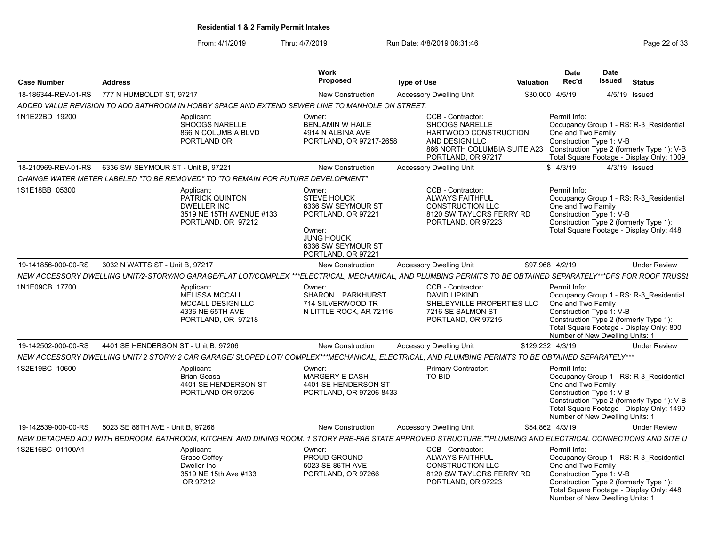From: 4/1/2019 Thru: 4/7/2019 Run Date: 4/8/2019 08:31:46 From: 4/1/2019 Page 22 of 33

| <b>Case Number</b>  | <b>Address</b>                                                                                                                                                 | Work<br><b>Proposed</b>                                                                                                                      | <b>Type of Use</b>                                                                                                                                                                     | <b>Valuation</b> | Date<br>Rec'd                                                                                     | <b>Date</b><br><b>Issued</b> | <b>Status</b>                                                                                                                      |
|---------------------|----------------------------------------------------------------------------------------------------------------------------------------------------------------|----------------------------------------------------------------------------------------------------------------------------------------------|----------------------------------------------------------------------------------------------------------------------------------------------------------------------------------------|------------------|---------------------------------------------------------------------------------------------------|------------------------------|------------------------------------------------------------------------------------------------------------------------------------|
| 18-186344-REV-01-RS | 777 N HUMBOLDT ST. 97217                                                                                                                                       | <b>New Construction</b>                                                                                                                      | <b>Accessory Dwelling Unit</b>                                                                                                                                                         |                  | \$30,000 4/5/19                                                                                   |                              | 4/5/19 Issued                                                                                                                      |
|                     | ADDED VALUE REVISION TO ADD BATHROOM IN HOBBY SPACE AND EXTEND SEWER LINE TO MANHOLE ON STREET.                                                                |                                                                                                                                              |                                                                                                                                                                                        |                  |                                                                                                   |                              |                                                                                                                                    |
| 1N1E22BD 19200      | Applicant:<br><b>SHOOGS NARELLE</b><br>866 N COLUMBIA BLVD<br>PORTLAND OR                                                                                      | Owner:<br><b>BENJAMIN W HAILE</b><br>4914 N ALBINA AVE<br>PORTLAND, OR 97217-2658                                                            | CCB - Contractor:<br><b>SHOOGS NARELLE</b><br>HARTWOOD CONSTRUCTION<br>AND DESIGN LLC<br>866 NORTH COLUMBIA SUITE A23 Construction Type 2 (formerly Type 1): V-B<br>PORTLAND, OR 97217 |                  | Permit Info:<br>One and Two Family<br>Construction Type 1: V-B                                    |                              | Occupancy Group 1 - RS: R-3 Residential<br>Total Square Footage - Display Only: 1009                                               |
| 18-210969-REV-01-RS | 6336 SW SEYMOUR ST - Unit B, 97221                                                                                                                             | <b>New Construction</b>                                                                                                                      | <b>Accessory Dwelling Unit</b>                                                                                                                                                         |                  | \$4/3/19                                                                                          |                              | 4/3/19 Issued                                                                                                                      |
|                     | CHANGE WATER METER LABELED "TO BE REMOVED" TO "TO REMAIN FOR FUTURE DEVELOPMENT"                                                                               |                                                                                                                                              |                                                                                                                                                                                        |                  |                                                                                                   |                              |                                                                                                                                    |
| 1S1E18BB 05300      | Applicant:<br>PATRICK QUINTON<br><b>DWELLER INC</b><br>3519 NE 15TH AVENUE #133<br>PORTLAND, OR 97212                                                          | Owner:<br>STEVE HOUCK<br>6336 SW SEYMOUR ST<br>PORTLAND, OR 97221<br>Owner:<br><b>JUNG HOUCK</b><br>6336 SW SEYMOUR ST<br>PORTLAND, OR 97221 | CCB - Contractor:<br><b>ALWAYS FAITHFUL</b><br><b>CONSTRUCTION LLC</b><br>8120 SW TAYLORS FERRY RD<br>PORTLAND, OR 97223                                                               |                  | Permit Info:<br>One and Two Family<br>Construction Type 1: V-B                                    |                              | Occupancy Group 1 - RS: R-3 Residential<br>Construction Type 2 (formerly Type 1):<br>Total Square Footage - Display Only: 448      |
| 19-141856-000-00-RS | 3032 N WATTS ST - Unit B, 97217                                                                                                                                | <b>New Construction</b>                                                                                                                      | <b>Accessory Dwelling Unit</b>                                                                                                                                                         |                  | \$97,968 4/2/19                                                                                   |                              | <b>Under Review</b>                                                                                                                |
|                     | NEW ACCESSORY DWELLING UNIT/2-STORY/NO GARAGE/FLAT LOT/COMPLEX ***ELECTRICAL, MECHANICAL, AND PLUMBING PERMITS TO BE OBTAINED SEPARATELY***DFS FOR ROOF TRUSSI |                                                                                                                                              |                                                                                                                                                                                        |                  |                                                                                                   |                              |                                                                                                                                    |
| 1N1E09CB 17700      | Applicant:<br><b>MELISSA MCCALL</b><br><b>MCCALL DESIGN LLC</b><br>4336 NE 65TH AVE<br>PORTLAND, OR 97218                                                      | Owner:<br>SHARON L PARKHURST<br>714 SILVERWOOD TR<br>N LITTLE ROCK, AR 72116                                                                 | CCB - Contractor:<br><b>DAVID LIPKIND</b><br>SHELBYVILLE PROPERTIES LLC<br>7216 SE SALMON ST<br>PORTLAND, OR 97215                                                                     |                  | Permit Info:<br>One and Two Family<br>Construction Type 1: V-B<br>Number of New Dwelling Units: 1 |                              | Occupancy Group 1 - RS: R-3 Residential<br>Construction Type 2 (formerly Type 1):<br>Total Square Footage - Display Only: 800      |
| 19-142502-000-00-RS | 4401 SE HENDERSON ST - Unit B, 97206                                                                                                                           | New Construction                                                                                                                             | <b>Accessory Dwelling Unit</b>                                                                                                                                                         |                  | \$129,232 4/3/19                                                                                  |                              | <b>Under Review</b>                                                                                                                |
|                     | NEW ACCESSORY DWELLING UNIT/2 STORY/2 CAR GARAGE/ SLOPED LOT/ COMPLEX***MECHANICAL, ELECTRICAL, AND PLUMBING PERMITS TO BE OBTAINED SEPARATELY***              |                                                                                                                                              |                                                                                                                                                                                        |                  |                                                                                                   |                              |                                                                                                                                    |
| 1S2E19BC 10600      | Applicant:<br><b>Brian Geasa</b><br>4401 SE HENDERSON ST<br>PORTLAND OR 97206                                                                                  | Owner:<br><b>MARGERY E DASH</b><br>4401 SE HENDERSON ST<br>PORTLAND, OR 97206-8433                                                           | <b>Primary Contractor:</b><br>TO BID                                                                                                                                                   |                  | Permit Info:<br>One and Two Family<br>Construction Type 1: V-B<br>Number of New Dwelling Units: 1 |                              | Occupancy Group 1 - RS: R-3 Residential<br>Construction Type 2 (formerly Type 1): V-B<br>Total Square Footage - Display Only: 1490 |
| 19-142539-000-00-RS | 5023 SE 86TH AVE - Unit B, 97266                                                                                                                               | <b>New Construction</b>                                                                                                                      | <b>Accessory Dwelling Unit</b>                                                                                                                                                         |                  | \$54,862 4/3/19                                                                                   |                              | <b>Under Review</b>                                                                                                                |
|                     | NEW DETACHED ADU WITH BEDROOM, BATHROOM, KITCHEN, AND DINING ROOM. 1 STORY PRE-FAB STATE APPROVED STRUCTURE.**PLUMBING AND ELECTRICAL CONNECTIONS AND SITE U   |                                                                                                                                              |                                                                                                                                                                                        |                  |                                                                                                   |                              |                                                                                                                                    |
| 1S2E16BC 01100A1    | Applicant:<br>Grace Coffey<br>Dweller Inc<br>3519 NE 15th Ave #133<br>OR 97212                                                                                 | Owner:<br>PROUD GROUND<br>5023 SE 86TH AVE<br>PORTLAND, OR 97266                                                                             | CCB - Contractor:<br><b>ALWAYS FAITHFUL</b><br><b>CONSTRUCTION LLC</b><br>8120 SW TAYLORS FERRY RD<br>PORTLAND, OR 97223                                                               |                  | Permit Info:<br>One and Two Family<br>Construction Type 1: V-B<br>Number of New Dwelling Units: 1 |                              | Occupancy Group 1 - RS: R-3 Residential<br>Construction Type 2 (formerly Type 1):<br>Total Square Footage - Display Only: 448      |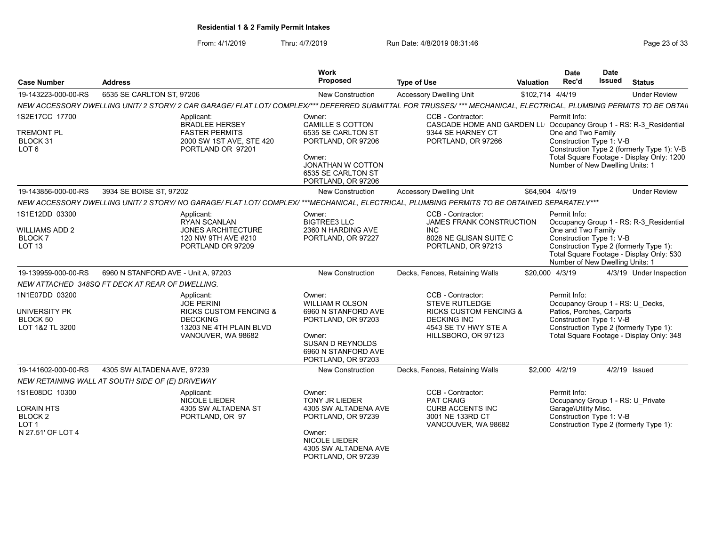From: 4/1/2019 Thru: 4/7/2019 Run Date: 4/8/2019 08:31:46 From: 4/1/2019 Page 23 of 33

| <b>Case Number</b>                                                                          | <b>Address</b>                                                                                                                                                    | Work<br><b>Proposed</b>                                                                                                                                       | <b>Type of Use</b>                                                                                                                                   | Valuation        | <b>Date</b><br>Rec'd                                                                              | <b>Date</b><br>Issued | <b>Status</b>                                                                                                                 |
|---------------------------------------------------------------------------------------------|-------------------------------------------------------------------------------------------------------------------------------------------------------------------|---------------------------------------------------------------------------------------------------------------------------------------------------------------|------------------------------------------------------------------------------------------------------------------------------------------------------|------------------|---------------------------------------------------------------------------------------------------|-----------------------|-------------------------------------------------------------------------------------------------------------------------------|
| 19-143223-000-00-RS                                                                         | 6535 SE CARLTON ST. 97206                                                                                                                                         | <b>New Construction</b>                                                                                                                                       | <b>Accessory Dwelling Unit</b>                                                                                                                       | \$102.714 4/4/19 |                                                                                                   |                       | <b>Under Review</b>                                                                                                           |
|                                                                                             | NEW ACCESSORY DWELLING UNIT/2 STORY/2 CAR GARAGE/ FLAT LOT/ COMPLEX/*** DEFERRED SUBMITTAL FOR TRUSSES/ *** MECHANICAL, ELECTRICAL, PLUMBING PERMITS TO BE OBTAII |                                                                                                                                                               |                                                                                                                                                      |                  |                                                                                                   |                       |                                                                                                                               |
| 1S2E17CC 17700<br><b>TREMONT PL</b><br>BLOCK 31<br>LOT <sub>6</sub>                         | Applicant:<br><b>BRADLEE HERSEY</b><br><b>FASTER PERMITS</b><br>2000 SW 1ST AVE, STE 420<br>PORTLAND OR 97201                                                     | Owner:<br>CAMILLE S COTTON<br>6535 SE CARLTON ST<br>PORTLAND, OR 97206<br>Owner:<br><b>JONATHAN W COTTON</b><br>6535 SE CARLTON ST<br>PORTLAND, OR 97206      | CCB - Contractor:<br>CASCADE HOME AND GARDEN LL' Occupancy Group 1 - RS: R-3 Residential<br>9344 SE HARNEY CT<br>PORTLAND, OR 97266                  |                  | Permit Info:<br>One and Two Family<br>Construction Type 1: V-B<br>Number of New Dwelling Units: 1 |                       | Construction Type 2 (formerly Type 1): V-B<br>Total Square Footage - Display Only: 1200                                       |
| 19-143856-000-00-RS                                                                         | 3934 SE BOISE ST, 97202                                                                                                                                           | New Construction                                                                                                                                              | <b>Accessory Dwelling Unit</b>                                                                                                                       | \$64,904 4/5/19  |                                                                                                   |                       | <b>Under Review</b>                                                                                                           |
|                                                                                             | NEW ACCESSORY DWELLING UNIT/2 STORY/ NO GARAGE/ FLAT LOT/ COMPLEX/ ***MECHANICAL, ELECTRICAL, PLUMBING PERMITS TO BE OBTAINED SEPARATELY***                       |                                                                                                                                                               |                                                                                                                                                      |                  |                                                                                                   |                       |                                                                                                                               |
| 1S1E12DD 03300<br>WILLIAMS ADD 2<br><b>BLOCK7</b><br>LOT <sub>13</sub>                      | Applicant:<br><b>RYAN SCANLAN</b><br><b>JONES ARCHITECTURE</b><br>120 NW 9TH AVE #210<br>PORTLAND OR 97209                                                        | Owner:<br><b>BIGTREE3 LLC</b><br>2360 N HARDING AVE<br>PORTLAND, OR 97227                                                                                     | CCB - Contractor:<br><b>JAMES FRANK CONSTRUCTION</b><br><b>INC</b><br>8028 NE GLISAN SUITE C<br>PORTLAND, OR 97213                                   |                  | Permit Info:<br>One and Two Family<br>Construction Type 1: V-B<br>Number of New Dwelling Units: 1 |                       | Occupancy Group 1 - RS: R-3 Residential<br>Construction Type 2 (formerly Type 1):<br>Total Square Footage - Display Only: 530 |
| 19-139959-000-00-RS                                                                         | 6960 N STANFORD AVE - Unit A, 97203                                                                                                                               | New Construction                                                                                                                                              | Decks, Fences, Retaining Walls                                                                                                                       | \$20,000 4/3/19  |                                                                                                   |                       | 4/3/19 Under Inspection                                                                                                       |
|                                                                                             | NEW ATTACHED 348SQ FT DECK AT REAR OF DWELLING.                                                                                                                   |                                                                                                                                                               |                                                                                                                                                      |                  |                                                                                                   |                       |                                                                                                                               |
| 1N1E07DD 03200<br>UNIVERSITY PK<br>BLOCK 50<br>LOT 1&2 TL 3200                              | Applicant:<br><b>JOE PERINI</b><br><b>RICKS CUSTOM FENCING &amp;</b><br><b>DECCKING</b><br>13203 NE 4TH PLAIN BLVD<br>VANOUVER, WA 98682                          | Owner:<br><b>WILLIAM R OLSON</b><br>6960 N STANFORD AVE<br>PORTLAND, OR 97203<br>Owner:<br>SUSAN D REYNOLDS<br>6960 N STANFORD AVE<br>PORTLAND, OR 97203      | CCB - Contractor:<br><b>STEVE RUTLEDGE</b><br><b>RICKS CUSTOM FENCING &amp;</b><br><b>DECKING INC</b><br>4543 SE TV HWY STE A<br>HILLSBORO, OR 97123 |                  | Permit Info:<br>Patios, Porches, Carports<br>Construction Type 1: V-B                             |                       | Occupancy Group 1 - RS: U_Decks,<br>Construction Type 2 (formerly Type 1):<br>Total Square Footage - Display Only: 348        |
| 19-141602-000-00-RS                                                                         | 4305 SW ALTADENA AVE, 97239                                                                                                                                       | New Construction                                                                                                                                              | Decks, Fences, Retaining Walls                                                                                                                       |                  | \$2,000 4/2/19                                                                                    |                       | 4/2/19 Issued                                                                                                                 |
|                                                                                             | NEW RETAINING WALL AT SOUTH SIDE OF (E) DRIVEWAY                                                                                                                  |                                                                                                                                                               |                                                                                                                                                      |                  |                                                                                                   |                       |                                                                                                                               |
| 1S1E08DC 10300<br>LORAIN HTS<br>BLOCK <sub>2</sub><br>LOT <sub>1</sub><br>N 27.51' OF LOT 4 | Applicant:<br>NICOLE LIEDER<br>4305 SW ALTADENA ST<br>PORTLAND, OR 97                                                                                             | Owner:<br><b>TONY JR LIEDER</b><br>4305 SW ALTADENA AVE<br>PORTLAND, OR 97239<br>Owner:<br><b>NICOLE LIEDER</b><br>4305 SW ALTADENA AVE<br>PORTLAND, OR 97239 | CCB - Contractor:<br>PAT CRAIG<br><b>CURB ACCENTS INC</b><br>3001 NE 133RD CT<br>VANCOUVER, WA 98682                                                 |                  | Permit Info:<br>Garage\Utility Misc.<br>Construction Type 1: V-B                                  |                       | Occupancy Group 1 - RS: U Private<br>Construction Type 2 (formerly Type 1):                                                   |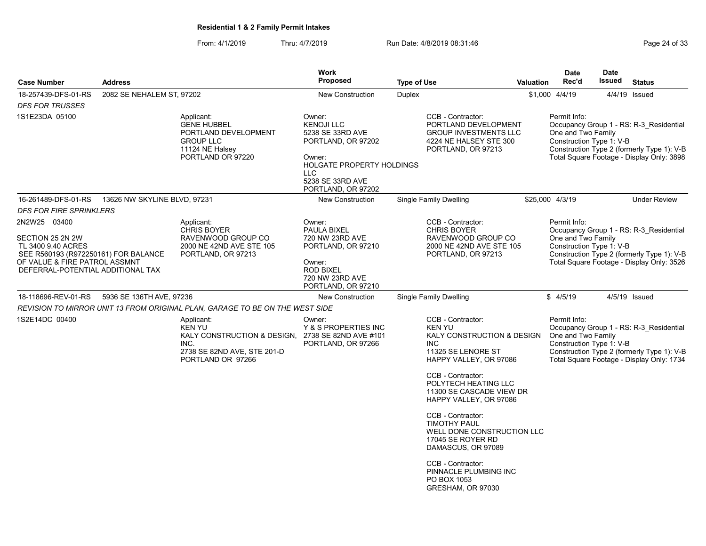From: 4/1/2019 Thru: 4/7/2019 Run Date: 4/8/2019 08:31:46

| Page 24 of 33 |  |  |
|---------------|--|--|
|               |  |  |

|                                                                                                                                                                      |                              |                                                                                                                                              | <b>Work</b>                                                                                                                                                           |                    |                                                                                                                                                                                                                                                                                                                                                                                                                                          |                  | <b>Date</b>                                                    | <b>Date</b>   |                                                                                                                                    |
|----------------------------------------------------------------------------------------------------------------------------------------------------------------------|------------------------------|----------------------------------------------------------------------------------------------------------------------------------------------|-----------------------------------------------------------------------------------------------------------------------------------------------------------------------|--------------------|------------------------------------------------------------------------------------------------------------------------------------------------------------------------------------------------------------------------------------------------------------------------------------------------------------------------------------------------------------------------------------------------------------------------------------------|------------------|----------------------------------------------------------------|---------------|------------------------------------------------------------------------------------------------------------------------------------|
| <b>Case Number</b>                                                                                                                                                   | <b>Address</b>               |                                                                                                                                              | <b>Proposed</b>                                                                                                                                                       | <b>Type of Use</b> |                                                                                                                                                                                                                                                                                                                                                                                                                                          | <b>Valuation</b> | Rec'd                                                          | <b>Issued</b> | <b>Status</b>                                                                                                                      |
| 18-257439-DFS-01-RS                                                                                                                                                  | 2082 SE NEHALEM ST, 97202    |                                                                                                                                              | New Construction                                                                                                                                                      | <b>Duplex</b>      |                                                                                                                                                                                                                                                                                                                                                                                                                                          |                  | \$1,000 4/4/19                                                 |               | 4/4/19 Issued                                                                                                                      |
| <b>DFS FOR TRUSSES</b>                                                                                                                                               |                              |                                                                                                                                              |                                                                                                                                                                       |                    |                                                                                                                                                                                                                                                                                                                                                                                                                                          |                  |                                                                |               |                                                                                                                                    |
| 1S1E23DA 05100                                                                                                                                                       |                              | Applicant:<br><b>GENE HUBBEL</b><br>PORTLAND DEVELOPMENT<br><b>GROUP LLC</b><br>11124 NE Halsey<br>PORTLAND OR 97220                         | Owner:<br><b>KENOJI LLC</b><br>5238 SE 33RD AVE<br>PORTLAND, OR 97202<br>Owner:<br><b>HOLGATE PROPERTY HOLDINGS</b><br>LLC.<br>5238 SE 33RD AVE<br>PORTLAND, OR 97202 |                    | CCB - Contractor:<br>PORTLAND DEVELOPMENT<br><b>GROUP INVESTMENTS LLC</b><br>4224 NE HALSEY STE 300<br>PORTLAND, OR 97213                                                                                                                                                                                                                                                                                                                |                  | Permit Info:<br>One and Two Family<br>Construction Type 1: V-B |               | Occupancy Group 1 - RS: R-3 Residential<br>Construction Type 2 (formerly Type 1): V-B<br>Total Square Footage - Display Only: 3898 |
| 16-261489-DFS-01-RS                                                                                                                                                  | 13626 NW SKYLINE BLVD, 97231 |                                                                                                                                              | New Construction                                                                                                                                                      |                    | Single Family Dwelling                                                                                                                                                                                                                                                                                                                                                                                                                   |                  | \$25,000 4/3/19                                                |               | <b>Under Review</b>                                                                                                                |
| <b>DFS FOR FIRE SPRINKLERS</b>                                                                                                                                       |                              |                                                                                                                                              |                                                                                                                                                                       |                    |                                                                                                                                                                                                                                                                                                                                                                                                                                          |                  |                                                                |               |                                                                                                                                    |
| 2N2W25 03400<br>SECTION 25 2N 2W<br>TL 3400 9.40 ACRES<br>SEE R560193 (R972250161) FOR BALANCE<br>OF VALUE & FIRE PATROL ASSMNT<br>DEFERRAL-POTENTIAL ADDITIONAL TAX |                              | Applicant:<br><b>CHRIS BOYER</b><br>RAVENWOOD GROUP CO<br>2000 NE 42ND AVE STE 105<br>PORTLAND, OR 97213                                     | Owner:<br><b>PAULA BIXEL</b><br>720 NW 23RD AVE<br>PORTLAND, OR 97210<br>Owner:<br><b>ROD BIXEL</b><br>720 NW 23RD AVE<br>PORTLAND, OR 97210                          |                    | CCB - Contractor:<br><b>CHRIS BOYER</b><br>RAVENWOOD GROUP CO<br>2000 NE 42ND AVE STE 105<br>PORTLAND, OR 97213                                                                                                                                                                                                                                                                                                                          |                  | Permit Info:<br>One and Two Family<br>Construction Type 1: V-B |               | Occupancy Group 1 - RS: R-3 Residential<br>Construction Type 2 (formerly Type 1): V-B<br>Total Square Footage - Display Only: 3526 |
| 18-118696-REV-01-RS                                                                                                                                                  | 5936 SE 136TH AVE, 97236     |                                                                                                                                              | New Construction                                                                                                                                                      |                    | <b>Single Family Dwelling</b>                                                                                                                                                                                                                                                                                                                                                                                                            |                  | \$4/5/19                                                       |               | 4/5/19 Issued                                                                                                                      |
|                                                                                                                                                                      |                              | REVISION TO MIRROR UNIT 13 FROM ORIGINAL PLAN, GARAGE TO BE ON THE WEST SIDE                                                                 |                                                                                                                                                                       |                    |                                                                                                                                                                                                                                                                                                                                                                                                                                          |                  |                                                                |               |                                                                                                                                    |
| 1S2E14DC 00400                                                                                                                                                       |                              | Applicant:<br><b>KEN YU</b><br>KALY CONSTRUCTION & DESIGN, 2738 SE 82ND AVE #101<br>INC.<br>2738 SE 82ND AVE, STE 201-D<br>PORTLAND OR 97266 | Owner:<br>Y & S PROPERTIES INC<br>PORTLAND, OR 97266                                                                                                                  |                    | CCB - Contractor:<br><b>KEN YU</b><br>KALY CONSTRUCTION & DESIGN<br><b>INC</b><br>11325 SE LENORE ST<br>HAPPY VALLEY, OR 97086<br>CCB - Contractor:<br>POLYTECH HEATING LLC<br>11300 SE CASCADE VIEW DR<br>HAPPY VALLEY, OR 97086<br>CCB - Contractor:<br><b>TIMOTHY PAUL</b><br>WELL DONE CONSTRUCTION LLC<br>17045 SE ROYER RD<br>DAMASCUS, OR 97089<br>CCB - Contractor:<br>PINNACLE PLUMBING INC<br>PO BOX 1053<br>GRESHAM, OR 97030 |                  | Permit Info:<br>One and Two Family<br>Construction Type 1: V-B |               | Occupancy Group 1 - RS: R-3 Residential<br>Construction Type 2 (formerly Type 1): V-B<br>Total Square Footage - Display Only: 1734 |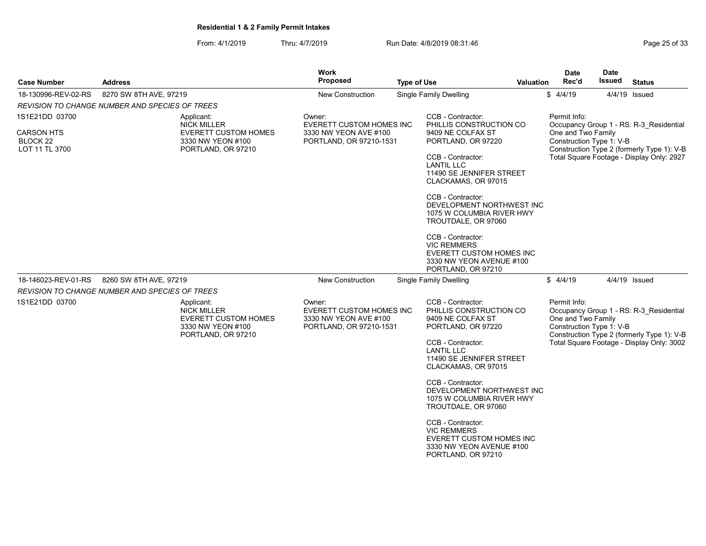From: 4/1/2019 Thru: 4/7/2019 Run Date: 4/8/2019 08:31:46 From: 4/1/2019 Page 25 of 33

| <b>Case Number</b>                                                           | <b>Address</b>                                                                                             | <b>Work</b><br><b>Proposed</b>                                                                | <b>Type of Use</b>                                                                                                                                                                                                                                                                                                                                                                                                  | Valuation | Date<br>Rec'd                                                  | Date<br>Issued | <b>Status</b>                                                                                                                      |
|------------------------------------------------------------------------------|------------------------------------------------------------------------------------------------------------|-----------------------------------------------------------------------------------------------|---------------------------------------------------------------------------------------------------------------------------------------------------------------------------------------------------------------------------------------------------------------------------------------------------------------------------------------------------------------------------------------------------------------------|-----------|----------------------------------------------------------------|----------------|------------------------------------------------------------------------------------------------------------------------------------|
| 18-130996-REV-02-RS                                                          | 8270 SW 8TH AVE, 97219                                                                                     | <b>New Construction</b>                                                                       | <b>Single Family Dwelling</b>                                                                                                                                                                                                                                                                                                                                                                                       |           | \$4/4/19                                                       |                | 4/4/19 Issued                                                                                                                      |
|                                                                              | <i>REVISION TO CHANGE NUMBER AND SPECIES OF TREES</i>                                                      |                                                                                               |                                                                                                                                                                                                                                                                                                                                                                                                                     |           |                                                                |                |                                                                                                                                    |
| 1S1E21DD 03700<br><b>CARSON HTS</b><br>BLOCK <sub>22</sub><br>LOT 11 TL 3700 | Applicant:<br><b>NICK MILLER</b><br><b>EVERETT CUSTOM HOMES</b><br>3330 NW YEON #100<br>PORTLAND, OR 97210 | Owner:<br><b>EVERETT CUSTOM HOMES INC</b><br>3330 NW YEON AVE #100<br>PORTLAND, OR 97210-1531 | CCB - Contractor:<br>PHILLIS CONSTRUCTION CO<br>9409 NE COLFAX ST<br>PORTLAND, OR 97220<br>CCB - Contractor:<br><b>LANTIL LLC</b><br>11490 SE JENNIFER STREET<br>CLACKAMAS, OR 97015<br>CCB - Contractor:<br>DEVELOPMENT NORTHWEST INC<br>1075 W COLUMBIA RIVER HWY<br>TROUTDALE, OR 97060<br>CCB - Contractor:<br><b>VIC REMMERS</b><br>EVERETT CUSTOM HOMES INC<br>3330 NW YEON AVENUE #100<br>PORTLAND, OR 97210 |           | Permit Info:<br>One and Two Family<br>Construction Type 1: V-B |                | Occupancy Group 1 - RS: R-3 Residential<br>Construction Type 2 (formerly Type 1): V-B<br>Total Square Footage - Display Only: 2927 |
| 18-146023-REV-01-RS                                                          | 8260 SW 8TH AVE, 97219                                                                                     | <b>New Construction</b>                                                                       |                                                                                                                                                                                                                                                                                                                                                                                                                     | \$4/4/19  |                                                                | 4/4/19 Issued  |                                                                                                                                    |
|                                                                              | <b>REVISION TO CHANGE NUMBER AND SPECIES OF TREES</b>                                                      |                                                                                               | <b>Single Family Dwelling</b>                                                                                                                                                                                                                                                                                                                                                                                       |           |                                                                |                |                                                                                                                                    |
| 1S1E21DD 03700                                                               | Applicant:<br><b>NICK MILLER</b><br><b>EVERETT CUSTOM HOMES</b><br>3330 NW YEON #100<br>PORTLAND, OR 97210 | Owner:<br><b>EVERETT CUSTOM HOMES INC</b><br>3330 NW YEON AVE #100<br>PORTLAND, OR 97210-1531 | CCB - Contractor:<br>PHILLIS CONSTRUCTION CO<br>9409 NE COLFAX ST<br>PORTLAND, OR 97220<br>CCB - Contractor:<br><b>LANTIL LLC</b><br>11490 SE JENNIFER STREET<br>CLACKAMAS, OR 97015<br>CCB - Contractor:<br>DEVELOPMENT NORTHWEST INC<br>1075 W COLUMBIA RIVER HWY<br>TROUTDALE, OR 97060<br>CCB - Contractor:<br><b>VIC REMMERS</b><br>EVERETT CUSTOM HOMES INC<br>3330 NW YEON AVENUE #100<br>PORTLAND, OR 97210 |           | Permit Info:<br>One and Two Family<br>Construction Type 1: V-B |                | Occupancy Group 1 - RS: R-3 Residential<br>Construction Type 2 (formerly Type 1): V-B<br>Total Square Footage - Display Only: 3002 |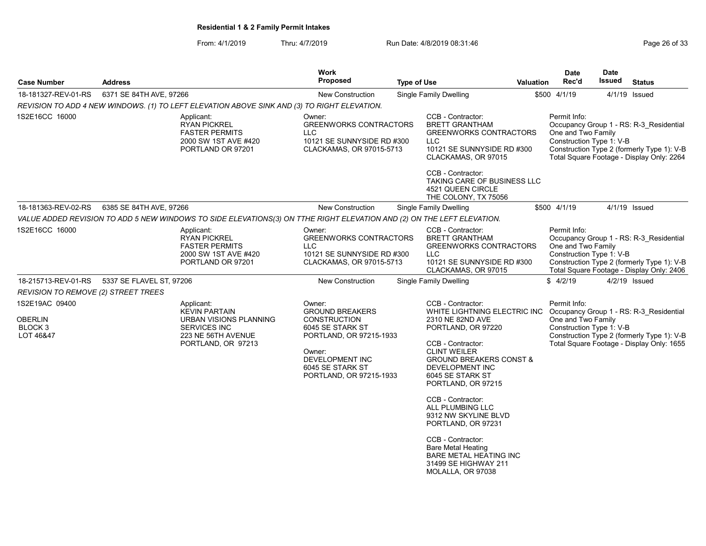From: 4/1/2019 Thru: 4/7/2019 Run Date: 4/8/2019 08:31:46 From: 4/1/2019 Page 26 of 33

|                                                                     |                          |                                                                                                                                 | Work                                                                                                                                                                               |                    |                                                                                                                                                                                                                                            |                  | <b>Date</b>                                                    | <b>Date</b> |                                                                                                                                    |
|---------------------------------------------------------------------|--------------------------|---------------------------------------------------------------------------------------------------------------------------------|------------------------------------------------------------------------------------------------------------------------------------------------------------------------------------|--------------------|--------------------------------------------------------------------------------------------------------------------------------------------------------------------------------------------------------------------------------------------|------------------|----------------------------------------------------------------|-------------|------------------------------------------------------------------------------------------------------------------------------------|
| <b>Case Number</b>                                                  | <b>Address</b>           |                                                                                                                                 | Proposed                                                                                                                                                                           | <b>Type of Use</b> |                                                                                                                                                                                                                                            | <b>Valuation</b> | Rec'd                                                          | Issued      | <b>Status</b>                                                                                                                      |
| 18-181327-REV-01-RS                                                 | 6371 SE 84TH AVE, 97266  |                                                                                                                                 | <b>New Construction</b>                                                                                                                                                            |                    | <b>Single Family Dwelling</b>                                                                                                                                                                                                              |                  | \$500 4/1/19                                                   |             | 4/1/19 Issued                                                                                                                      |
|                                                                     |                          | REVISION TO ADD 4 NEW WINDOWS. (1) TO LEFT ELEVATION ABOVE SINK AND (3) TO RIGHT ELEVATION.                                     |                                                                                                                                                                                    |                    |                                                                                                                                                                                                                                            |                  |                                                                |             |                                                                                                                                    |
| 1S2E16CC 16000                                                      |                          | Applicant:<br><b>RYAN PICKREL</b><br><b>FASTER PERMITS</b><br>2000 SW 1ST AVE #420<br>PORTLAND OR 97201                         | Owner:<br><b>GREENWORKS CONTRACTORS</b><br><b>LLC</b><br>10121 SE SUNNYSIDE RD #300<br>CLACKAMAS, OR 97015-5713                                                                    |                    | CCB - Contractor:<br><b>BRETT GRANTHAM</b><br><b>GREENWORKS CONTRACTORS</b><br><b>LLC</b><br>10121 SE SUNNYSIDE RD #300<br>CLACKAMAS, OR 97015<br>CCB - Contractor:                                                                        |                  | Permit Info:<br>One and Two Family<br>Construction Type 1: V-B |             | Occupancy Group 1 - RS: R-3 Residential<br>Construction Type 2 (formerly Type 1): V-B<br>Total Square Footage - Display Only: 2264 |
|                                                                     |                          |                                                                                                                                 |                                                                                                                                                                                    |                    | TAKING CARE OF BUSINESS LLC<br>4521 QUEEN CIRCLE<br>THE COLONY, TX 75056                                                                                                                                                                   |                  |                                                                |             |                                                                                                                                    |
| 18-181363-REV-02-RS                                                 | 6385 SE 84TH AVE, 97266  |                                                                                                                                 | <b>New Construction</b>                                                                                                                                                            |                    | <b>Single Family Dwelling</b>                                                                                                                                                                                                              |                  | \$500 4/1/19                                                   |             | 4/1/19 Issued                                                                                                                      |
|                                                                     |                          | VALUE ADDED REVISION TO ADD 5 NEW WINDOWS TO SIDE ELEVATIONS(3) ON TTHE RIGHT ELEVATION AND (2) ON THE LEFT ELEVATION.          |                                                                                                                                                                                    |                    |                                                                                                                                                                                                                                            |                  |                                                                |             |                                                                                                                                    |
| 1S2E16CC 16000                                                      |                          | Applicant:<br><b>RYAN PICKREL</b><br><b>FASTER PERMITS</b><br>2000 SW 1ST AVE #420<br>PORTLAND OR 97201                         | Owner:<br><b>GREENWORKS CONTRACTORS</b><br><b>LLC</b><br>10121 SE SUNNYSIDE RD #300<br>CLACKAMAS, OR 97015-5713                                                                    |                    | CCB - Contractor:<br><b>BRETT GRANTHAM</b><br><b>GREENWORKS CONTRACTORS</b><br><b>LLC</b><br>10121 SE SUNNYSIDE RD #300<br>CLACKAMAS, OR 97015                                                                                             |                  | Permit Info:<br>One and Two Family<br>Construction Type 1: V-B |             | Occupancy Group 1 - RS: R-3 Residential<br>Construction Type 2 (formerly Type 1): V-B<br>Total Square Footage - Display Only: 2406 |
| 18-215713-REV-01-RS                                                 | 5337 SE FLAVEL ST, 97206 |                                                                                                                                 | <b>New Construction</b>                                                                                                                                                            |                    | Single Family Dwelling                                                                                                                                                                                                                     |                  | \$4/2/19                                                       |             | 4/2/19 Issued                                                                                                                      |
| <b>REVISION TO REMOVE (2) STREET TREES</b>                          |                          |                                                                                                                                 |                                                                                                                                                                                    |                    |                                                                                                                                                                                                                                            |                  |                                                                |             |                                                                                                                                    |
| 1S2E19AC 09400<br><b>OBERLIN</b><br>BLOCK <sub>3</sub><br>LOT 46&47 |                          | Applicant:<br><b>KEVIN PARTAIN</b><br>URBAN VISIONS PLANNING<br><b>SERVICES INC</b><br>223 NE 56TH AVENUE<br>PORTLAND, OR 97213 | Owner:<br><b>GROUND BREAKERS</b><br><b>CONSTRUCTION</b><br>6045 SE STARK ST<br>PORTLAND, OR 97215-1933<br>Owner:<br>DEVELOPMENT INC<br>6045 SE STARK ST<br>PORTLAND, OR 97215-1933 |                    | CCB - Contractor:<br>WHITE LIGHTNING ELECTRIC INC<br>2310 NE 82ND AVE<br>PORTLAND, OR 97220<br>CCB - Contractor:<br><b>CLINT WEILER</b><br><b>GROUND BREAKERS CONST &amp;</b><br>DEVELOPMENT INC<br>6045 SE STARK ST<br>PORTLAND, OR 97215 |                  | Permit Info:<br>One and Two Family<br>Construction Type 1: V-B |             | Occupancy Group 1 - RS: R-3 Residential<br>Construction Type 2 (formerly Type 1): V-B<br>Total Square Footage - Display Only: 1655 |
|                                                                     |                          |                                                                                                                                 |                                                                                                                                                                                    |                    | CCB - Contractor:<br>ALL PLUMBING LLC<br>9312 NW SKYLINE BLVD<br>PORTLAND, OR 97231<br>CCB - Contractor:<br><b>Bare Metal Heating</b><br><b>BARE METAL HEATING INC</b><br>31499 SE HIGHWAY 211<br>MOLALLA, OR 97038                        |                  |                                                                |             |                                                                                                                                    |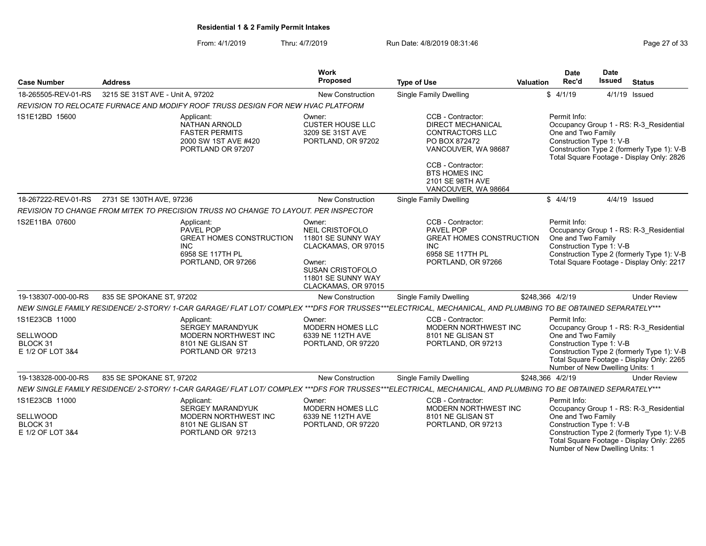# From: 4/1/2019 Thru: 4/7/2019 Run Date: 4/8/2019 08:31:46

Number of New Dwelling Units: 1

| <b>Case Number</b>                                                | <b>Address</b>                   |                                                                                                                    | Work<br><b>Proposed</b>                                                                                                                                  | <b>Type of Use</b>                                                                                                                                                                                      | Valuation | Date<br>Rec'd                                                                                                                                                                                        | <b>Date</b><br><b>Issued</b> | <b>Status</b>                                                                                                                      |
|-------------------------------------------------------------------|----------------------------------|--------------------------------------------------------------------------------------------------------------------|----------------------------------------------------------------------------------------------------------------------------------------------------------|---------------------------------------------------------------------------------------------------------------------------------------------------------------------------------------------------------|-----------|------------------------------------------------------------------------------------------------------------------------------------------------------------------------------------------------------|------------------------------|------------------------------------------------------------------------------------------------------------------------------------|
| 18-265505-REV-01-RS                                               | 3215 SE 31ST AVE - Unit A, 97202 |                                                                                                                    | New Construction                                                                                                                                         | Single Family Dwelling                                                                                                                                                                                  |           | \$4/1/19                                                                                                                                                                                             | 4/1/19                       | Issued                                                                                                                             |
|                                                                   |                                  | REVISION TO RELOCATE FURNACE AND MODIFY ROOF TRUSS DESIGN FOR NEW HVAC PLATFORM                                    |                                                                                                                                                          |                                                                                                                                                                                                         |           |                                                                                                                                                                                                      |                              |                                                                                                                                    |
| 1S1E12BD 15600                                                    |                                  | Applicant:<br><b>NATHAN ARNOLD</b><br><b>FASTER PERMITS</b><br>2000 SW 1ST AVE #420<br>PORTLAND OR 97207           | Owner:<br><b>CUSTER HOUSE LLC</b><br>3209 SE 31ST AVE<br>PORTLAND, OR 97202                                                                              | CCB - Contractor:<br><b>DIRECT MECHANICAL</b><br><b>CONTRACTORS LLC</b><br>PO BOX 872472<br>VANCOUVER, WA 98687<br>CCB - Contractor:<br><b>BTS HOMES INC</b><br>2101 SE 98TH AVE<br>VANCOUVER, WA 98664 |           | Permit Info:<br>One and Two Family<br>Construction Type 1: V-B                                                                                                                                       |                              | Occupancy Group 1 - RS: R-3 Residential<br>Construction Type 2 (formerly Type 1): V-B<br>Total Square Footage - Display Only: 2826 |
| 18-267222-REV-01-RS                                               | 2731 SE 130TH AVE, 97236         |                                                                                                                    | <b>New Construction</b>                                                                                                                                  | Single Family Dwelling                                                                                                                                                                                  |           | \$4/4/19                                                                                                                                                                                             |                              | 4/4/19 Issued                                                                                                                      |
|                                                                   |                                  | REVISION TO CHANGE FROM MITEK TO PRECISION TRUSS NO CHANGE TO LAYOUT. PER INSPECTOR                                |                                                                                                                                                          |                                                                                                                                                                                                         |           |                                                                                                                                                                                                      |                              |                                                                                                                                    |
| 1S2E11BA 07600                                                    |                                  | Applicant:<br>PAVEL POP<br><b>GREAT HOMES CONSTRUCTION</b><br><b>INC</b><br>6958 SE 117TH PL<br>PORTLAND, OR 97266 | Owner:<br>NEIL CRISTOFOLO<br>11801 SE SUNNY WAY<br>CLACKAMAS, OR 97015<br>Owner:<br><b>SUSAN CRISTOFOLO</b><br>11801 SE SUNNY WAY<br>CLACKAMAS, OR 97015 | CCB - Contractor:<br>PAVEL POP<br><b>GREAT HOMES CONSTRUCTION</b><br><b>INC</b><br>6958 SE 117TH PL<br>PORTLAND, OR 97266                                                                               |           | Permit Info:<br>Occupancy Group 1 - RS: R-3 Residential<br>One and Two Family<br>Construction Type 1: V-B<br>Construction Type 2 (formerly Type 1): V-B<br>Total Square Footage - Display Only: 2217 |                              |                                                                                                                                    |
| 19-138307-000-00-RS                                               | 835 SE SPOKANE ST, 97202         |                                                                                                                    | New Construction                                                                                                                                         | Single Family Dwelling                                                                                                                                                                                  |           | \$248,366 4/2/19                                                                                                                                                                                     |                              | <b>Under Review</b>                                                                                                                |
|                                                                   |                                  |                                                                                                                    |                                                                                                                                                          | NEW SINGLE FAMILY RESIDENCE/ 2-STORY/ 1-CAR GARAGE/ FLAT LOT/ COMPLEX ***DFS FOR TRUSSES***ELECTRICAL, MECHANICAL, AND PLUMBING TO BE OBTAINED SEPARATELY***                                            |           |                                                                                                                                                                                                      |                              |                                                                                                                                    |
| 1S1E23CB 11000<br><b>SELLWOOD</b><br>BLOCK 31<br>E 1/2 OF LOT 3&4 |                                  | Applicant:<br><b>SERGEY MARANDYUK</b><br>MODERN NORTHWEST INC<br>8101 NE GLISAN ST<br>PORTLAND OR 97213            | Owner:<br><b>MODERN HOMES LLC</b><br>6339 NE 112TH AVE<br>PORTLAND, OR 97220                                                                             | CCB - Contractor:<br>MODERN NORTHWEST INC<br>8101 NE GLISAN ST<br>PORTLAND, OR 97213                                                                                                                    |           | Permit Info:<br>One and Two Family<br>Construction Type 1: V-B<br>Number of New Dwelling Units: 1                                                                                                    |                              | Occupancy Group 1 - RS: R-3_Residential<br>Construction Type 2 (formerly Type 1): V-B<br>Total Square Footage - Display Only: 2265 |
| 19-138328-000-00-RS                                               | 835 SE SPOKANE ST, 97202         |                                                                                                                    | New Construction                                                                                                                                         | <b>Single Family Dwelling</b>                                                                                                                                                                           |           | \$248,366 4/2/19                                                                                                                                                                                     |                              | <b>Under Review</b>                                                                                                                |
|                                                                   |                                  |                                                                                                                    |                                                                                                                                                          | NEW SINGLE FAMILY RESIDENCE/ 2-STORY/ 1-CAR GARAGE/ FLAT LOT/ COMPLEX ***DFS FOR TRUSSES***ELECTRICAL, MECHANICAL, AND PLUMBING TO BE OBTAINED SEPARATELY***                                            |           |                                                                                                                                                                                                      |                              |                                                                                                                                    |
| 1S1E23CB 11000<br>SELLWOOD<br>BLOCK 31<br>E 1/2 OF LOT 3&4        |                                  | Applicant:<br><b>SERGEY MARANDYUK</b><br>MODERN NORTHWEST INC<br>8101 NE GLISAN ST<br>PORTLAND OR 97213            | Owner:<br><b>MODERN HOMES LLC</b><br>6339 NE 112TH AVE<br>PORTLAND, OR 97220                                                                             | CCB - Contractor:<br>MODERN NORTHWEST INC<br>8101 NE GLISAN ST<br>PORTLAND, OR 97213                                                                                                                    |           | Permit Info:<br>One and Two Family<br>Construction Type 1: V-B                                                                                                                                       |                              | Occupancy Group 1 - RS: R-3_Residential<br>Construction Type 2 (formerly Type 1): V-B<br>Total Square Footage - Display Only: 2265 |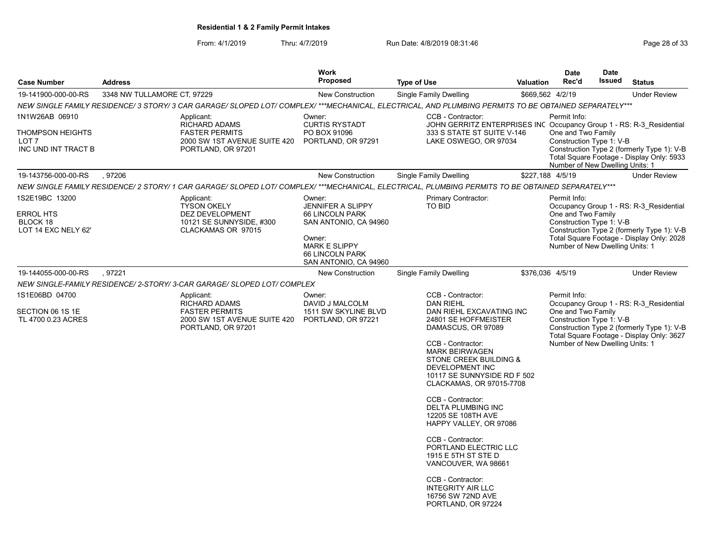From: 4/1/2019 Thru: 4/7/2019 Run Date: 4/8/2019 08:31:46 From: 4/1/2019 Page 28 of 33

|                                                     | <b>Work</b>                                                                 |                                                                                                                                                       |                                                                                   | <b>Date</b>                                                                                                                                        | <b>Date</b>                                                                                                                                            |                                                                                                                                         |                                                                                                                                           |                                           |
|-----------------------------------------------------|-----------------------------------------------------------------------------|-------------------------------------------------------------------------------------------------------------------------------------------------------|-----------------------------------------------------------------------------------|----------------------------------------------------------------------------------------------------------------------------------------------------|--------------------------------------------------------------------------------------------------------------------------------------------------------|-----------------------------------------------------------------------------------------------------------------------------------------|-------------------------------------------------------------------------------------------------------------------------------------------|-------------------------------------------|
| <b>Case Number</b>                                  | <b>Address</b>                                                              |                                                                                                                                                       | <b>Proposed</b>                                                                   | <b>Type of Use</b>                                                                                                                                 | <b>Valuation</b>                                                                                                                                       | Rec'd                                                                                                                                   | Issued                                                                                                                                    | <b>Status</b>                             |
| 19-141900-000-00-RS                                 | 3348 NW TULLAMORE CT, 97229                                                 |                                                                                                                                                       | <b>New Construction</b>                                                           | Single Family Dwelling                                                                                                                             | \$669,562 4/2/19                                                                                                                                       |                                                                                                                                         |                                                                                                                                           | <b>Under Review</b>                       |
|                                                     |                                                                             | NEW SINGLE FAMILY RESIDENCE/ 3 STORY/ 3 CAR GARAGE/ SLOPED LOT/ COMPLEX/ ***MECHANICAL, ELECTRICAL, AND PLUMBING PERMITS TO BE OBTAINED SEPARATELY*** |                                                                                   |                                                                                                                                                    |                                                                                                                                                        |                                                                                                                                         |                                                                                                                                           |                                           |
| 1N1W26AB 06910<br><b>THOMPSON HEIGHTS</b>           |                                                                             | Applicant:<br><b>RICHARD ADAMS</b><br><b>FASTER PERMITS</b>                                                                                           | Owner:<br><b>CURTIS RYSTADT</b><br>PO BOX 91096                                   | CCB - Contractor:<br>JOHN GERRITZ ENTERPRISES INC Occupancy Group 1 - RS: R-3 Residential<br>333 S STATE ST SUITE V-146                            |                                                                                                                                                        | Permit Info:<br>One and Two Family                                                                                                      |                                                                                                                                           |                                           |
| LOT 7<br>INC UND INT TRACT B                        |                                                                             | 2000 SW 1ST AVENUE SUITE 420<br>PORTLAND, OR 97201                                                                                                    | PORTLAND, OR 97291                                                                | LAKE OSWEGO, OR 97034                                                                                                                              | Construction Type 1: V-B<br>Construction Type 2 (formerly Type 1): V-B<br>Total Square Footage - Display Only: 5933<br>Number of New Dwelling Units: 1 |                                                                                                                                         |                                                                                                                                           |                                           |
| 19-143756-000-00-RS                                 | , 97206                                                                     |                                                                                                                                                       | <b>New Construction</b>                                                           | Single Family Dwelling                                                                                                                             |                                                                                                                                                        | \$227,188 4/5/19                                                                                                                        |                                                                                                                                           | <b>Under Review</b>                       |
|                                                     |                                                                             | NEW SINGLE FAMILY RESIDENCE/ 2 STORY/ 1 CAR GARAGE/ SLOPED LOT/ COMPLEX/ ***MECHANICAL, ELECTRICAL, PLUMBING PERMITS TO BE OBTAINED SEPARATELY***     |                                                                                   |                                                                                                                                                    |                                                                                                                                                        |                                                                                                                                         |                                                                                                                                           |                                           |
| 1S2E19BC 13200                                      |                                                                             | Applicant:<br><b>TYSON OKELY</b>                                                                                                                      | Owner:<br><b>JENNIFER A SLIPPY</b>                                                | Primary Contractor:<br>TO BID                                                                                                                      |                                                                                                                                                        | Permit Info:                                                                                                                            |                                                                                                                                           |                                           |
| <b>ERROL HTS</b><br>BLOCK 18<br>LOT 14 EXC NELY 62' |                                                                             | DEZ DEVELOPMENT<br>10121 SE SUNNYSIDE, #300<br>CLACKAMAS OR 97015                                                                                     | <b>66 LINCOLN PARK</b><br>SAN ANTONIO, CA 94960                                   |                                                                                                                                                    |                                                                                                                                                        | Occupancy Group 1 - RS: R-3 Residential<br>One and Two Family<br>Construction Type 1: V-B<br>Construction Type 2 (formerly Type 1): V-B |                                                                                                                                           |                                           |
|                                                     |                                                                             |                                                                                                                                                       | Owner:<br><b>MARK E SLIPPY</b><br><b>66 LINCOLN PARK</b><br>SAN ANTONIO, CA 94960 |                                                                                                                                                    |                                                                                                                                                        | Number of New Dwelling Units: 1                                                                                                         |                                                                                                                                           | Total Square Footage - Display Only: 2028 |
| 19-144055-000-00-RS                                 | .97221                                                                      |                                                                                                                                                       | <b>New Construction</b>                                                           | Single Family Dwelling                                                                                                                             |                                                                                                                                                        | \$376,036 4/5/19                                                                                                                        |                                                                                                                                           | <b>Under Review</b>                       |
|                                                     |                                                                             | NEW SINGLE-FAMILY RESIDENCE/ 2-STORY/ 3-CAR GARAGE/ SLOPED LOT/ COMPLEX                                                                               |                                                                                   |                                                                                                                                                    |                                                                                                                                                        |                                                                                                                                         |                                                                                                                                           |                                           |
| 1S1E06BD 04700                                      |                                                                             | Applicant:<br><b>RICHARD ADAMS</b>                                                                                                                    | Owner:<br>DAVID J MALCOLM                                                         | CCB - Contractor:<br><b>DAN RIEHL</b>                                                                                                              |                                                                                                                                                        | Permit Info:                                                                                                                            |                                                                                                                                           | Occupancy Group 1 - RS: R-3_Residential   |
| SECTION 06 1S 1E<br>TL 4700 0.23 ACRES              | <b>FASTER PERMITS</b><br>2000 SW 1ST AVENUE SUITE 420<br>PORTLAND, OR 97201 |                                                                                                                                                       | 1511 SW SKYLINE BLVD<br>PORTLAND, OR 97221                                        | DAN RIEHL EXCAVATING INC<br>24801 SE HOFFMEISTER<br>DAMASCUS, OR 97089                                                                             |                                                                                                                                                        |                                                                                                                                         | One and Two Family<br>Construction Type 1: V-B<br>Construction Type 2 (formerly Type 1): V-B<br>Total Square Footage - Display Only: 3627 |                                           |
|                                                     |                                                                             |                                                                                                                                                       |                                                                                   | CCB - Contractor:<br><b>MARK BEIRWAGEN</b><br>STONE CREEK BUILDING &<br>DEVELOPMENT INC<br>10117 SE SUNNYSIDE RD F 502<br>CLACKAMAS, OR 97015-7708 |                                                                                                                                                        | Number of New Dwelling Units: 1                                                                                                         |                                                                                                                                           |                                           |
|                                                     |                                                                             |                                                                                                                                                       |                                                                                   | CCB - Contractor:<br><b>DELTA PLUMBING INC</b><br>12205 SE 108TH AVE<br>HAPPY VALLEY, OR 97086                                                     |                                                                                                                                                        |                                                                                                                                         |                                                                                                                                           |                                           |
|                                                     |                                                                             |                                                                                                                                                       |                                                                                   | CCB - Contractor:<br>PORTLAND ELECTRIC LLC<br>1915 E 5TH ST STE D<br>VANCOUVER, WA 98661                                                           |                                                                                                                                                        |                                                                                                                                         |                                                                                                                                           |                                           |
|                                                     |                                                                             |                                                                                                                                                       |                                                                                   | CCB - Contractor:<br><b>INTEGRITY AIR LLC</b><br>16756 SW 72ND AVE<br>PORTLAND, OR 97224                                                           |                                                                                                                                                        |                                                                                                                                         |                                                                                                                                           |                                           |
|                                                     |                                                                             |                                                                                                                                                       |                                                                                   |                                                                                                                                                    |                                                                                                                                                        |                                                                                                                                         |                                                                                                                                           |                                           |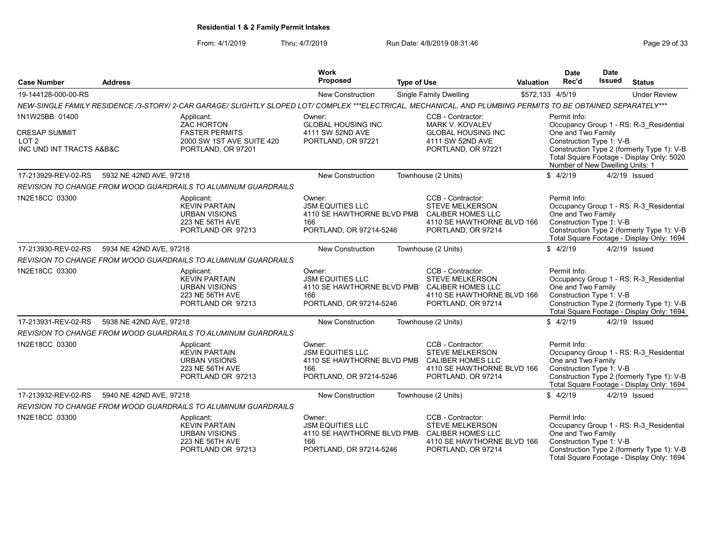From: 4/1/2019 Thru: 4/7/2019 Run Date: 4/8/2019 08:31:46 From: 4/1/2019 Page 29 of 33

| <b>Case Number</b>                                                   | <b>Address</b>          |                                                                                                                                                               | <b>Work</b><br><b>Proposed</b>                                                                                      | <b>Type of Use</b>                                                  |                                                                                                                      | <b>Valuation</b> | Date<br>Rec'd                                                                                                                                                                | Date<br>Issued | <b>Status</b>                                                                                                                      |
|----------------------------------------------------------------------|-------------------------|---------------------------------------------------------------------------------------------------------------------------------------------------------------|---------------------------------------------------------------------------------------------------------------------|---------------------------------------------------------------------|----------------------------------------------------------------------------------------------------------------------|------------------|------------------------------------------------------------------------------------------------------------------------------------------------------------------------------|----------------|------------------------------------------------------------------------------------------------------------------------------------|
| 19-144128-000-00-RS                                                  |                         |                                                                                                                                                               | <b>New Construction</b>                                                                                             |                                                                     | Single Family Dwelling                                                                                               |                  | \$572,133 4/5/19                                                                                                                                                             |                | <b>Under Review</b>                                                                                                                |
|                                                                      |                         | NEW-SINGLE FAMILY RESIDENCE /3-STORY/ 2-CAR GARAGE/ SLIGHTLY SLOPED LOT/ COMPLEX ***ELECTRICAL, MECHANICAL, AND PLUMBING PERMITS TO BE OBTAINED SEPARATELY*** |                                                                                                                     |                                                                     |                                                                                                                      |                  |                                                                                                                                                                              |                |                                                                                                                                    |
| 1N1W25BB 01400                                                       |                         | Applicant:<br><b>ZAC HORTON</b>                                                                                                                               | Owner:<br><b>GLOBAL HOUSING INC</b>                                                                                 |                                                                     | CCB - Contractor:<br><b>MARK V. KOVALEV</b>                                                                          |                  | Permit Info:                                                                                                                                                                 |                | Occupancy Group 1 - RS: R-3_Residential                                                                                            |
| <b>CRESAP SUMMIT</b><br>LOT <sub>2</sub><br>INC UND INT TRACTS A&B&C |                         | <b>FASTER PERMITS</b><br>2000 SW 1ST AVE SUITE 420<br>PORTLAND, OR 97201                                                                                      | 4111 SW 52ND AVE<br>PORTLAND, OR 97221                                                                              | <b>GLOBAL HOUSING INC</b><br>4111 SW 52ND AVE<br>PORTLAND, OR 97221 |                                                                                                                      |                  | One and Two Family<br>Construction Type 1: V-B<br>Construction Type 2 (formerly Type 1): V-B<br>Total Square Footage - Display Only: 5020<br>Number of New Dwelling Units: 1 |                |                                                                                                                                    |
| 17-213929-REV-02-RS                                                  | 5932 NE 42ND AVE, 97218 |                                                                                                                                                               | <b>New Construction</b>                                                                                             |                                                                     | Townhouse (2 Units)                                                                                                  |                  | \$4/2/19                                                                                                                                                                     |                | 4/2/19 Issued                                                                                                                      |
|                                                                      |                         | <b>REVISION TO CHANGE FROM WOOD GUARDRAILS TO ALUMINUM GUARDRAILS</b>                                                                                         |                                                                                                                     |                                                                     |                                                                                                                      |                  |                                                                                                                                                                              |                |                                                                                                                                    |
| 1N2E18CC 03300                                                       |                         | Applicant:<br><b>KEVIN PARTAIN</b><br><b>URBAN VISIONS</b><br>223 NE 56TH AVE<br>PORTLAND OR 97213                                                            | Owner:<br><b>JSM EQUITIES LLC</b><br>4110 SE HAWTHORNE BLVD PMB<br>166<br>PORTLAND, OR 97214-5246                   |                                                                     | CCB - Contractor:<br>STEVE MELKERSON<br><b>CALIBER HOMES LLC</b><br>4110 SE HAWTHORNE BLVD 166<br>PORTLAND, OR 97214 |                  | Permit Info:<br>One and Two Family<br>Construction Type 1: V-B                                                                                                               |                | Occupancy Group 1 - RS: R-3 Residential<br>Construction Type 2 (formerly Type 1): V-B<br>Total Square Footage - Display Only: 1694 |
| 17-213930-REV-02-RS                                                  | 5934 NE 42ND AVE, 97218 |                                                                                                                                                               | <b>New Construction</b>                                                                                             |                                                                     | Townhouse (2 Units)                                                                                                  |                  | \$4/2/19                                                                                                                                                                     |                | 4/2/19 Issued                                                                                                                      |
|                                                                      |                         | REVISION TO CHANGE FROM WOOD GUARDRAILS TO ALUMINUM GUARDRAILS                                                                                                |                                                                                                                     |                                                                     |                                                                                                                      |                  |                                                                                                                                                                              |                |                                                                                                                                    |
| 1N2E18CC 03300                                                       |                         | Applicant:<br><b>KEVIN PARTAIN</b><br><b>URBAN VISIONS</b><br><b>223 NE 56TH AVE</b><br>PORTLAND OR 97213                                                     | Owner:<br><b>JSM EQUITIES LLC</b><br>4110 SE HAWTHORNE BLVD PMB CALIBER HOMES LLC<br>166<br>PORTLAND, OR 97214-5246 |                                                                     | CCB - Contractor:<br><b>STEVE MELKERSON</b><br>4110 SE HAWTHORNE BLVD 166<br>PORTLAND, OR 97214                      |                  | Permit Info:<br>One and Two Family<br>Construction Type 1: V-B                                                                                                               |                | Occupancy Group 1 - RS: R-3 Residential<br>Construction Type 2 (formerly Type 1): V-B<br>Total Square Footage - Display Only: 1694 |
| 17-213931-REV-02-RS                                                  | 5938 NE 42ND AVE, 97218 |                                                                                                                                                               | <b>New Construction</b>                                                                                             |                                                                     | Townhouse (2 Units)                                                                                                  |                  | \$4/2/19                                                                                                                                                                     |                | $4/2/19$ Issued                                                                                                                    |
|                                                                      |                         | REVISION TO CHANGE FROM WOOD GUARDRAILS TO ALUMINUM GUARDRAILS                                                                                                |                                                                                                                     |                                                                     |                                                                                                                      |                  |                                                                                                                                                                              |                |                                                                                                                                    |
| 1N2E18CC 03300                                                       |                         | Applicant:<br><b>KEVIN PARTAIN</b><br><b>URBAN VISIONS</b><br><b>223 NE 56TH AVE</b><br>PORTLAND OR 97213                                                     | Owner:<br><b>JSM EQUITIES LLC</b><br>4110 SE HAWTHORNE BLVD PMB CALIBER HOMES LLC<br>166<br>PORTLAND, OR 97214-5246 |                                                                     | CCB - Contractor:<br><b>STEVE MELKERSON</b><br>4110 SE HAWTHORNE BLVD 166<br>PORTLAND, OR 97214                      |                  | Permit Info:<br>One and Two Family<br>Construction Type 1: V-B                                                                                                               |                | Occupancy Group 1 - RS: R-3 Residential<br>Construction Type 2 (formerly Type 1): V-B<br>Total Square Footage - Display Only: 1694 |
| 17-213932-REV-02-RS                                                  | 5940 NE 42ND AVE, 97218 |                                                                                                                                                               | New Construction                                                                                                    |                                                                     | Townhouse (2 Units)                                                                                                  |                  | \$4/2/19                                                                                                                                                                     |                | 4/2/19 Issued                                                                                                                      |
|                                                                      |                         | REVISION TO CHANGE FROM WOOD GUARDRAILS TO ALUMINUM GUARDRAILS                                                                                                |                                                                                                                     |                                                                     |                                                                                                                      |                  |                                                                                                                                                                              |                |                                                                                                                                    |
| 1N2E18CC 03300                                                       |                         | Applicant:<br><b>KEVIN PARTAIN</b><br>URBAN VISIONS<br><b>223 NE 56TH AVE</b><br>PORTLAND OR 97213                                                            | Owner:<br><b>JSM EQUITIES LLC</b><br>4110 SE HAWTHORNE BLVD PMB<br>166<br>PORTLAND, OR 97214-5246                   |                                                                     | CCB - Contractor:<br><b>STEVE MELKERSON</b><br>CALIBER HOMES LLC<br>4110 SE HAWTHORNE BLVD 166<br>PORTLAND, OR 97214 |                  | Permit Info:<br>One and Two Family<br>Construction Type 1: V-B                                                                                                               |                | Occupancy Group 1 - RS: R-3 Residential<br>Construction Type 2 (formerly Type 1): V-B<br>Total Square Footage - Display Only: 1694 |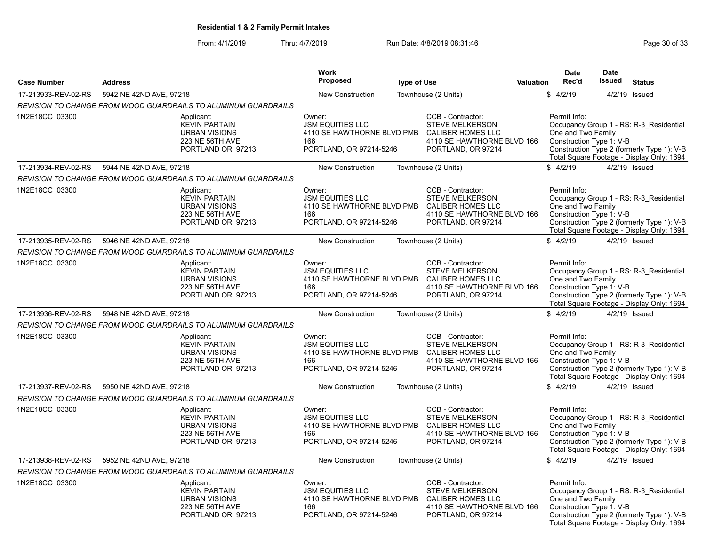From: 4/1/2019 Thru: 4/7/2019 Run Date: 4/8/2019 08:31:46 From: 4/1/2019 Page 30 of 33

|                     |                                                                                                           | <b>Work</b>                                                                                       |                                                                                                                                                 |                  | <b>Date</b>                                                    | <b>Date</b>   |                                                                                                                                    |
|---------------------|-----------------------------------------------------------------------------------------------------------|---------------------------------------------------------------------------------------------------|-------------------------------------------------------------------------------------------------------------------------------------------------|------------------|----------------------------------------------------------------|---------------|------------------------------------------------------------------------------------------------------------------------------------|
| <b>Case Number</b>  | <b>Address</b>                                                                                            | <b>Proposed</b>                                                                                   | <b>Type of Use</b>                                                                                                                              | <b>Valuation</b> | Rec'd                                                          | <b>Issued</b> | <b>Status</b>                                                                                                                      |
| 17-213933-REV-02-RS | 5942 NE 42ND AVE, 97218                                                                                   | <b>New Construction</b>                                                                           | Townhouse (2 Units)                                                                                                                             |                  | \$4/2/19                                                       |               | 4/2/19 Issued                                                                                                                      |
|                     | REVISION TO CHANGE FROM WOOD GUARDRAILS TO ALUMINUM GUARDRAILS                                            |                                                                                                   |                                                                                                                                                 |                  |                                                                |               |                                                                                                                                    |
| 1N2E18CC 03300      | Applicant:<br><b>KEVIN PARTAIN</b><br><b>URBAN VISIONS</b><br>223 NE 56TH AVE<br>PORTLAND OR 97213        | Owner:<br><b>JSM EQUITIES LLC</b><br>4110 SE HAWTHORNE BLVD PMB<br>166<br>PORTLAND, OR 97214-5246 | CCB - Contractor:<br><b>STEVE MELKERSON</b><br><b>CALIBER HOMES LLC</b><br>4110 SE HAWTHORNE BLVD 166<br>PORTLAND, OR 97214                     |                  | Permit Info:<br>One and Two Family<br>Construction Type 1: V-B |               | Occupancy Group 1 - RS: R-3 Residential<br>Construction Type 2 (formerly Type 1): V-B<br>Total Square Footage - Display Only: 1694 |
| 17-213934-REV-02-RS | 5944 NE 42ND AVE, 97218                                                                                   | <b>New Construction</b>                                                                           | Townhouse (2 Units)                                                                                                                             |                  | \$4/2/19                                                       |               | 4/2/19 Issued                                                                                                                      |
|                     | REVISION TO CHANGE FROM WOOD GUARDRAILS TO ALUMINUM GUARDRAILS                                            |                                                                                                   |                                                                                                                                                 |                  |                                                                |               |                                                                                                                                    |
| 1N2E18CC 03300      | Applicant:<br><b>KEVIN PARTAIN</b><br><b>URBAN VISIONS</b><br><b>223 NE 56TH AVE</b><br>PORTLAND OR 97213 | Owner:<br><b>JSM EQUITIES LLC</b><br>166<br>PORTLAND, OR 97214-5246                               | CCB - Contractor:<br><b>STEVE MELKERSON</b><br>4110 SE HAWTHORNE BLVD PMB CALIBER HOMES LLC<br>4110 SE HAWTHORNE BLVD 166<br>PORTLAND, OR 97214 |                  | Permit Info:<br>One and Two Family<br>Construction Type 1: V-B |               | Occupancy Group 1 - RS: R-3 Residential<br>Construction Type 2 (formerly Type 1): V-B<br>Total Square Footage - Display Only: 1694 |
| 17-213935-REV-02-RS | 5946 NE 42ND AVE, 97218                                                                                   | New Construction                                                                                  | Townhouse (2 Units)                                                                                                                             |                  | \$4/2/19                                                       |               | 4/2/19 Issued                                                                                                                      |
|                     | REVISION TO CHANGE FROM WOOD GUARDRAILS TO ALUMINUM GUARDRAILS                                            |                                                                                                   |                                                                                                                                                 |                  |                                                                |               |                                                                                                                                    |
| 1N2E18CC 03300      | Applicant:<br><b>KEVIN PARTAIN</b><br><b>URBAN VISIONS</b><br>223 NE 56TH AVE<br>PORTLAND OR 97213        | Owner:<br><b>JSM EQUITIES LLC</b><br>166<br>PORTLAND, OR 97214-5246                               | CCB - Contractor:<br>STEVE MELKERSON<br>4110 SE HAWTHORNE BLVD PMB CALIBER HOMES LLC<br>4110 SE HAWTHORNE BLVD 166<br>PORTLAND, OR 97214        |                  | Permit Info:<br>One and Two Family<br>Construction Type 1: V-B |               | Occupancy Group 1 - RS: R-3 Residential<br>Construction Type 2 (formerly Type 1): V-B<br>Total Square Footage - Display Only: 1694 |
| 17-213936-REV-02-RS | 5948 NE 42ND AVE, 97218                                                                                   | <b>New Construction</b>                                                                           | Townhouse (2 Units)                                                                                                                             |                  | \$4/2/19                                                       |               | 4/2/19 Issued                                                                                                                      |
|                     | <b>REVISION TO CHANGE FROM WOOD GUARDRAILS TO ALUMINUM GUARDRAILS</b>                                     |                                                                                                   |                                                                                                                                                 |                  |                                                                |               |                                                                                                                                    |
| 1N2E18CC 03300      | Applicant:<br><b>KEVIN PARTAIN</b><br><b>URBAN VISIONS</b><br><b>223 NE 56TH AVE</b><br>PORTLAND OR 97213 | Owner:<br><b>JSM EQUITIES LLC</b><br>166<br>PORTLAND, OR 97214-5246                               | CCB - Contractor:<br><b>STEVE MELKERSON</b><br>4110 SE HAWTHORNE BLVD PMB CALIBER HOMES LLC<br>4110 SE HAWTHORNE BLVD 166<br>PORTLAND, OR 97214 |                  | Permit Info:<br>One and Two Family<br>Construction Type 1: V-B |               | Occupancy Group 1 - RS: R-3 Residential<br>Construction Type 2 (formerly Type 1): V-B<br>Total Square Footage - Display Only: 1694 |
| 17-213937-REV-02-RS | 5950 NE 42ND AVE, 97218                                                                                   | New Construction                                                                                  | Townhouse (2 Units)                                                                                                                             |                  | \$4/2/19                                                       |               | 4/2/19 Issued                                                                                                                      |
|                     | <b>REVISION TO CHANGE FROM WOOD GUARDRAILS TO ALUMINUM GUARDRAILS</b>                                     |                                                                                                   |                                                                                                                                                 |                  |                                                                |               |                                                                                                                                    |
| 1N2E18CC 03300      | Applicant:<br><b>KEVIN PARTAIN</b><br><b>URBAN VISIONS</b><br>223 NE 56TH AVE<br>PORTLAND OR 97213        | Owner:<br><b>JSM EQUITIES LLC</b><br>166<br>PORTLAND, OR 97214-5246                               | CCB - Contractor:<br><b>STEVE MELKERSON</b><br>4110 SE HAWTHORNE BLVD PMB CALIBER HOMES LLC<br>4110 SE HAWTHORNE BLVD 166<br>PORTLAND, OR 97214 |                  | Permit Info:<br>One and Two Family<br>Construction Type 1: V-B |               | Occupancy Group 1 - RS: R-3 Residential<br>Construction Type 2 (formerly Type 1): V-B<br>Total Square Footage - Display Only: 1694 |
| 17-213938-REV-02-RS | 5952 NE 42ND AVE, 97218                                                                                   | <b>New Construction</b>                                                                           | Townhouse (2 Units)                                                                                                                             |                  | \$4/2/19                                                       |               | 4/2/19 Issued                                                                                                                      |
|                     | <b>REVISION TO CHANGE FROM WOOD GUARDRAILS TO ALUMINUM GUARDRAILS</b>                                     |                                                                                                   |                                                                                                                                                 |                  |                                                                |               |                                                                                                                                    |
| 1N2E18CC 03300      | Applicant:<br><b>KEVIN PARTAIN</b><br><b>URBAN VISIONS</b><br>223 NE 56TH AVE<br>PORTLAND OR 97213        | Owner:<br><b>JSM EQUITIES LLC</b><br>4110 SE HAWTHORNE BLVD PMB<br>166<br>PORTLAND, OR 97214-5246 | CCB - Contractor:<br>STEVE MELKERSON<br>CALIBER HOMES LLC<br>4110 SE HAWTHORNE BLVD 166<br>PORTLAND, OR 97214                                   |                  | Permit Info:<br>One and Two Family<br>Construction Type 1: V-B |               | Occupancy Group 1 - RS: R-3_Residential<br>Construction Type 2 (formerly Type 1): V-B<br>Total Square Footage - Display Only: 1694 |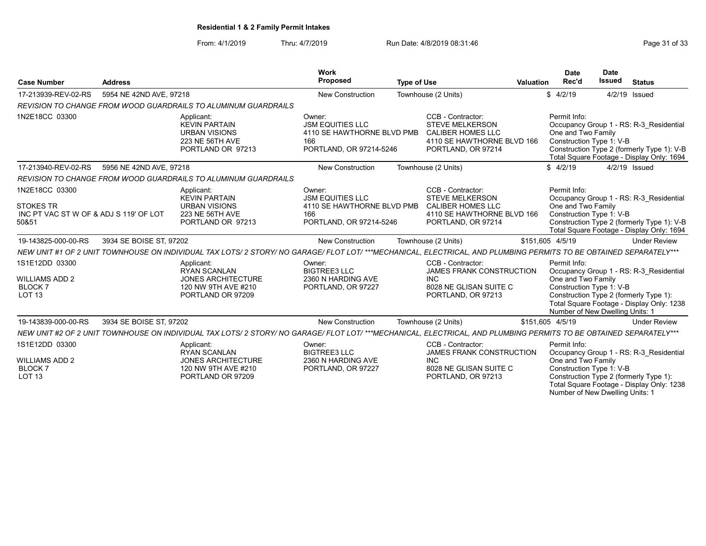From: 4/1/2019 Thru: 4/7/2019 Run Date: 4/8/2019 08:31:46 From: 4/1/2019 Page 31 of 33

Number of New Dwelling Units: 1

| <b>Case Number</b>                                                                    | <b>Address</b>          |                                                                                                                                                                    | <b>Work</b><br>Proposed                                                                           | <b>Type of Use</b> |                                                                                                                             | <b>Valuation</b> | Date<br>Rec'd                                                                                     | <b>Date</b><br><b>Issued</b> | <b>Status</b>                                                                                                                      |
|---------------------------------------------------------------------------------------|-------------------------|--------------------------------------------------------------------------------------------------------------------------------------------------------------------|---------------------------------------------------------------------------------------------------|--------------------|-----------------------------------------------------------------------------------------------------------------------------|------------------|---------------------------------------------------------------------------------------------------|------------------------------|------------------------------------------------------------------------------------------------------------------------------------|
| 17-213939-REV-02-RS                                                                   | 5954 NE 42ND AVE, 97218 |                                                                                                                                                                    | <b>New Construction</b>                                                                           |                    | Townhouse (2 Units)                                                                                                         |                  | \$4/2/19                                                                                          |                              | 4/2/19 Issued                                                                                                                      |
|                                                                                       |                         | <b>REVISION TO CHANGE FROM WOOD GUARDRAILS TO ALUMINUM GUARDRAILS</b>                                                                                              |                                                                                                   |                    |                                                                                                                             |                  |                                                                                                   |                              |                                                                                                                                    |
| 1N2E18CC 03300                                                                        |                         | Applicant:<br><b>KEVIN PARTAIN</b><br><b>URBAN VISIONS</b><br>223 NE 56TH AVE<br>PORTLAND OR 97213                                                                 | Owner:<br><b>JSM EQUITIES LLC</b><br>4110 SE HAWTHORNE BLVD PMB<br>166<br>PORTLAND, OR 97214-5246 |                    | CCB - Contractor:<br><b>STEVE MELKERSON</b><br><b>CALIBER HOMES LLC</b><br>4110 SE HAWTHORNE BLVD 166<br>PORTLAND, OR 97214 |                  | Permit Info:<br>One and Two Family<br>Construction Type 1: V-B                                    |                              | Occupancy Group 1 - RS: R-3 Residential<br>Construction Type 2 (formerly Type 1): V-B<br>Total Square Footage - Display Only: 1694 |
| 17-213940-REV-02-RS                                                                   | 5956 NE 42ND AVE, 97218 |                                                                                                                                                                    | <b>New Construction</b>                                                                           |                    | Townhouse (2 Units)                                                                                                         |                  | \$4/2/19                                                                                          |                              | 4/2/19 Issued                                                                                                                      |
|                                                                                       |                         | REVISION TO CHANGE FROM WOOD GUARDRAILS TO ALUMINUM GUARDRAILS                                                                                                     |                                                                                                   |                    |                                                                                                                             |                  |                                                                                                   |                              |                                                                                                                                    |
| 1N2E18CC 03300<br><b>STOKES TR</b><br>INC PT VAC ST W OF & ADJ S 119' OF LOT<br>50&51 |                         | Applicant:<br><b>KEVIN PARTAIN</b><br><b>URBAN VISIONS</b><br><b>223 NE 56TH AVE</b><br>PORTLAND OR 97213                                                          | Owner:<br><b>JSM EQUITIES LLC</b><br>4110 SE HAWTHORNE BLVD PMB<br>166<br>PORTLAND, OR 97214-5246 |                    | CCB - Contractor:<br><b>STEVE MELKERSON</b><br><b>CALIBER HOMES LLC</b><br>4110 SE HAWTHORNE BLVD 166<br>PORTLAND, OR 97214 |                  | Permit Info:<br>One and Two Family<br>Construction Type 1: V-B                                    |                              | Occupancy Group 1 - RS: R-3 Residential<br>Construction Type 2 (formerly Type 1): V-B<br>Total Square Footage - Display Only: 1694 |
| 19-143825-000-00-RS                                                                   | 3934 SE BOISE ST, 97202 |                                                                                                                                                                    | <b>New Construction</b>                                                                           |                    | Townhouse (2 Units)                                                                                                         |                  | \$151,605 4/5/19                                                                                  |                              | <b>Under Review</b>                                                                                                                |
|                                                                                       |                         | NEW UNIT #1 OF 2 UNIT TOWNHOUSE ON INDIVIDUAL TAX LOTS/ 2 STORY/ NO GARAGE/ FLOT LOT/ ***MECHANICAL, ELECTRICAL, AND PLUMBING PERMITS TO BE OBTAINED SEPARATELY*** |                                                                                                   |                    |                                                                                                                             |                  |                                                                                                   |                              |                                                                                                                                    |
| 1S1E12DD 03300<br><b>WILLIAMS ADD 2</b><br>BLOCK 7<br>LOT <sub>13</sub>               |                         | Applicant:<br><b>RYAN SCANLAN</b><br><b>JONES ARCHITECTURE</b><br>120 NW 9TH AVE #210<br>PORTLAND OR 97209                                                         | Owner:<br><b>BIGTREE3 LLC</b><br>2360 N HARDING AVE<br>PORTLAND, OR 97227                         |                    | CCB - Contractor:<br>JAMES FRANK CONSTRUCTION<br><b>INC</b><br>8028 NE GLISAN SUITE C<br>PORTLAND, OR 97213                 |                  | Permit Info:<br>One and Two Family<br>Construction Type 1: V-B<br>Number of New Dwelling Units: 1 |                              | Occupancy Group 1 - RS: R-3 Residential<br>Construction Type 2 (formerly Type 1):<br>Total Square Footage - Display Only: 1238     |
| 19-143839-000-00-RS                                                                   | 3934 SE BOISE ST, 97202 |                                                                                                                                                                    | <b>New Construction</b>                                                                           |                    | Townhouse (2 Units)                                                                                                         |                  | \$151,605 4/5/19                                                                                  |                              | <b>Under Review</b>                                                                                                                |
|                                                                                       |                         | NEW UNIT #2 OF 2 UNIT TOWNHOUSE ON INDIVIDUAL TAX LOTS/ 2 STORY/ NO GARAGE/ FLOT LOT/ ***MECHANICAL, ELECTRICAL, AND PLUMBING PERMITS TO BE OBTAINED SEPARATELY*** |                                                                                                   |                    |                                                                                                                             |                  |                                                                                                   |                              |                                                                                                                                    |
| 1S1E12DD 03300<br><b>WILLIAMS ADD 2</b><br><b>BLOCK7</b><br>LOT <sub>13</sub>         |                         | Applicant:<br><b>RYAN SCANLAN</b><br><b>JONES ARCHITECTURE</b><br>120 NW 9TH AVE #210<br>PORTLAND OR 97209                                                         | Owner:<br><b>BIGTREE3 LLC</b><br>2360 N HARDING AVE<br>PORTLAND, OR 97227                         |                    | CCB - Contractor:<br>JAMES FRANK CONSTRUCTION<br><b>INC</b><br>8028 NE GLISAN SUITE C<br>PORTLAND, OR 97213                 |                  | Permit Info:<br>One and Two Family<br>Construction Type 1: V-B                                    |                              | Occupancy Group 1 - RS: R-3 Residential<br>Construction Type 2 (formerly Type 1):<br>Total Square Footage - Display Only: 1238     |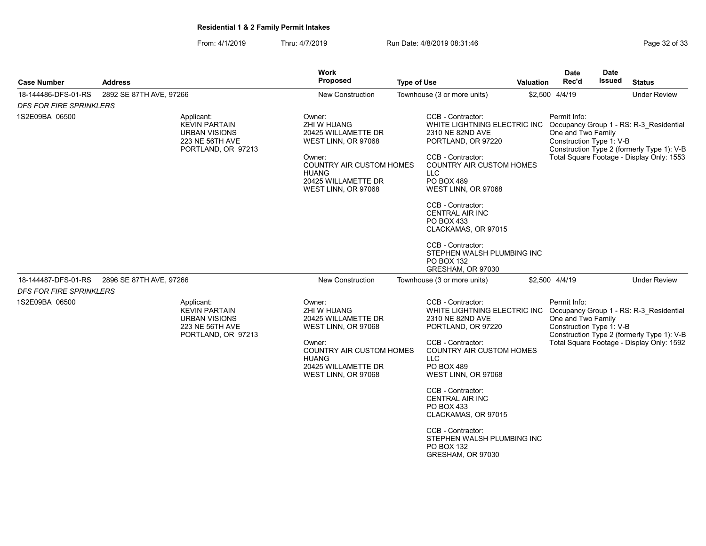| From: 4/1/2019 | Thru: 4/7/2019 | Run Date: 4/8/2019 08:31:46 | Page 32 of 33 |
|----------------|----------------|-----------------------------|---------------|
|                |                |                             |               |

| <b>Case Number</b>             | <b>Address</b>                                                                                             | <b>Work</b><br><b>Proposed</b><br><b>Type of Use</b>                                                                                                                           |                                                       | <b>Valuation</b>                                                                                                                                                                                                                                                                                                         | <b>Date</b><br>Rec'd                                           | <b>Date</b><br>Issued | <b>Status</b>                                                                                                                      |
|--------------------------------|------------------------------------------------------------------------------------------------------------|--------------------------------------------------------------------------------------------------------------------------------------------------------------------------------|-------------------------------------------------------|--------------------------------------------------------------------------------------------------------------------------------------------------------------------------------------------------------------------------------------------------------------------------------------------------------------------------|----------------------------------------------------------------|-----------------------|------------------------------------------------------------------------------------------------------------------------------------|
| 18-144486-DFS-01-RS            | 2892 SE 87TH AVE, 97266                                                                                    | <b>New Construction</b>                                                                                                                                                        | Townhouse (3 or more units)                           |                                                                                                                                                                                                                                                                                                                          | \$2,500 4/4/19                                                 |                       | <b>Under Review</b>                                                                                                                |
| <b>DFS FOR FIRE SPRINKLERS</b> |                                                                                                            |                                                                                                                                                                                |                                                       |                                                                                                                                                                                                                                                                                                                          |                                                                |                       |                                                                                                                                    |
| 1S2E09BA 06500                 | Applicant:<br><b>KEVIN PARTAIN</b><br><b>URBAN VISIONS</b><br><b>223 NE 56TH AVE</b><br>PORTLAND, OR 97213 | Owner:<br>ZHI W HUANG<br>20425 WILLAMETTE DR<br>WEST LINN, OR 97068<br>Owner:<br><b>COUNTRY AIR CUSTOM HOMES</b><br><b>HUANG</b><br>20425 WILLAMETTE DR<br>WEST LINN, OR 97068 | LLC.<br>PO BOX 489<br>PO BOX 433<br><b>PO BOX 132</b> | CCB - Contractor:<br>WHITE LIGHTNING ELECTRIC INC<br>2310 NE 82ND AVE<br>PORTLAND, OR 97220<br>CCB - Contractor:<br><b>COUNTRY AIR CUSTOM HOMES</b><br>WEST LINN, OR 97068<br>CCB - Contractor:<br><b>CENTRAL AIR INC</b><br>CLACKAMAS, OR 97015<br>CCB - Contractor:<br>STEPHEN WALSH PLUMBING INC<br>GRESHAM, OR 97030 | Permit Info:<br>One and Two Family<br>Construction Type 1: V-B |                       | Occupancy Group 1 - RS: R-3 Residential<br>Construction Type 2 (formerly Type 1): V-B<br>Total Square Footage - Display Only: 1553 |
| 18-144487-DFS-01-RS            | 2896 SE 87TH AVE, 97266                                                                                    | <b>New Construction</b>                                                                                                                                                        | Townhouse (3 or more units)                           |                                                                                                                                                                                                                                                                                                                          | \$2,500 4/4/19                                                 |                       | <b>Under Review</b>                                                                                                                |
| <b>DFS FOR FIRE SPRINKLERS</b> |                                                                                                            |                                                                                                                                                                                |                                                       |                                                                                                                                                                                                                                                                                                                          |                                                                |                       |                                                                                                                                    |
| 1S2E09BA 06500                 | Applicant:<br><b>KEVIN PARTAIN</b><br>URBAN VISIONS<br><b>223 NE 56TH AVE</b><br>PORTLAND, OR 97213        | Owner:<br>ZHI W HUANG<br>20425 WILLAMETTE DR<br>WEST LINN, OR 97068<br>Owner:<br><b>COUNTRY AIR CUSTOM HOMES</b><br><b>HUANG</b><br>20425 WILLAMETTE DR<br>WEST LINN, OR 97068 | LLC<br>PO BOX 489                                     | CCB - Contractor:<br>WHITE LIGHTNING ELECTRIC INC<br>2310 NE 82ND AVE<br>PORTLAND, OR 97220<br>CCB - Contractor:<br><b>COUNTRY AIR CUSTOM HOMES</b><br>WEST LINN, OR 97068<br>CCB - Contractor:                                                                                                                          | Permit Info:<br>One and Two Family<br>Construction Type 1: V-B |                       | Occupancy Group 1 - RS: R-3_Residential<br>Construction Type 2 (formerly Type 1): V-B<br>Total Square Footage - Display Only: 1592 |
|                                |                                                                                                            |                                                                                                                                                                                | PO BOX 433                                            | <b>CENTRAL AIR INC</b><br>CLACKAMAS, OR 97015                                                                                                                                                                                                                                                                            |                                                                |                       |                                                                                                                                    |
|                                |                                                                                                            |                                                                                                                                                                                | PO BOX 132                                            | CCB - Contractor:<br>STEPHEN WALSH PLUMBING INC<br>GRESHAM, OR 97030                                                                                                                                                                                                                                                     |                                                                |                       |                                                                                                                                    |